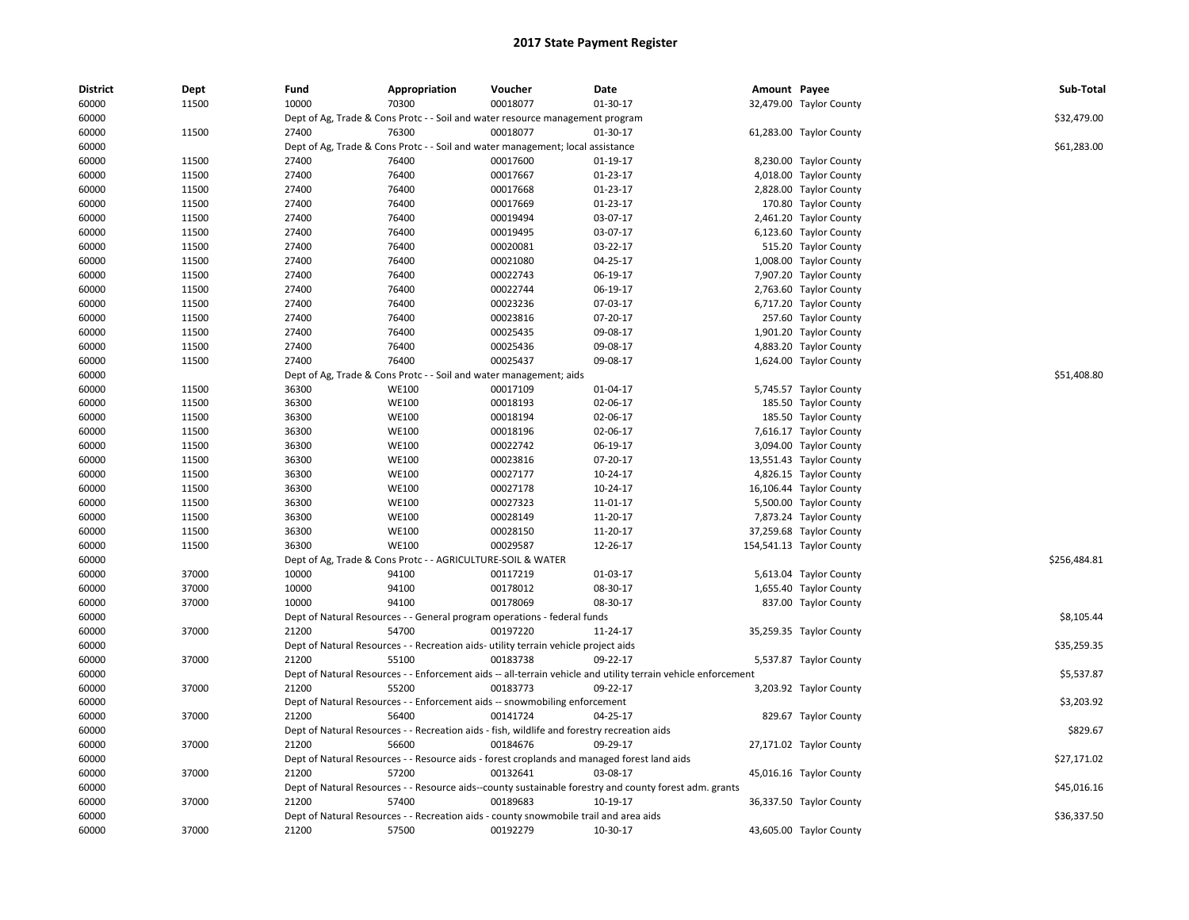| <b>District</b> | Dept  | Fund  | Appropriation                                                                               | Voucher  | Date                                                                                                          | Amount Payee |                          | Sub-Total    |
|-----------------|-------|-------|---------------------------------------------------------------------------------------------|----------|---------------------------------------------------------------------------------------------------------------|--------------|--------------------------|--------------|
| 60000           | 11500 | 10000 | 70300                                                                                       | 00018077 | 01-30-17                                                                                                      |              | 32,479.00 Taylor County  |              |
| 60000           |       |       | Dept of Ag, Trade & Cons Protc - - Soil and water resource management program               |          |                                                                                                               |              |                          | \$32,479.00  |
| 60000           | 11500 | 27400 | 76300                                                                                       | 00018077 | 01-30-17                                                                                                      |              | 61,283.00 Taylor County  |              |
| 60000           |       |       | Dept of Ag, Trade & Cons Protc - - Soil and water management; local assistance              |          |                                                                                                               |              |                          | \$61,283.00  |
| 60000           | 11500 | 27400 | 76400                                                                                       | 00017600 | 01-19-17                                                                                                      |              | 8,230.00 Taylor County   |              |
| 60000           | 11500 | 27400 | 76400                                                                                       | 00017667 | 01-23-17                                                                                                      |              | 4,018.00 Taylor County   |              |
| 60000           | 11500 | 27400 | 76400                                                                                       | 00017668 | 01-23-17                                                                                                      |              | 2,828.00 Taylor County   |              |
| 60000           | 11500 | 27400 | 76400                                                                                       | 00017669 | 01-23-17                                                                                                      |              | 170.80 Taylor County     |              |
| 60000           | 11500 | 27400 | 76400                                                                                       | 00019494 | 03-07-17                                                                                                      |              | 2,461.20 Taylor County   |              |
| 60000           | 11500 | 27400 | 76400                                                                                       | 00019495 | 03-07-17                                                                                                      |              | 6,123.60 Taylor County   |              |
| 60000           | 11500 | 27400 | 76400                                                                                       | 00020081 | 03-22-17                                                                                                      |              | 515.20 Taylor County     |              |
| 60000           | 11500 | 27400 | 76400                                                                                       | 00021080 | 04-25-17                                                                                                      |              | 1,008.00 Taylor County   |              |
| 60000           | 11500 | 27400 | 76400                                                                                       | 00022743 | 06-19-17                                                                                                      |              | 7,907.20 Taylor County   |              |
| 60000           | 11500 | 27400 | 76400                                                                                       | 00022744 | 06-19-17                                                                                                      |              | 2,763.60 Taylor County   |              |
| 60000           | 11500 | 27400 | 76400                                                                                       | 00023236 | 07-03-17                                                                                                      |              | 6,717.20 Taylor County   |              |
| 60000           | 11500 | 27400 | 76400                                                                                       | 00023816 | 07-20-17                                                                                                      |              | 257.60 Taylor County     |              |
| 60000           | 11500 | 27400 | 76400                                                                                       | 00025435 | 09-08-17                                                                                                      |              | 1,901.20 Taylor County   |              |
| 60000           | 11500 | 27400 | 76400                                                                                       | 00025436 | 09-08-17                                                                                                      |              | 4,883.20 Taylor County   |              |
| 60000           | 11500 | 27400 | 76400                                                                                       | 00025437 | 09-08-17                                                                                                      |              | 1,624.00 Taylor County   |              |
| 60000           |       |       | Dept of Ag, Trade & Cons Protc - - Soil and water management; aids                          |          |                                                                                                               |              |                          | \$51,408.80  |
| 60000           | 11500 | 36300 | <b>WE100</b>                                                                                | 00017109 | 01-04-17                                                                                                      |              | 5,745.57 Taylor County   |              |
| 60000           | 11500 | 36300 | <b>WE100</b>                                                                                | 00018193 | 02-06-17                                                                                                      |              | 185.50 Taylor County     |              |
| 60000           | 11500 | 36300 | <b>WE100</b>                                                                                | 00018194 | 02-06-17                                                                                                      |              | 185.50 Taylor County     |              |
| 60000           | 11500 | 36300 | <b>WE100</b>                                                                                | 00018196 | 02-06-17                                                                                                      |              | 7,616.17 Taylor County   |              |
| 60000           | 11500 | 36300 | <b>WE100</b>                                                                                | 00022742 | 06-19-17                                                                                                      |              | 3,094.00 Taylor County   |              |
| 60000           | 11500 | 36300 | <b>WE100</b>                                                                                | 00023816 | 07-20-17                                                                                                      |              | 13,551.43 Taylor County  |              |
| 60000           | 11500 | 36300 | <b>WE100</b>                                                                                | 00027177 | 10-24-17                                                                                                      |              | 4,826.15 Taylor County   |              |
| 60000           | 11500 | 36300 | <b>WE100</b>                                                                                | 00027178 | 10-24-17                                                                                                      |              | 16,106.44 Taylor County  |              |
| 60000           | 11500 | 36300 | <b>WE100</b>                                                                                | 00027323 | 11-01-17                                                                                                      |              | 5,500.00 Taylor County   |              |
| 60000           | 11500 | 36300 | <b>WE100</b>                                                                                | 00028149 | 11-20-17                                                                                                      |              | 7,873.24 Taylor County   |              |
| 60000           | 11500 | 36300 | <b>WE100</b>                                                                                | 00028150 | 11-20-17                                                                                                      |              | 37,259.68 Taylor County  |              |
| 60000           | 11500 | 36300 | <b>WE100</b>                                                                                | 00029587 | 12-26-17                                                                                                      |              | 154,541.13 Taylor County |              |
| 60000           |       |       | Dept of Ag, Trade & Cons Protc - - AGRICULTURE-SOIL & WATER                                 |          |                                                                                                               |              |                          | \$256,484.81 |
| 60000           | 37000 | 10000 | 94100                                                                                       | 00117219 | 01-03-17                                                                                                      |              | 5,613.04 Taylor County   |              |
| 60000           | 37000 | 10000 | 94100                                                                                       | 00178012 | 08-30-17                                                                                                      |              | 1,655.40 Taylor County   |              |
| 60000           | 37000 | 10000 | 94100                                                                                       | 00178069 | 08-30-17                                                                                                      |              | 837.00 Taylor County     |              |
| 60000           |       |       | Dept of Natural Resources - - General program operations - federal funds                    |          |                                                                                                               |              |                          | \$8,105.44   |
| 60000           | 37000 | 21200 | 54700                                                                                       | 00197220 | 11-24-17                                                                                                      |              | 35,259.35 Taylor County  |              |
| 60000           |       |       | Dept of Natural Resources - - Recreation aids- utility terrain vehicle project aids         |          |                                                                                                               |              |                          | \$35,259.35  |
| 60000           | 37000 | 21200 | 55100                                                                                       | 00183738 | 09-22-17                                                                                                      |              | 5,537.87 Taylor County   |              |
| 60000           |       |       |                                                                                             |          | Dept of Natural Resources - - Enforcement aids -- all-terrain vehicle and utility terrain vehicle enforcement |              |                          | \$5,537.87   |
| 60000           | 37000 | 21200 | 55200                                                                                       | 00183773 | 09-22-17                                                                                                      |              | 3,203.92 Taylor County   |              |
| 60000           |       |       | Dept of Natural Resources - - Enforcement aids -- snowmobiling enforcement                  |          |                                                                                                               |              |                          | \$3,203.92   |
| 60000           | 37000 | 21200 | 56400                                                                                       | 00141724 | 04-25-17                                                                                                      |              | 829.67 Taylor County     |              |
| 60000           |       |       | Dept of Natural Resources - - Recreation aids - fish, wildlife and forestry recreation aids |          |                                                                                                               |              |                          | \$829.67     |
| 60000           | 37000 | 21200 | 56600                                                                                       | 00184676 | 09-29-17                                                                                                      |              | 27,171.02 Taylor County  |              |
| 60000           |       |       |                                                                                             |          | Dept of Natural Resources - - Resource aids - forest croplands and managed forest land aids                   |              |                          | \$27,171.02  |
| 60000           | 37000 | 21200 | 57200                                                                                       | 00132641 | 03-08-17                                                                                                      |              | 45,016.16 Taylor County  |              |
| 60000           |       |       |                                                                                             |          | Dept of Natural Resources - - Resource aids--county sustainable forestry and county forest adm. grants        |              |                          | \$45,016.16  |
| 60000           | 37000 | 21200 | 57400                                                                                       | 00189683 | 10-19-17                                                                                                      |              | 36,337.50 Taylor County  |              |
| 60000           |       |       | Dept of Natural Resources - - Recreation aids - county snowmobile trail and area aids       |          |                                                                                                               |              |                          | \$36,337.50  |
| 60000           | 37000 | 21200 | 57500                                                                                       | 00192279 | 10-30-17                                                                                                      |              | 43,605.00 Taylor County  |              |
|                 |       |       |                                                                                             |          |                                                                                                               |              |                          |              |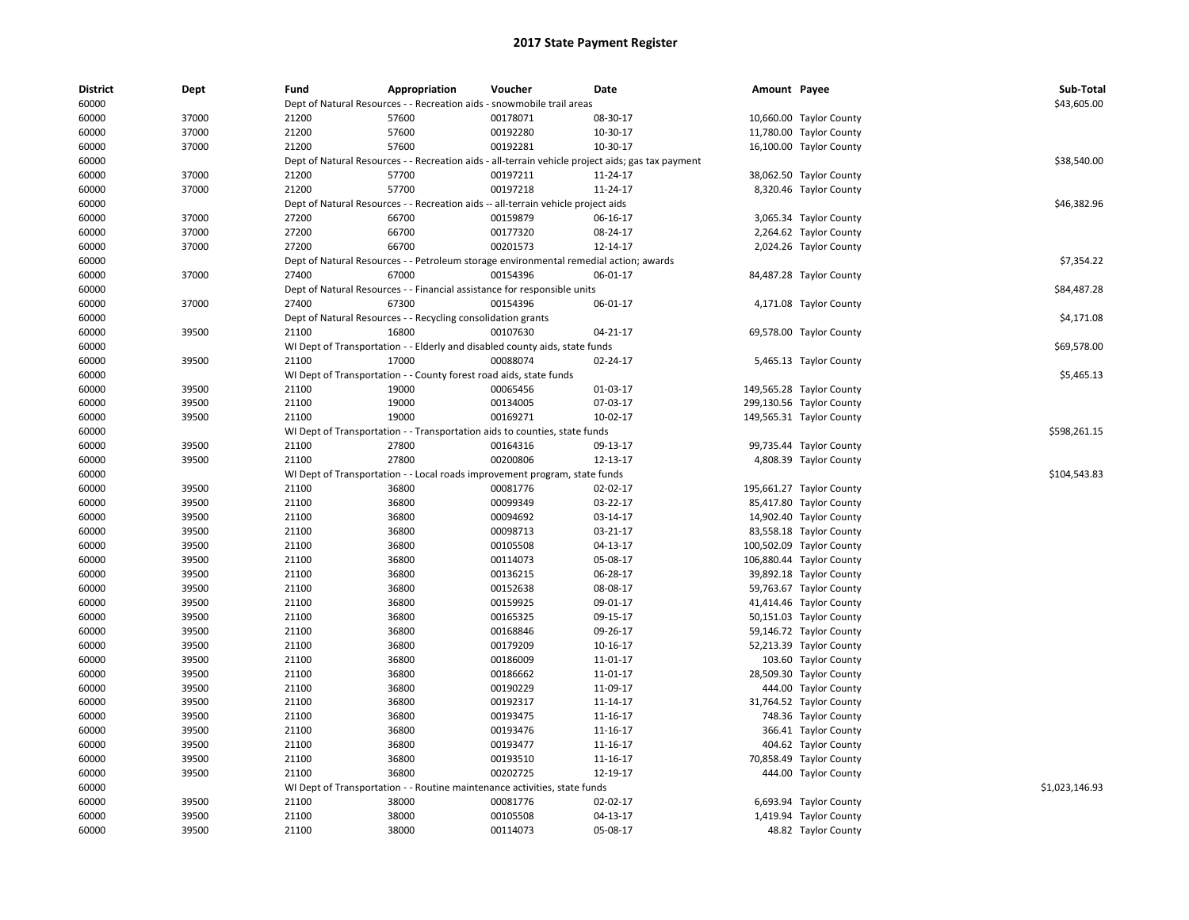| District<br>60000 | Dept  | Fund  | Appropriation                                                      | Voucher<br>Dept of Natural Resources - - Recreation aids - snowmobile trail areas     | Date                                                                                              | Amount Payee |                          | Sub-Total<br>\$43,605.00 |
|-------------------|-------|-------|--------------------------------------------------------------------|---------------------------------------------------------------------------------------|---------------------------------------------------------------------------------------------------|--------------|--------------------------|--------------------------|
|                   | 37000 | 21200 | 57600                                                              | 00178071                                                                              |                                                                                                   |              |                          |                          |
| 60000             |       |       |                                                                    |                                                                                       | 08-30-17                                                                                          |              | 10,660.00 Taylor County  |                          |
| 60000             | 37000 | 21200 | 57600                                                              | 00192280                                                                              | 10-30-17                                                                                          |              | 11,780.00 Taylor County  |                          |
| 60000             | 37000 | 21200 | 57600                                                              | 00192281                                                                              | 10-30-17                                                                                          |              | 16,100.00 Taylor County  |                          |
| 60000             |       |       |                                                                    |                                                                                       | Dept of Natural Resources - - Recreation aids - all-terrain vehicle project aids; gas tax payment |              |                          | \$38,540.00              |
| 60000             | 37000 | 21200 | 57700                                                              | 00197211                                                                              | 11-24-17                                                                                          |              | 38,062.50 Taylor County  |                          |
| 60000             | 37000 | 21200 | 57700                                                              | 00197218                                                                              | 11-24-17                                                                                          |              | 8,320.46 Taylor County   |                          |
| 60000             |       |       |                                                                    | Dept of Natural Resources - - Recreation aids -- all-terrain vehicle project aids     |                                                                                                   |              |                          | \$46,382.96              |
| 60000             | 37000 | 27200 | 66700                                                              | 00159879                                                                              | 06-16-17                                                                                          |              | 3,065.34 Taylor County   |                          |
| 60000             | 37000 | 27200 | 66700                                                              | 00177320                                                                              | 08-24-17                                                                                          |              | 2,264.62 Taylor County   |                          |
| 60000             | 37000 | 27200 | 66700                                                              | 00201573                                                                              | 12-14-17                                                                                          |              | 2,024.26 Taylor County   |                          |
| 60000             |       |       |                                                                    | Dept of Natural Resources - - Petroleum storage environmental remedial action; awards |                                                                                                   |              |                          | \$7,354.22               |
| 60000             | 37000 | 27400 | 67000                                                              | 00154396                                                                              | 06-01-17                                                                                          |              | 84,487.28 Taylor County  |                          |
| 60000             |       |       |                                                                    | Dept of Natural Resources - - Financial assistance for responsible units              |                                                                                                   |              |                          | \$84,487.28              |
| 60000             | 37000 | 27400 | 67300                                                              | 00154396                                                                              | 06-01-17                                                                                          |              | 4,171.08 Taylor County   |                          |
| 60000             |       |       | Dept of Natural Resources - - Recycling consolidation grants       |                                                                                       |                                                                                                   |              |                          | \$4,171.08               |
| 60000             | 39500 | 21100 | 16800                                                              | 00107630                                                                              | $04 - 21 - 17$                                                                                    |              | 69,578.00 Taylor County  |                          |
| 60000             |       |       |                                                                    | WI Dept of Transportation - - Elderly and disabled county aids, state funds           |                                                                                                   |              |                          | \$69,578.00              |
| 60000             | 39500 | 21100 | 17000                                                              | 00088074                                                                              | 02-24-17                                                                                          |              | 5,465.13 Taylor County   |                          |
| 60000             |       |       | WI Dept of Transportation - - County forest road aids, state funds |                                                                                       |                                                                                                   |              |                          | \$5,465.13               |
| 60000             | 39500 | 21100 | 19000                                                              | 00065456                                                                              | 01-03-17                                                                                          |              | 149,565.28 Taylor County |                          |
| 60000             | 39500 | 21100 | 19000                                                              | 00134005                                                                              | 07-03-17                                                                                          |              | 299,130.56 Taylor County |                          |
| 60000             | 39500 | 21100 | 19000                                                              | 00169271                                                                              | 10-02-17                                                                                          |              | 149,565.31 Taylor County |                          |
| 60000             |       |       |                                                                    | WI Dept of Transportation - - Transportation aids to counties, state funds            |                                                                                                   |              |                          | \$598,261.15             |
| 60000             | 39500 | 21100 | 27800                                                              | 00164316                                                                              | 09-13-17                                                                                          |              | 99,735.44 Taylor County  |                          |
| 60000             | 39500 | 21100 | 27800                                                              | 00200806                                                                              | 12-13-17                                                                                          |              | 4,808.39 Taylor County   |                          |
| 60000             |       |       |                                                                    | WI Dept of Transportation - - Local roads improvement program, state funds            |                                                                                                   |              |                          | \$104,543.83             |
| 60000             | 39500 | 21100 | 36800                                                              | 00081776                                                                              | 02-02-17                                                                                          |              | 195,661.27 Taylor County |                          |
| 60000             | 39500 | 21100 | 36800                                                              | 00099349                                                                              | 03-22-17                                                                                          |              | 85,417.80 Taylor County  |                          |
| 60000             | 39500 | 21100 | 36800                                                              | 00094692                                                                              | 03-14-17                                                                                          |              | 14,902.40 Taylor County  |                          |
| 60000             | 39500 | 21100 | 36800                                                              | 00098713                                                                              | 03-21-17                                                                                          |              | 83,558.18 Taylor County  |                          |
| 60000             | 39500 | 21100 | 36800                                                              | 00105508                                                                              | 04-13-17                                                                                          |              | 100,502.09 Taylor County |                          |
| 60000             | 39500 | 21100 | 36800                                                              | 00114073                                                                              | 05-08-17                                                                                          |              | 106,880.44 Taylor County |                          |
| 60000             | 39500 | 21100 | 36800                                                              | 00136215                                                                              | 06-28-17                                                                                          |              | 39,892.18 Taylor County  |                          |
| 60000             | 39500 | 21100 | 36800                                                              | 00152638                                                                              | 08-08-17                                                                                          |              | 59,763.67 Taylor County  |                          |
| 60000             | 39500 | 21100 | 36800                                                              | 00159925                                                                              | 09-01-17                                                                                          |              | 41,414.46 Taylor County  |                          |
| 60000             | 39500 | 21100 | 36800                                                              | 00165325                                                                              | 09-15-17                                                                                          |              | 50,151.03 Taylor County  |                          |
| 60000             | 39500 | 21100 | 36800                                                              | 00168846                                                                              | 09-26-17                                                                                          |              | 59,146.72 Taylor County  |                          |
| 60000             | 39500 | 21100 | 36800                                                              | 00179209                                                                              | 10-16-17                                                                                          |              | 52,213.39 Taylor County  |                          |
| 60000             | 39500 | 21100 | 36800                                                              | 00186009                                                                              | 11-01-17                                                                                          |              | 103.60 Taylor County     |                          |
| 60000             | 39500 | 21100 | 36800                                                              | 00186662                                                                              | 11-01-17                                                                                          |              | 28,509.30 Taylor County  |                          |
| 60000             | 39500 | 21100 | 36800                                                              | 00190229                                                                              | 11-09-17                                                                                          |              | 444.00 Taylor County     |                          |
| 60000             | 39500 | 21100 | 36800                                                              | 00192317                                                                              | 11-14-17                                                                                          |              | 31,764.52 Taylor County  |                          |
| 60000             | 39500 | 21100 | 36800                                                              | 00193475                                                                              | 11-16-17                                                                                          |              | 748.36 Taylor County     |                          |
| 60000             | 39500 | 21100 | 36800                                                              | 00193476                                                                              | 11-16-17                                                                                          |              | 366.41 Taylor County     |                          |
| 60000             | 39500 | 21100 | 36800                                                              | 00193477                                                                              | 11-16-17                                                                                          |              | 404.62 Taylor County     |                          |
| 60000             | 39500 | 21100 | 36800                                                              | 00193510                                                                              | 11-16-17                                                                                          |              | 70,858.49 Taylor County  |                          |
| 60000             | 39500 | 21100 | 36800                                                              | 00202725                                                                              | 12-19-17                                                                                          |              | 444.00 Taylor County     |                          |
| 60000             |       |       |                                                                    | WI Dept of Transportation - - Routine maintenance activities, state funds             |                                                                                                   |              |                          | \$1,023,146.93           |
| 60000             | 39500 | 21100 | 38000                                                              | 00081776                                                                              | 02-02-17                                                                                          |              | 6,693.94 Taylor County   |                          |
| 60000             | 39500 | 21100 | 38000                                                              | 00105508                                                                              | 04-13-17                                                                                          |              | 1,419.94 Taylor County   |                          |
| 60000             | 39500 | 21100 | 38000                                                              | 00114073                                                                              | 05-08-17                                                                                          |              | 48.82 Taylor County      |                          |
|                   |       |       |                                                                    |                                                                                       |                                                                                                   |              |                          |                          |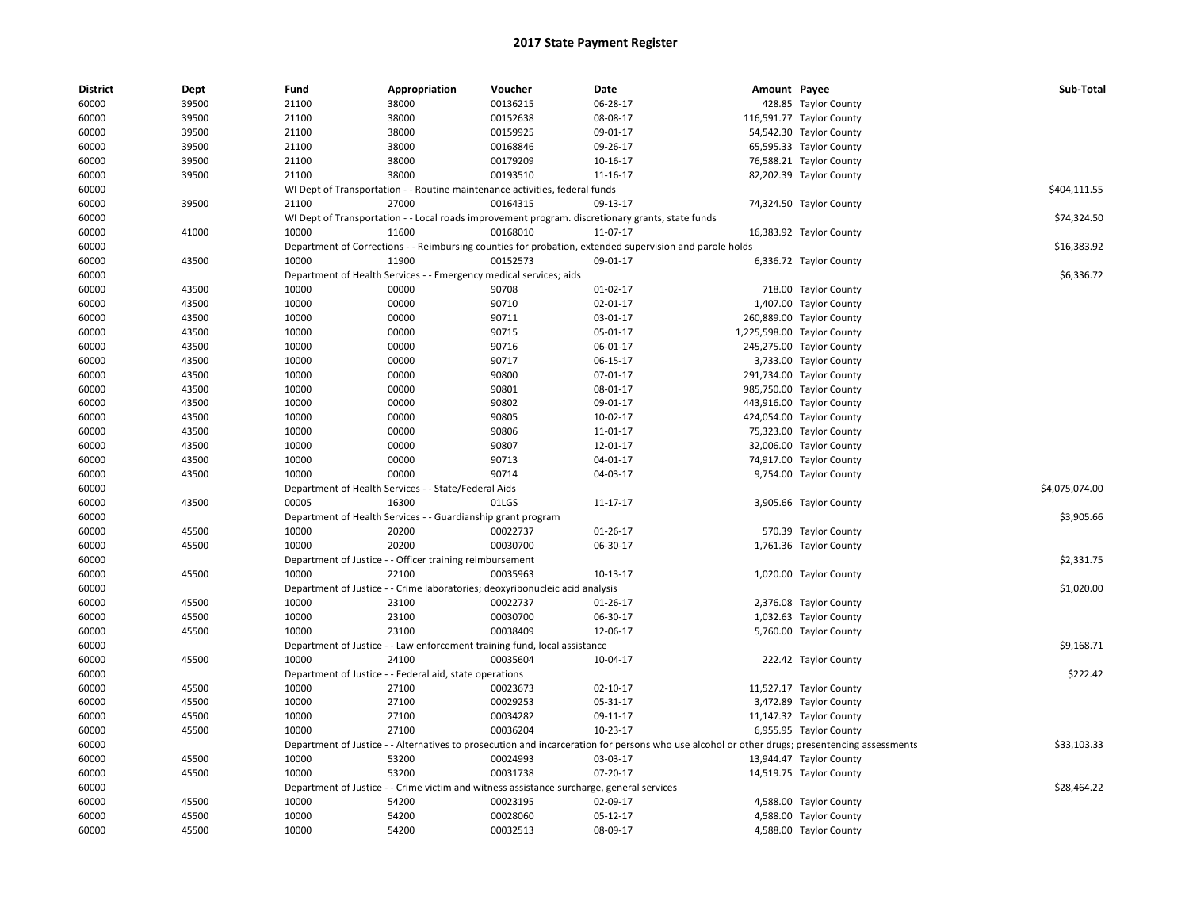| <b>District</b> | Dept  | Fund  | Appropriation                                                      | Voucher                                                                                   | Date                                                                                                                                          | Amount Payee |                            | Sub-Total      |
|-----------------|-------|-------|--------------------------------------------------------------------|-------------------------------------------------------------------------------------------|-----------------------------------------------------------------------------------------------------------------------------------------------|--------------|----------------------------|----------------|
| 60000           | 39500 | 21100 | 38000                                                              | 00136215                                                                                  | 06-28-17                                                                                                                                      |              | 428.85 Taylor County       |                |
| 60000           | 39500 | 21100 | 38000                                                              | 00152638                                                                                  | 08-08-17                                                                                                                                      |              | 116,591.77 Taylor County   |                |
| 60000           | 39500 | 21100 | 38000                                                              | 00159925                                                                                  | 09-01-17                                                                                                                                      |              | 54,542.30 Taylor County    |                |
| 60000           | 39500 | 21100 | 38000                                                              | 00168846                                                                                  | 09-26-17                                                                                                                                      |              | 65,595.33 Taylor County    |                |
| 60000           | 39500 | 21100 | 38000                                                              | 00179209                                                                                  | 10-16-17                                                                                                                                      |              | 76,588.21 Taylor County    |                |
| 60000           | 39500 | 21100 | 38000                                                              | 00193510                                                                                  | 11-16-17                                                                                                                                      |              | 82,202.39 Taylor County    |                |
| 60000           |       |       |                                                                    | WI Dept of Transportation - - Routine maintenance activities, federal funds               |                                                                                                                                               |              |                            | \$404,111.55   |
| 60000           | 39500 | 21100 | 27000                                                              | 00164315                                                                                  | 09-13-17                                                                                                                                      |              | 74,324.50 Taylor County    |                |
| 60000           |       |       |                                                                    |                                                                                           | WI Dept of Transportation - - Local roads improvement program. discretionary grants, state funds                                              |              |                            | \$74,324.50    |
| 60000           | 41000 | 10000 | 11600                                                              | 00168010                                                                                  | 11-07-17                                                                                                                                      |              | 16,383.92 Taylor County    |                |
| 60000           |       |       |                                                                    |                                                                                           | Department of Corrections - - Reimbursing counties for probation, extended supervision and parole holds                                       |              |                            | \$16,383.92    |
| 60000           | 43500 | 10000 | 11900                                                              | 00152573                                                                                  | 09-01-17                                                                                                                                      |              | 6,336.72 Taylor County     |                |
| 60000           |       |       | Department of Health Services - - Emergency medical services; aids |                                                                                           |                                                                                                                                               |              |                            | \$6,336.72     |
| 60000           | 43500 | 10000 | 00000                                                              | 90708                                                                                     | $01-02-17$                                                                                                                                    |              | 718.00 Taylor County       |                |
| 60000           | 43500 | 10000 | 00000                                                              | 90710                                                                                     | 02-01-17                                                                                                                                      |              | 1,407.00 Taylor County     |                |
| 60000           | 43500 | 10000 | 00000                                                              | 90711                                                                                     | 03-01-17                                                                                                                                      |              | 260,889.00 Taylor County   |                |
| 60000           | 43500 | 10000 | 00000                                                              | 90715                                                                                     | 05-01-17                                                                                                                                      |              | 1,225,598.00 Taylor County |                |
| 60000           | 43500 | 10000 | 00000                                                              | 90716                                                                                     | 06-01-17                                                                                                                                      |              | 245,275.00 Taylor County   |                |
| 60000           | 43500 | 10000 | 00000                                                              | 90717                                                                                     | 06-15-17                                                                                                                                      |              | 3,733.00 Taylor County     |                |
| 60000           | 43500 | 10000 | 00000                                                              | 90800                                                                                     | 07-01-17                                                                                                                                      |              | 291,734.00 Taylor County   |                |
| 60000           | 43500 | 10000 | 00000                                                              | 90801                                                                                     | 08-01-17                                                                                                                                      |              | 985,750.00 Taylor County   |                |
| 60000           | 43500 | 10000 | 00000                                                              | 90802                                                                                     | 09-01-17                                                                                                                                      |              | 443,916.00 Taylor County   |                |
| 60000           | 43500 | 10000 | 00000                                                              | 90805                                                                                     | 10-02-17                                                                                                                                      |              | 424,054.00 Taylor County   |                |
| 60000           | 43500 | 10000 | 00000                                                              | 90806                                                                                     | 11-01-17                                                                                                                                      |              | 75,323.00 Taylor County    |                |
| 60000           | 43500 | 10000 | 00000                                                              | 90807                                                                                     | 12-01-17                                                                                                                                      |              | 32,006.00 Taylor County    |                |
| 60000           | 43500 | 10000 | 00000                                                              | 90713                                                                                     | 04-01-17                                                                                                                                      |              | 74,917.00 Taylor County    |                |
| 60000           | 43500 | 10000 | 00000                                                              | 90714                                                                                     | 04-03-17                                                                                                                                      |              | 9,754.00 Taylor County     |                |
| 60000           |       |       | Department of Health Services - - State/Federal Aids               |                                                                                           |                                                                                                                                               |              |                            | \$4,075,074.00 |
| 60000           | 43500 | 00005 | 16300                                                              | 01LGS                                                                                     | 11-17-17                                                                                                                                      |              | 3,905.66 Taylor County     |                |
| 60000           |       |       | Department of Health Services - - Guardianship grant program       |                                                                                           |                                                                                                                                               |              |                            | \$3,905.66     |
| 60000           | 45500 | 10000 | 20200                                                              | 00022737                                                                                  | $01-26-17$                                                                                                                                    |              | 570.39 Taylor County       |                |
| 60000           | 45500 | 10000 | 20200                                                              | 00030700                                                                                  | 06-30-17                                                                                                                                      |              | 1,761.36 Taylor County     |                |
| 60000           |       |       | Department of Justice - - Officer training reimbursement           |                                                                                           |                                                                                                                                               |              |                            | \$2,331.75     |
| 60000           | 45500 | 10000 | 22100                                                              | 00035963                                                                                  | 10-13-17                                                                                                                                      |              | 1,020.00 Taylor County     |                |
| 60000           |       |       |                                                                    | Department of Justice - - Crime laboratories; deoxyribonucleic acid analysis              |                                                                                                                                               |              |                            | \$1,020.00     |
| 60000           | 45500 | 10000 | 23100                                                              | 00022737                                                                                  | 01-26-17                                                                                                                                      |              | 2,376.08 Taylor County     |                |
| 60000           | 45500 | 10000 | 23100                                                              | 00030700                                                                                  | 06-30-17                                                                                                                                      |              | 1,032.63 Taylor County     |                |
| 60000           | 45500 | 10000 | 23100                                                              | 00038409                                                                                  | 12-06-17                                                                                                                                      |              | 5,760.00 Taylor County     |                |
| 60000           |       |       |                                                                    | Department of Justice - - Law enforcement training fund, local assistance                 |                                                                                                                                               |              |                            | \$9,168.71     |
| 60000           | 45500 | 10000 | 24100                                                              | 00035604                                                                                  | 10-04-17                                                                                                                                      |              | 222.42 Taylor County       |                |
| 60000           |       |       | Department of Justice - - Federal aid, state operations            |                                                                                           |                                                                                                                                               |              |                            | \$222.42       |
| 60000           | 45500 | 10000 | 27100                                                              | 00023673                                                                                  | 02-10-17                                                                                                                                      |              | 11,527.17 Taylor County    |                |
| 60000           | 45500 | 10000 | 27100                                                              | 00029253                                                                                  | 05-31-17                                                                                                                                      |              | 3,472.89 Taylor County     |                |
| 60000           | 45500 | 10000 | 27100                                                              | 00034282                                                                                  | 09-11-17                                                                                                                                      |              | 11,147.32 Taylor County    |                |
| 60000           | 45500 | 10000 | 27100                                                              | 00036204                                                                                  | 10-23-17                                                                                                                                      |              | 6,955.95 Taylor County     |                |
| 60000           |       |       |                                                                    |                                                                                           | Department of Justice - - Alternatives to prosecution and incarceration for persons who use alcohol or other drugs; presentencing assessments |              |                            | \$33,103.33    |
| 60000           | 45500 | 10000 | 53200                                                              | 00024993                                                                                  | 03-03-17                                                                                                                                      |              | 13,944.47 Taylor County    |                |
| 60000           | 45500 | 10000 | 53200                                                              | 00031738                                                                                  | 07-20-17                                                                                                                                      |              | 14,519.75 Taylor County    |                |
| 60000           |       |       |                                                                    | Department of Justice - - Crime victim and witness assistance surcharge, general services |                                                                                                                                               |              |                            | \$28,464.22    |
| 60000           | 45500 | 10000 | 54200                                                              | 00023195                                                                                  | 02-09-17                                                                                                                                      |              | 4,588.00 Taylor County     |                |
| 60000           | 45500 | 10000 | 54200                                                              | 00028060                                                                                  | 05-12-17                                                                                                                                      |              | 4,588.00 Taylor County     |                |
| 60000           | 45500 | 10000 | 54200                                                              | 00032513                                                                                  | 08-09-17                                                                                                                                      |              | 4,588.00 Taylor County     |                |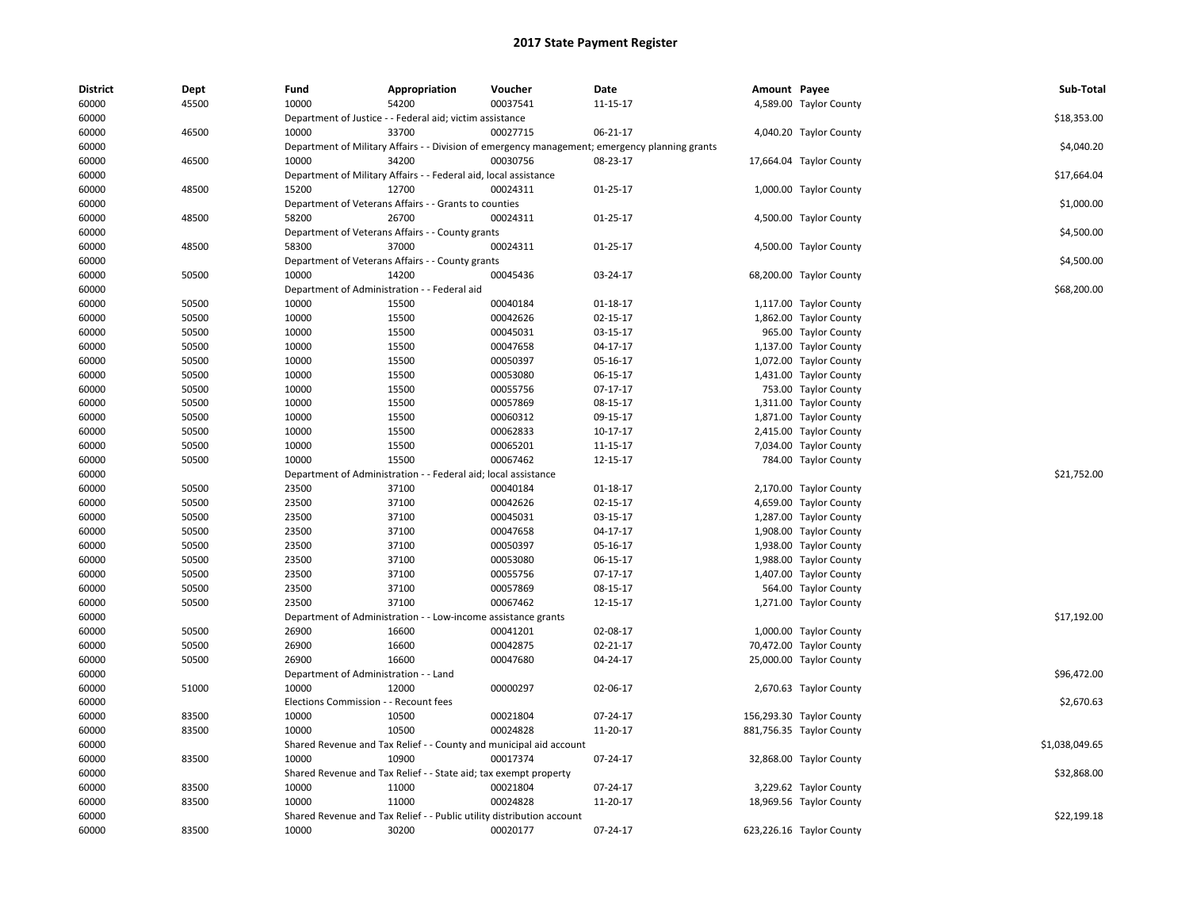| <b>District</b> | Dept  | Fund                                           | Appropriation                                                         | Voucher                                                            | Date                                                                                           | Amount Payee |                          | Sub-Total      |
|-----------------|-------|------------------------------------------------|-----------------------------------------------------------------------|--------------------------------------------------------------------|------------------------------------------------------------------------------------------------|--------------|--------------------------|----------------|
| 60000           | 45500 | 10000                                          | 54200                                                                 | 00037541                                                           | 11-15-17                                                                                       |              | 4,589.00 Taylor County   |                |
| 60000           |       |                                                | Department of Justice - - Federal aid; victim assistance              |                                                                    |                                                                                                |              |                          | \$18,353.00    |
| 60000           | 46500 | 10000                                          | 33700                                                                 | 00027715                                                           | 06-21-17                                                                                       |              | 4,040.20 Taylor County   |                |
| 60000           |       |                                                |                                                                       |                                                                    | Department of Military Affairs - - Division of emergency management; emergency planning grants |              |                          | \$4,040.20     |
| 60000           | 46500 | 10000                                          | 34200                                                                 | 00030756                                                           | 08-23-17                                                                                       |              | 17,664.04 Taylor County  |                |
| 60000           |       |                                                | Department of Military Affairs - - Federal aid, local assistance      |                                                                    |                                                                                                |              |                          | \$17,664.04    |
| 60000           | 48500 | 15200                                          | 12700                                                                 | 00024311                                                           | $01 - 25 - 17$                                                                                 |              | 1,000.00 Taylor County   |                |
| 60000           |       |                                                | Department of Veterans Affairs - - Grants to counties                 |                                                                    |                                                                                                |              |                          | \$1,000.00     |
| 60000           | 48500 | 58200                                          | 26700                                                                 | 00024311                                                           | $01-25-17$                                                                                     |              | 4,500.00 Taylor County   |                |
| 60000           |       |                                                | Department of Veterans Affairs - - County grants                      |                                                                    |                                                                                                |              |                          | \$4,500.00     |
| 60000           | 48500 | 58300                                          | 37000                                                                 | 00024311                                                           | $01 - 25 - 17$                                                                                 |              | 4,500.00 Taylor County   |                |
| 60000           |       |                                                | Department of Veterans Affairs - - County grants                      |                                                                    |                                                                                                |              |                          | \$4,500.00     |
| 60000           | 50500 | 10000                                          | 14200                                                                 | 00045436                                                           | 03-24-17                                                                                       |              | 68,200.00 Taylor County  |                |
| 60000           |       |                                                | Department of Administration - - Federal aid                          |                                                                    |                                                                                                |              |                          | \$68,200.00    |
| 60000           | 50500 | 10000                                          | 15500                                                                 | 00040184                                                           | $01-18-17$                                                                                     |              | 1,117.00 Taylor County   |                |
| 60000           | 50500 | 10000                                          | 15500                                                                 | 00042626                                                           | $02 - 15 - 17$                                                                                 |              | 1,862.00 Taylor County   |                |
| 60000           | 50500 | 10000                                          | 15500                                                                 | 00045031                                                           | 03-15-17                                                                                       |              | 965.00 Taylor County     |                |
| 60000           | 50500 | 10000                                          | 15500                                                                 | 00047658                                                           | 04-17-17                                                                                       |              | 1,137.00 Taylor County   |                |
| 60000           | 50500 | 10000                                          | 15500                                                                 | 00050397                                                           | 05-16-17                                                                                       |              | 1,072.00 Taylor County   |                |
| 60000           | 50500 | 10000                                          | 15500                                                                 | 00053080                                                           | 06-15-17                                                                                       |              | 1,431.00 Taylor County   |                |
| 60000           | 50500 | 10000                                          | 15500                                                                 | 00055756                                                           | 07-17-17                                                                                       |              | 753.00 Taylor County     |                |
| 60000           | 50500 | 10000                                          | 15500                                                                 | 00057869                                                           | 08-15-17                                                                                       |              | 1,311.00 Taylor County   |                |
| 60000           | 50500 | 10000                                          | 15500                                                                 | 00060312                                                           | 09-15-17                                                                                       |              | 1,871.00 Taylor County   |                |
| 60000           | 50500 | 10000                                          | 15500                                                                 | 00062833                                                           | 10-17-17                                                                                       |              | 2,415.00 Taylor County   |                |
| 60000           | 50500 | 10000                                          | 15500                                                                 | 00065201                                                           | 11-15-17                                                                                       |              | 7,034.00 Taylor County   |                |
| 60000           | 50500 | 10000                                          | 15500                                                                 | 00067462                                                           | 12-15-17                                                                                       |              | 784.00 Taylor County     |                |
| 60000           |       |                                                | Department of Administration - - Federal aid; local assistance        |                                                                    |                                                                                                |              |                          | \$21,752.00    |
| 60000           | 50500 | 23500                                          | 37100                                                                 | 00040184                                                           | 01-18-17                                                                                       |              | 2,170.00 Taylor County   |                |
| 60000           | 50500 | 23500                                          | 37100                                                                 | 00042626                                                           | 02-15-17                                                                                       |              | 4,659.00 Taylor County   |                |
| 60000           | 50500 | 23500                                          | 37100                                                                 | 00045031                                                           | 03-15-17                                                                                       |              | 1,287.00 Taylor County   |                |
| 60000           | 50500 | 23500                                          | 37100                                                                 | 00047658                                                           | 04-17-17                                                                                       |              | 1,908.00 Taylor County   |                |
| 60000           | 50500 | 23500                                          | 37100                                                                 | 00050397                                                           | 05-16-17                                                                                       |              | 1,938.00 Taylor County   |                |
| 60000           | 50500 | 23500                                          | 37100                                                                 | 00053080                                                           | 06-15-17                                                                                       |              | 1,988.00 Taylor County   |                |
| 60000           | 50500 | 23500                                          | 37100                                                                 | 00055756                                                           | $07 - 17 - 17$                                                                                 |              | 1,407.00 Taylor County   |                |
| 60000           | 50500 | 23500                                          | 37100                                                                 | 00057869                                                           | 08-15-17                                                                                       |              | 564.00 Taylor County     |                |
| 60000           | 50500 | 23500                                          | 37100                                                                 | 00067462                                                           | 12-15-17                                                                                       |              | 1,271.00 Taylor County   |                |
| 60000           |       |                                                | Department of Administration - - Low-income assistance grants         |                                                                    |                                                                                                |              |                          | \$17,192.00    |
| 60000           | 50500 | 26900                                          | 16600                                                                 | 00041201                                                           | 02-08-17                                                                                       |              | 1,000.00 Taylor County   |                |
| 60000           | 50500 | 26900                                          | 16600                                                                 | 00042875                                                           | $02 - 21 - 17$                                                                                 |              | 70,472.00 Taylor County  |                |
| 60000           | 50500 | 26900                                          | 16600                                                                 | 00047680                                                           | 04-24-17                                                                                       |              | 25,000.00 Taylor County  |                |
|                 |       |                                                |                                                                       |                                                                    |                                                                                                |              |                          | \$96,472.00    |
| 60000           | 51000 | Department of Administration - - Land<br>10000 | 12000                                                                 | 00000297                                                           | 02-06-17                                                                                       |              |                          |                |
| 60000           |       |                                                |                                                                       |                                                                    |                                                                                                |              | 2,670.63 Taylor County   |                |
| 60000           | 83500 | Elections Commission - - Recount fees<br>10000 | 10500                                                                 |                                                                    |                                                                                                |              |                          | \$2,670.63     |
| 60000           |       |                                                |                                                                       | 00021804                                                           | 07-24-17                                                                                       |              | 156,293.30 Taylor County |                |
| 60000           | 83500 | 10000                                          | 10500                                                                 | 00024828                                                           | 11-20-17                                                                                       |              | 881,756.35 Taylor County |                |
| 60000           |       |                                                |                                                                       | Shared Revenue and Tax Relief - - County and municipal aid account |                                                                                                |              |                          | \$1,038,049.65 |
| 60000           | 83500 | 10000                                          | 10900                                                                 | 00017374                                                           | 07-24-17                                                                                       |              | 32,868.00 Taylor County  |                |
| 60000           |       |                                                | Shared Revenue and Tax Relief - - State aid; tax exempt property      |                                                                    |                                                                                                |              |                          | \$32,868.00    |
| 60000           | 83500 | 10000                                          | 11000                                                                 | 00021804                                                           | 07-24-17                                                                                       |              | 3,229.62 Taylor County   |                |
| 60000           | 83500 | 10000                                          | 11000                                                                 | 00024828                                                           | 11-20-17                                                                                       |              | 18,969.56 Taylor County  |                |
| 60000           |       |                                                | Shared Revenue and Tax Relief - - Public utility distribution account |                                                                    |                                                                                                |              |                          | \$22,199.18    |
| 60000           | 83500 | 10000                                          | 30200                                                                 | 00020177                                                           | 07-24-17                                                                                       |              | 623,226.16 Taylor County |                |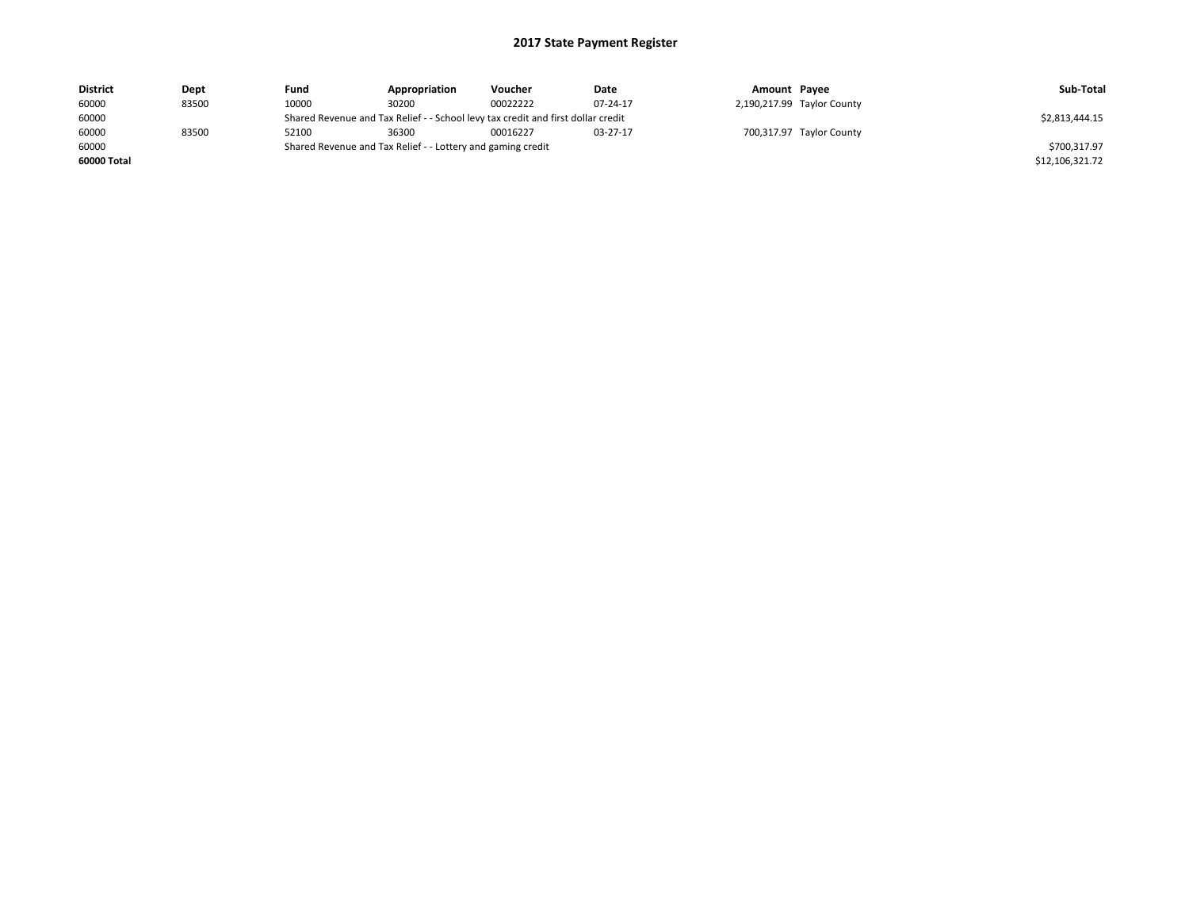| <b>District</b> | Dept  | Fund  | Appropriation                                                                    | Voucher  | Date     | Amount Payee |                            | Sub-Total       |
|-----------------|-------|-------|----------------------------------------------------------------------------------|----------|----------|--------------|----------------------------|-----------------|
| 60000           | 83500 | 10000 | 30200                                                                            | 00022222 | 07-24-17 |              | 2,190,217.99 Taylor County |                 |
| 60000           |       |       | Shared Revenue and Tax Relief - - School levy tax credit and first dollar credit |          |          |              |                            | \$2,813,444.15  |
| 60000           | 83500 | 52100 | 36300                                                                            | 00016227 | 03-27-17 |              | 700,317.97 Taylor County   |                 |
| 60000           |       |       | Shared Revenue and Tax Relief - - Lottery and gaming credit                      |          |          |              |                            | \$700,317.97    |
| 60000 Total     |       |       |                                                                                  |          |          |              |                            | \$12,106,321.72 |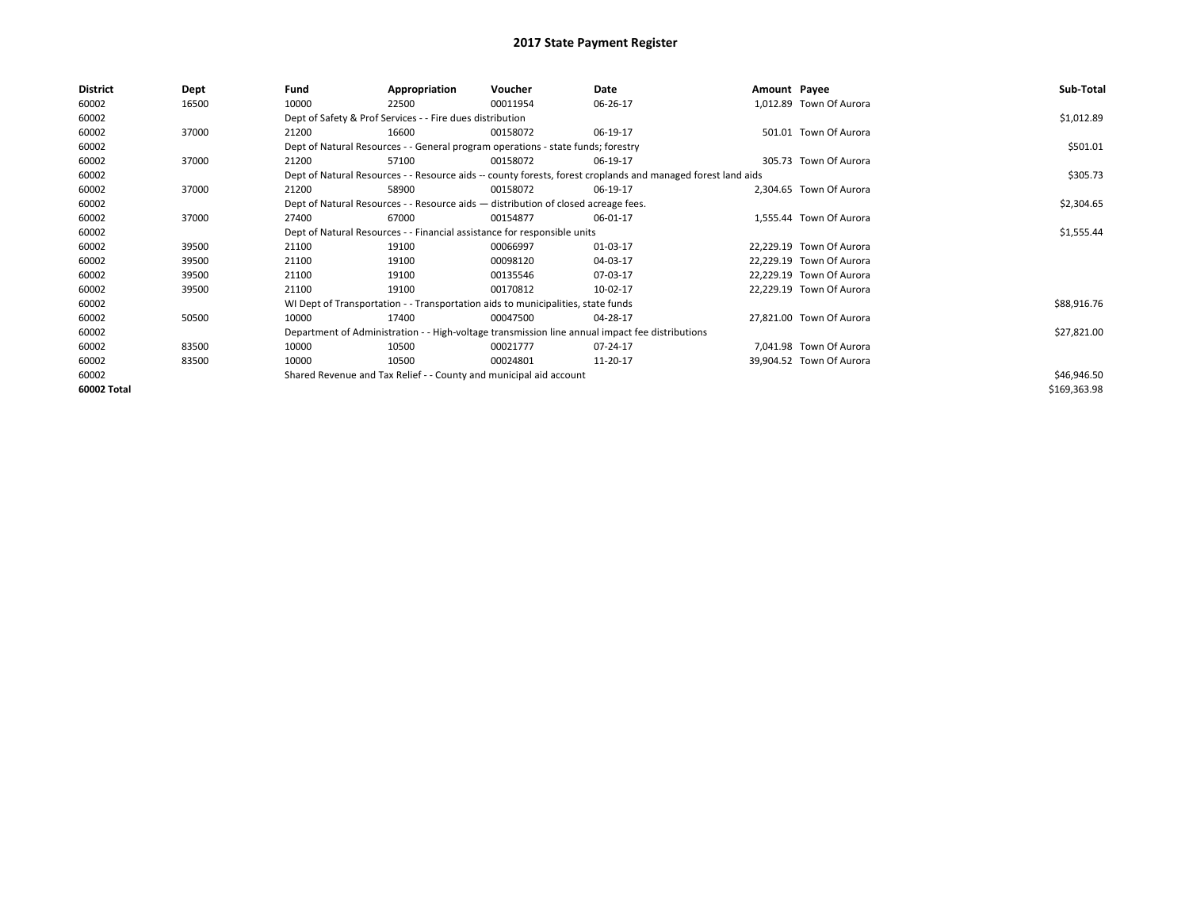| <b>District</b> | Dept  | Fund  | Appropriation                                                                                                | Voucher  | Date     | Amount Payee |                          | Sub-Total    |
|-----------------|-------|-------|--------------------------------------------------------------------------------------------------------------|----------|----------|--------------|--------------------------|--------------|
| 60002           | 16500 | 10000 | 22500                                                                                                        | 00011954 | 06-26-17 |              | 1,012.89 Town Of Aurora  |              |
| 60002           |       |       | Dept of Safety & Prof Services - - Fire dues distribution                                                    |          |          |              |                          | \$1,012.89   |
| 60002           | 37000 | 21200 | 16600                                                                                                        | 00158072 | 06-19-17 |              | 501.01 Town Of Aurora    |              |
| 60002           |       |       | Dept of Natural Resources - - General program operations - state funds; forestry                             |          |          |              |                          | \$501.01     |
| 60002           | 37000 | 21200 | 57100                                                                                                        | 00158072 | 06-19-17 |              | 305.73 Town Of Aurora    |              |
| 60002           |       |       | Dept of Natural Resources - - Resource aids -- county forests, forest croplands and managed forest land aids |          |          |              |                          | \$305.73     |
| 60002           | 37000 | 21200 | 58900                                                                                                        | 00158072 | 06-19-17 |              | 2,304.65 Town Of Aurora  |              |
| 60002           |       |       | Dept of Natural Resources - - Resource aids - distribution of closed acreage fees.                           |          |          |              |                          | \$2,304.65   |
| 60002           | 37000 | 27400 | 67000                                                                                                        | 00154877 | 06-01-17 |              | 1,555.44 Town Of Aurora  |              |
| 60002           |       |       | Dept of Natural Resources - - Financial assistance for responsible units                                     |          |          |              |                          | \$1,555.44   |
| 60002           | 39500 | 21100 | 19100                                                                                                        | 00066997 | 01-03-17 |              | 22,229.19 Town Of Aurora |              |
| 60002           | 39500 | 21100 | 19100                                                                                                        | 00098120 | 04-03-17 |              | 22,229.19 Town Of Aurora |              |
| 60002           | 39500 | 21100 | 19100                                                                                                        | 00135546 | 07-03-17 |              | 22,229.19 Town Of Aurora |              |
| 60002           | 39500 | 21100 | 19100                                                                                                        | 00170812 | 10-02-17 |              | 22,229.19 Town Of Aurora |              |
| 60002           |       |       | WI Dept of Transportation - - Transportation aids to municipalities, state funds                             |          |          |              |                          | \$88,916.76  |
| 60002           | 50500 | 10000 | 17400                                                                                                        | 00047500 | 04-28-17 |              | 27.821.00 Town Of Aurora |              |
| 60002           |       |       | Department of Administration - - High-voltage transmission line annual impact fee distributions              |          |          |              |                          | \$27,821.00  |
| 60002           | 83500 | 10000 | 10500                                                                                                        | 00021777 | 07-24-17 |              | 7,041.98 Town Of Aurora  |              |
| 60002           | 83500 | 10000 | 10500                                                                                                        | 00024801 | 11-20-17 |              | 39,904.52 Town Of Aurora |              |
| 60002           |       |       | Shared Revenue and Tax Relief - - County and municipal aid account                                           |          |          |              |                          | \$46,946.50  |
| 60002 Total     |       |       |                                                                                                              |          |          |              |                          | \$169,363.98 |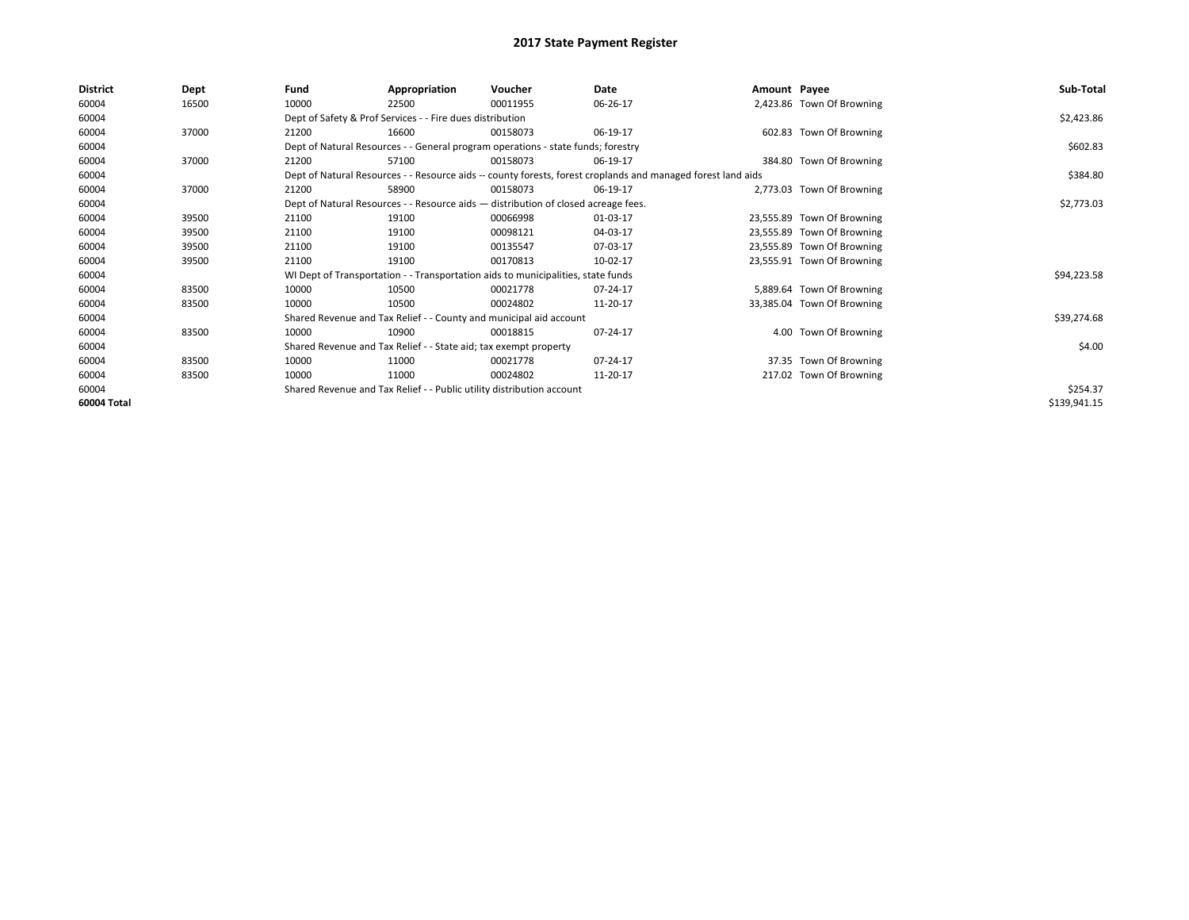| <b>District</b><br>Fund<br>Appropriation<br>Date<br>Dept<br>Voucher<br>Amount Payee                                   | Sub-Total                  |
|-----------------------------------------------------------------------------------------------------------------------|----------------------------|
| 60004<br>16500<br>10000<br>00011955<br>06-26-17<br>22500                                                              | 2,423.86 Town Of Browning  |
| Dept of Safety & Prof Services - - Fire dues distribution<br>60004                                                    | \$2,423.86                 |
| 60004<br>37000<br>21200<br>16600<br>06-19-17<br>00158073                                                              | 602.83 Town Of Browning    |
| 60004<br>Dept of Natural Resources - - General program operations - state funds; forestry                             | \$602.83                   |
| 37000<br>60004<br>57100<br>21200<br>00158073<br>06-19-17                                                              | 384.80 Town Of Browning    |
| 60004<br>Dept of Natural Resources - - Resource aids -- county forests, forest croplands and managed forest land aids | \$384.80                   |
| 60004<br>37000<br>58900<br>21200<br>00158073<br>06-19-17                                                              | 2,773.03 Town Of Browning  |
| 60004<br>Dept of Natural Resources - - Resource aids - distribution of closed acreage fees.                           | \$2,773.03                 |
| 60004<br>39500<br>21100<br>19100<br>00066998<br>01-03-17                                                              | 23,555.89 Town Of Browning |
| 60004<br>21100<br>00098121<br>39500<br>19100<br>04-03-17                                                              | 23,555.89 Town Of Browning |
| 60004<br>21100<br>19100<br>07-03-17<br>39500<br>00135547                                                              | 23,555.89 Town Of Browning |
| 60004<br>39500<br>21100<br>19100<br>00170813<br>10-02-17                                                              | 23,555.91 Town Of Browning |
| 60004<br>WI Dept of Transportation - - Transportation aids to municipalities, state funds                             | \$94,223.58                |
| 60004<br>83500<br>10000<br>07-24-17<br>10500<br>00021778                                                              | 5,889.64 Town Of Browning  |
| 60004<br>10000<br>10500<br>83500<br>00024802<br>11-20-17                                                              | 33,385.04 Town Of Browning |
| 60004<br>Shared Revenue and Tax Relief - - County and municipal aid account                                           | \$39,274.68                |
| 60004<br>83500<br>10000<br>10900<br>07-24-17<br>00018815                                                              | 4.00 Town Of Browning      |
| 60004<br>Shared Revenue and Tax Relief - - State aid; tax exempt property                                             | \$4.00                     |
| 60004<br>10000<br>83500<br>11000<br>07-24-17<br>00021778                                                              | 37.35 Town Of Browning     |
| 60004<br>10000<br>11000<br>83500<br>00024802<br>11-20-17                                                              | 217.02 Town Of Browning    |
| 60004<br>Shared Revenue and Tax Relief - - Public utility distribution account                                        | \$254.37                   |
| 60004 Total                                                                                                           | \$139,941.15               |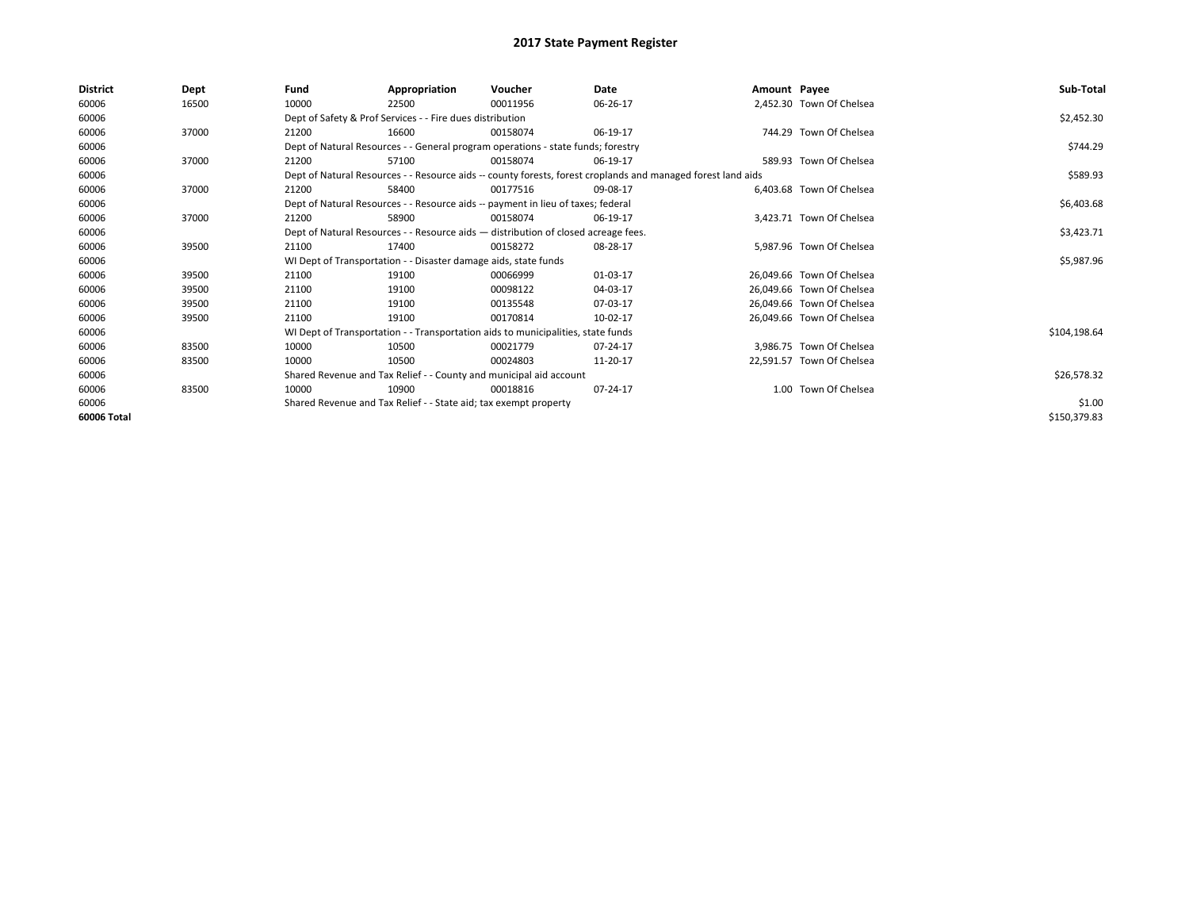| <b>District</b> | Dept  | Fund  | Appropriation                                                                      | Voucher  | Date                                                                                                         | Amount Payee |                           | Sub-Total    |
|-----------------|-------|-------|------------------------------------------------------------------------------------|----------|--------------------------------------------------------------------------------------------------------------|--------------|---------------------------|--------------|
| 60006           | 16500 | 10000 | 22500                                                                              | 00011956 | 06-26-17                                                                                                     |              | 2,452.30 Town Of Chelsea  |              |
| 60006           |       |       | Dept of Safety & Prof Services - - Fire dues distribution                          |          |                                                                                                              |              |                           | \$2,452.30   |
| 60006           | 37000 | 21200 | 16600                                                                              | 00158074 | 06-19-17                                                                                                     |              | 744.29 Town Of Chelsea    |              |
| 60006           |       |       | Dept of Natural Resources - - General program operations - state funds; forestry   |          |                                                                                                              |              |                           | \$744.29     |
| 60006           | 37000 | 21200 | 57100                                                                              | 00158074 | 06-19-17                                                                                                     |              | 589.93 Town Of Chelsea    |              |
| 60006           |       |       |                                                                                    |          | Dept of Natural Resources - - Resource aids -- county forests, forest croplands and managed forest land aids |              |                           | \$589.93     |
| 60006           | 37000 | 21200 | 58400                                                                              | 00177516 | 09-08-17                                                                                                     |              | 6,403.68 Town Of Chelsea  |              |
| 60006           |       |       | Dept of Natural Resources - - Resource aids -- payment in lieu of taxes; federal   |          |                                                                                                              |              |                           | \$6,403.68   |
| 60006           | 37000 | 21200 | 58900                                                                              | 00158074 | 06-19-17                                                                                                     |              | 3,423.71 Town Of Chelsea  |              |
| 60006           |       |       | Dept of Natural Resources - - Resource aids - distribution of closed acreage fees. |          |                                                                                                              |              |                           | \$3,423.71   |
| 60006           | 39500 | 21100 | 17400                                                                              | 00158272 | 08-28-17                                                                                                     |              | 5,987.96 Town Of Chelsea  |              |
| 60006           |       |       | WI Dept of Transportation - - Disaster damage aids, state funds                    |          |                                                                                                              |              |                           | \$5,987.96   |
| 60006           | 39500 | 21100 | 19100                                                                              | 00066999 | 01-03-17                                                                                                     |              | 26.049.66 Town Of Chelsea |              |
| 60006           | 39500 | 21100 | 19100                                                                              | 00098122 | 04-03-17                                                                                                     |              | 26,049.66 Town Of Chelsea |              |
| 60006           | 39500 | 21100 | 19100                                                                              | 00135548 | 07-03-17                                                                                                     |              | 26,049.66 Town Of Chelsea |              |
| 60006           | 39500 | 21100 | 19100                                                                              | 00170814 | 10-02-17                                                                                                     |              | 26,049.66 Town Of Chelsea |              |
| 60006           |       |       | WI Dept of Transportation - - Transportation aids to municipalities, state funds   |          |                                                                                                              |              |                           | \$104,198.64 |
| 60006           | 83500 | 10000 | 10500                                                                              | 00021779 | 07-24-17                                                                                                     |              | 3,986.75 Town Of Chelsea  |              |
| 60006           | 83500 | 10000 | 10500                                                                              | 00024803 | 11-20-17                                                                                                     |              | 22,591.57 Town Of Chelsea |              |
| 60006           |       |       | Shared Revenue and Tax Relief - - County and municipal aid account                 |          |                                                                                                              |              |                           | \$26,578.32  |
| 60006           | 83500 | 10000 | 10900                                                                              | 00018816 | 07-24-17                                                                                                     |              | 1.00 Town Of Chelsea      |              |
| 60006           |       |       | Shared Revenue and Tax Relief - - State aid; tax exempt property                   |          |                                                                                                              |              |                           | \$1.00       |
| 60006 Total     |       |       |                                                                                    |          |                                                                                                              |              |                           | \$150,379.83 |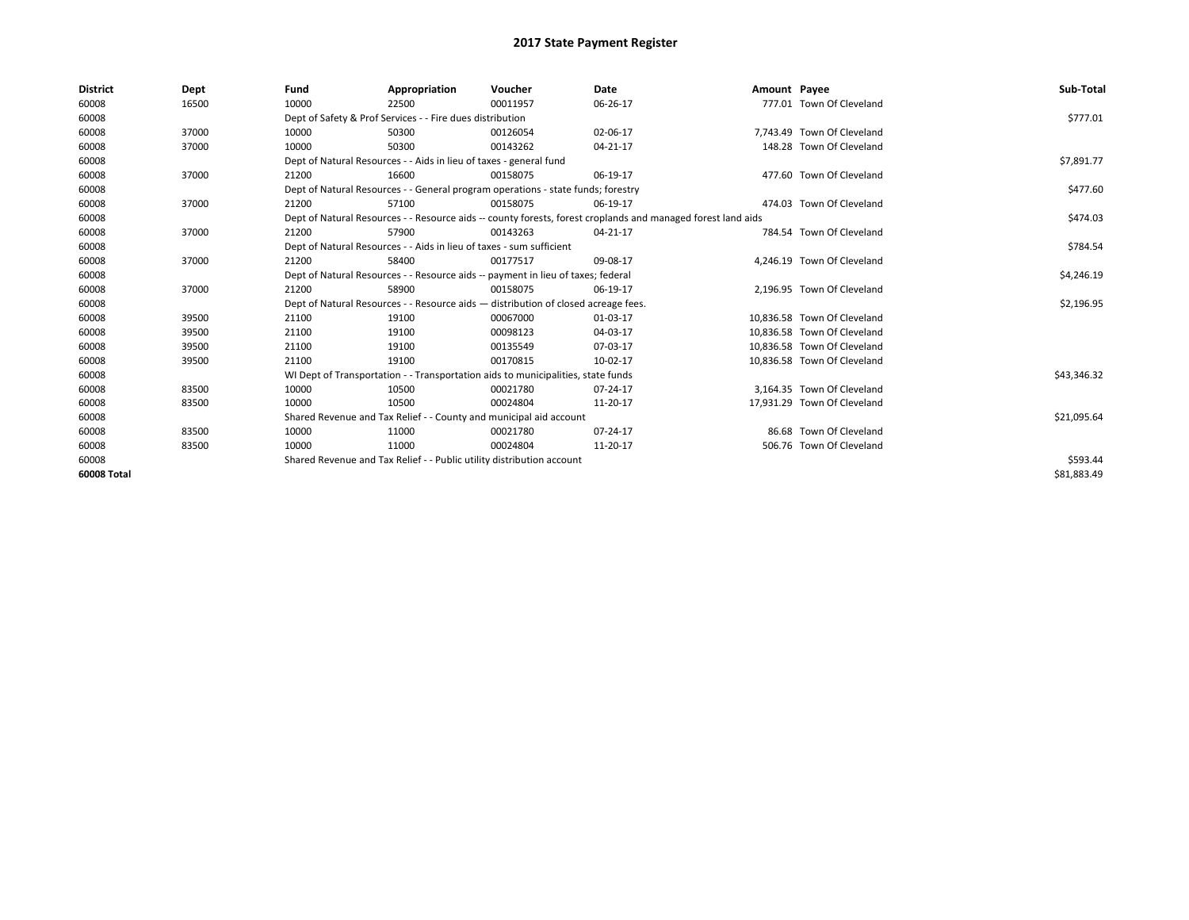| <b>District</b> | Dept  | Fund  | Appropriation                                                                      | Voucher  | Date                                                                                                         | Amount Payee |                             | Sub-Total   |
|-----------------|-------|-------|------------------------------------------------------------------------------------|----------|--------------------------------------------------------------------------------------------------------------|--------------|-----------------------------|-------------|
| 60008           | 16500 | 10000 | 22500                                                                              | 00011957 | 06-26-17                                                                                                     |              | 777.01 Town Of Cleveland    |             |
| 60008           |       |       | Dept of Safety & Prof Services - - Fire dues distribution                          |          |                                                                                                              |              |                             | \$777.01    |
| 60008           | 37000 | 10000 | 50300                                                                              | 00126054 | 02-06-17                                                                                                     |              | 7.743.49 Town Of Cleveland  |             |
| 60008           | 37000 | 10000 | 50300                                                                              | 00143262 | 04-21-17                                                                                                     |              | 148.28 Town Of Cleveland    |             |
| 60008           |       |       | Dept of Natural Resources - - Aids in lieu of taxes - general fund                 |          |                                                                                                              |              |                             | \$7,891.77  |
| 60008           | 37000 | 21200 | 16600                                                                              | 00158075 | 06-19-17                                                                                                     |              | 477.60 Town Of Cleveland    |             |
| 60008           |       |       | Dept of Natural Resources - - General program operations - state funds; forestry   |          |                                                                                                              |              |                             | \$477.60    |
| 60008           | 37000 | 21200 | 57100                                                                              | 00158075 | 06-19-17                                                                                                     |              | 474.03 Town Of Cleveland    |             |
| 60008           |       |       |                                                                                    |          | Dept of Natural Resources - - Resource aids -- county forests, forest croplands and managed forest land aids |              |                             | \$474.03    |
| 60008           | 37000 | 21200 | 57900                                                                              | 00143263 | 04-21-17                                                                                                     |              | 784.54 Town Of Cleveland    |             |
| 60008           |       |       | Dept of Natural Resources - - Aids in lieu of taxes - sum sufficient               |          |                                                                                                              |              |                             | \$784.54    |
| 60008           | 37000 | 21200 | 58400                                                                              | 00177517 | 09-08-17                                                                                                     |              | 4,246.19 Town Of Cleveland  |             |
| 60008           |       |       | Dept of Natural Resources - - Resource aids -- payment in lieu of taxes; federal   |          |                                                                                                              |              |                             | \$4,246.19  |
| 60008           | 37000 | 21200 | 58900                                                                              | 00158075 | 06-19-17                                                                                                     |              | 2,196.95 Town Of Cleveland  |             |
| 60008           |       |       | Dept of Natural Resources - - Resource aids - distribution of closed acreage fees. |          |                                                                                                              |              |                             | \$2,196.95  |
| 60008           | 39500 | 21100 | 19100                                                                              | 00067000 | 01-03-17                                                                                                     |              | 10,836.58 Town Of Cleveland |             |
| 60008           | 39500 | 21100 | 19100                                                                              | 00098123 | 04-03-17                                                                                                     |              | 10,836.58 Town Of Cleveland |             |
| 60008           | 39500 | 21100 | 19100                                                                              | 00135549 | 07-03-17                                                                                                     |              | 10.836.58 Town Of Cleveland |             |
| 60008           | 39500 | 21100 | 19100                                                                              | 00170815 | 10-02-17                                                                                                     |              | 10,836.58 Town Of Cleveland |             |
| 60008           |       |       | WI Dept of Transportation - - Transportation aids to municipalities, state funds   |          |                                                                                                              |              |                             | \$43,346.32 |
| 60008           | 83500 | 10000 | 10500                                                                              | 00021780 | 07-24-17                                                                                                     |              | 3,164.35 Town Of Cleveland  |             |
| 60008           | 83500 | 10000 | 10500                                                                              | 00024804 | 11-20-17                                                                                                     |              | 17,931.29 Town Of Cleveland |             |
| 60008           |       |       | Shared Revenue and Tax Relief - - County and municipal aid account                 |          |                                                                                                              |              |                             | \$21,095.64 |
| 60008           | 83500 | 10000 | 11000                                                                              | 00021780 | 07-24-17                                                                                                     |              | 86.68 Town Of Cleveland     |             |
| 60008           | 83500 | 10000 | 11000                                                                              | 00024804 | 11-20-17                                                                                                     |              | 506.76 Town Of Cleveland    |             |
| 60008           |       |       | Shared Revenue and Tax Relief - - Public utility distribution account              |          |                                                                                                              |              |                             | \$593.44    |
| 60008 Total     |       |       |                                                                                    |          |                                                                                                              |              |                             | \$81,883.49 |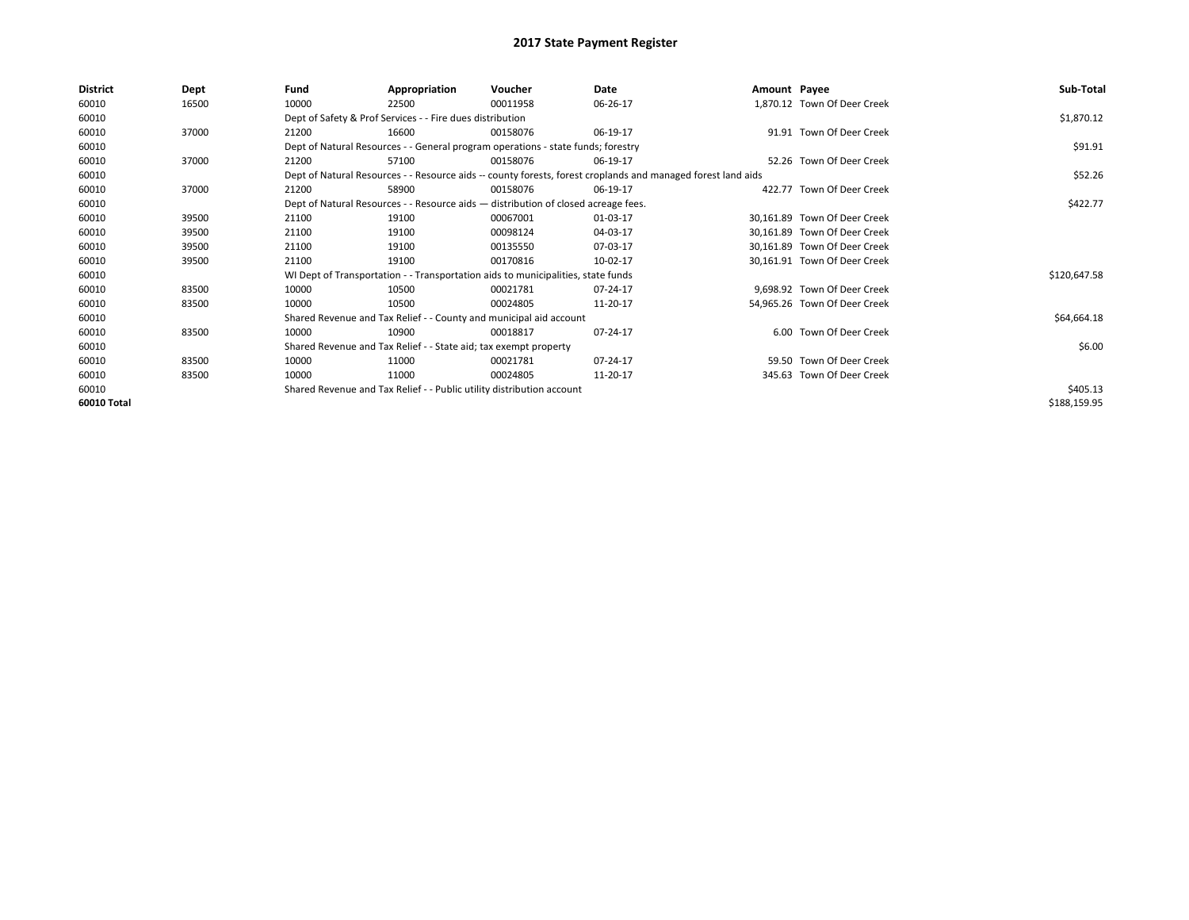| <b>District</b> | Dept  | Fund  | Appropriation                                                                      | Voucher  | Date                                                                                                         | Amount Payee |                              | Sub-Total    |
|-----------------|-------|-------|------------------------------------------------------------------------------------|----------|--------------------------------------------------------------------------------------------------------------|--------------|------------------------------|--------------|
| 60010           | 16500 | 10000 | 22500                                                                              | 00011958 | 06-26-17                                                                                                     |              | 1,870.12 Town Of Deer Creek  |              |
| 60010           |       |       | Dept of Safety & Prof Services - - Fire dues distribution                          |          |                                                                                                              |              |                              | \$1,870.12   |
| 60010           | 37000 | 21200 | 16600                                                                              | 00158076 | 06-19-17                                                                                                     |              | 91.91 Town Of Deer Creek     |              |
| 60010           |       |       | Dept of Natural Resources - - General program operations - state funds; forestry   |          |                                                                                                              |              |                              | \$91.91      |
| 60010           | 37000 | 21200 | 57100                                                                              | 00158076 | 06-19-17                                                                                                     |              | 52.26 Town Of Deer Creek     |              |
| 60010           |       |       |                                                                                    |          | Dept of Natural Resources - - Resource aids -- county forests, forest croplands and managed forest land aids |              |                              | \$52.26      |
| 60010           | 37000 | 21200 | 58900                                                                              | 00158076 | 06-19-17                                                                                                     |              | 422.77 Town Of Deer Creek    |              |
| 60010           |       |       | Dept of Natural Resources - - Resource aids - distribution of closed acreage fees. |          |                                                                                                              |              |                              | \$422.77     |
| 60010           | 39500 | 21100 | 19100                                                                              | 00067001 | 01-03-17                                                                                                     |              | 30,161.89 Town Of Deer Creek |              |
| 60010           | 39500 | 21100 | 19100                                                                              | 00098124 | 04-03-17                                                                                                     |              | 30.161.89 Town Of Deer Creek |              |
| 60010           | 39500 | 21100 | 19100                                                                              | 00135550 | 07-03-17                                                                                                     |              | 30,161.89 Town Of Deer Creek |              |
| 60010           | 39500 | 21100 | 19100                                                                              | 00170816 | 10-02-17                                                                                                     |              | 30,161.91 Town Of Deer Creek |              |
| 60010           |       |       | WI Dept of Transportation - - Transportation aids to municipalities, state funds   |          |                                                                                                              |              |                              | \$120,647.58 |
| 60010           | 83500 | 10000 | 10500                                                                              | 00021781 | 07-24-17                                                                                                     |              | 9,698.92 Town Of Deer Creek  |              |
| 60010           | 83500 | 10000 | 10500                                                                              | 00024805 | 11-20-17                                                                                                     |              | 54,965.26 Town Of Deer Creek |              |
| 60010           |       |       | Shared Revenue and Tax Relief - - County and municipal aid account                 |          |                                                                                                              |              |                              | \$64,664.18  |
| 60010           | 83500 | 10000 | 10900                                                                              | 00018817 | 07-24-17                                                                                                     |              | 6.00 Town Of Deer Creek      |              |
| 60010           |       |       | Shared Revenue and Tax Relief - - State aid; tax exempt property                   |          |                                                                                                              |              |                              | \$6.00       |
| 60010           | 83500 | 10000 | 11000                                                                              | 00021781 | 07-24-17                                                                                                     |              | 59.50 Town Of Deer Creek     |              |
| 60010           | 83500 | 10000 | 11000                                                                              | 00024805 | 11-20-17                                                                                                     |              | 345.63 Town Of Deer Creek    |              |
| 60010           |       |       | Shared Revenue and Tax Relief - - Public utility distribution account              |          |                                                                                                              |              |                              | \$405.13     |
| 60010 Total     |       |       |                                                                                    |          |                                                                                                              |              |                              | \$188,159.95 |
|                 |       |       |                                                                                    |          |                                                                                                              |              |                              |              |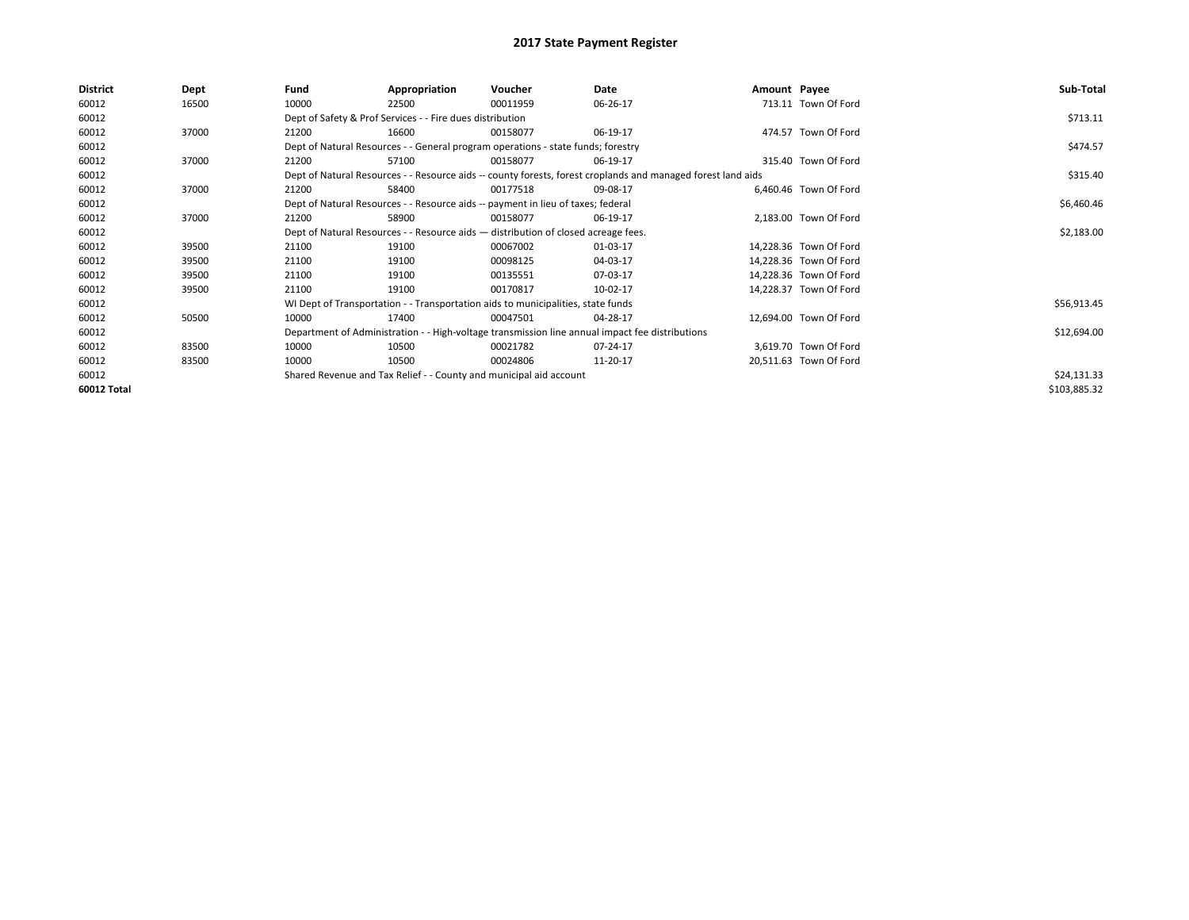| <b>District</b> | Dept  | Fund  | Appropriation                                                                      | Voucher  | Date                                                                                                         | Amount Payee |                        | Sub-Total    |
|-----------------|-------|-------|------------------------------------------------------------------------------------|----------|--------------------------------------------------------------------------------------------------------------|--------------|------------------------|--------------|
| 60012           | 16500 | 10000 | 22500                                                                              | 00011959 | 06-26-17                                                                                                     |              | 713.11 Town Of Ford    |              |
| 60012           |       |       | Dept of Safety & Prof Services - - Fire dues distribution                          |          |                                                                                                              |              |                        | \$713.11     |
| 60012           | 37000 | 21200 | 16600                                                                              | 00158077 | 06-19-17                                                                                                     |              | 474.57 Town Of Ford    |              |
| 60012           |       |       | Dept of Natural Resources - - General program operations - state funds; forestry   |          |                                                                                                              |              |                        | \$474.57     |
| 60012           | 37000 | 21200 | 57100                                                                              | 00158077 | 06-19-17                                                                                                     |              | 315.40 Town Of Ford    |              |
| 60012           |       |       |                                                                                    |          | Dept of Natural Resources - - Resource aids -- county forests, forest croplands and managed forest land aids |              |                        | \$315.40     |
| 60012           | 37000 | 21200 | 58400                                                                              | 00177518 | 09-08-17                                                                                                     |              | 6,460.46 Town Of Ford  |              |
| 60012           |       |       | Dept of Natural Resources - - Resource aids -- payment in lieu of taxes; federal   |          |                                                                                                              |              |                        | \$6,460.46   |
| 60012           | 37000 | 21200 | 58900                                                                              | 00158077 | 06-19-17                                                                                                     |              | 2,183.00 Town Of Ford  |              |
| 60012           |       |       | Dept of Natural Resources - - Resource aids - distribution of closed acreage fees. |          |                                                                                                              |              |                        | \$2,183.00   |
| 60012           | 39500 | 21100 | 19100                                                                              | 00067002 | 01-03-17                                                                                                     |              | 14,228.36 Town Of Ford |              |
| 60012           | 39500 | 21100 | 19100                                                                              | 00098125 | 04-03-17                                                                                                     |              | 14,228.36 Town Of Ford |              |
| 60012           | 39500 | 21100 | 19100                                                                              | 00135551 | 07-03-17                                                                                                     |              | 14.228.36 Town Of Ford |              |
| 60012           | 39500 | 21100 | 19100                                                                              | 00170817 | 10-02-17                                                                                                     |              | 14,228.37 Town Of Ford |              |
| 60012           |       |       | WI Dept of Transportation - - Transportation aids to municipalities, state funds   |          |                                                                                                              |              |                        | \$56,913.45  |
| 60012           | 50500 | 10000 | 17400                                                                              | 00047501 | 04-28-17                                                                                                     |              | 12,694.00 Town Of Ford |              |
| 60012           |       |       |                                                                                    |          | Department of Administration - - High-voltage transmission line annual impact fee distributions              |              |                        | \$12,694.00  |
| 60012           | 83500 | 10000 | 10500                                                                              | 00021782 | 07-24-17                                                                                                     |              | 3,619.70 Town Of Ford  |              |
| 60012           | 83500 | 10000 | 10500                                                                              | 00024806 | 11-20-17                                                                                                     |              | 20,511.63 Town Of Ford |              |
| 60012           |       |       | Shared Revenue and Tax Relief - - County and municipal aid account                 |          |                                                                                                              |              |                        | \$24,131.33  |
| 60012 Total     |       |       |                                                                                    |          |                                                                                                              |              |                        | \$103,885.32 |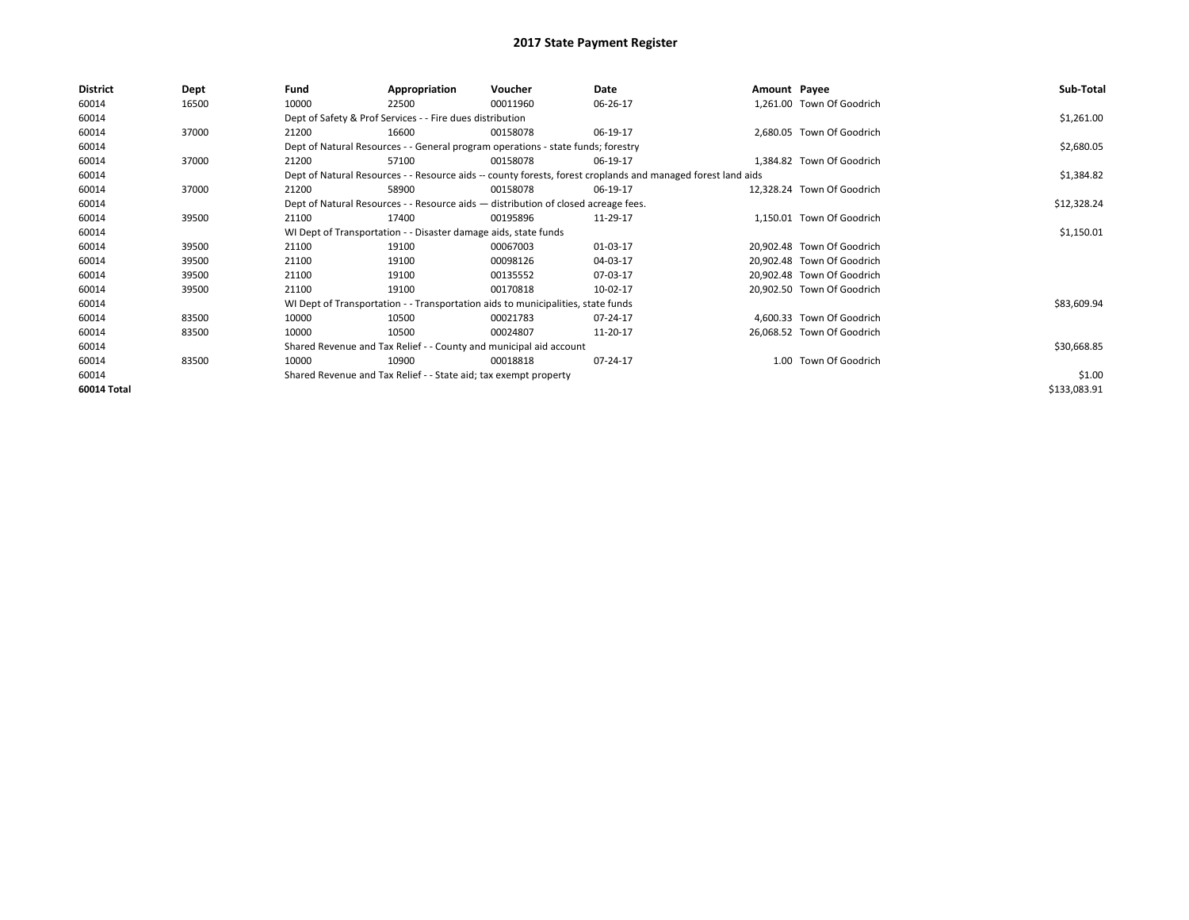| <b>District</b> | Dept  | Fund  | Appropriation                                                                      | Voucher  | Date                                                                                                         | Amount Payee |                            | Sub-Total    |
|-----------------|-------|-------|------------------------------------------------------------------------------------|----------|--------------------------------------------------------------------------------------------------------------|--------------|----------------------------|--------------|
| 60014           | 16500 | 10000 | 22500                                                                              | 00011960 | 06-26-17                                                                                                     |              | 1,261.00 Town Of Goodrich  |              |
| 60014           |       |       | Dept of Safety & Prof Services - - Fire dues distribution                          |          |                                                                                                              |              |                            | \$1,261.00   |
| 60014           | 37000 | 21200 | 16600                                                                              | 00158078 | 06-19-17                                                                                                     |              | 2,680.05 Town Of Goodrich  |              |
| 60014           |       |       | Dept of Natural Resources - - General program operations - state funds; forestry   |          |                                                                                                              |              |                            | \$2,680.05   |
| 60014           | 37000 | 21200 | 57100                                                                              | 00158078 | 06-19-17                                                                                                     |              | 1,384.82 Town Of Goodrich  |              |
| 60014           |       |       |                                                                                    |          | Dept of Natural Resources - - Resource aids -- county forests, forest croplands and managed forest land aids |              |                            | \$1,384.82   |
| 60014           | 37000 | 21200 | 58900                                                                              | 00158078 | 06-19-17                                                                                                     |              | 12,328.24 Town Of Goodrich |              |
| 60014           |       |       | Dept of Natural Resources - - Resource aids - distribution of closed acreage fees. |          |                                                                                                              |              |                            | \$12,328.24  |
| 60014           | 39500 | 21100 | 17400                                                                              | 00195896 | 11-29-17                                                                                                     |              | 1,150.01 Town Of Goodrich  |              |
| 60014           |       |       | WI Dept of Transportation - - Disaster damage aids, state funds                    |          |                                                                                                              |              |                            | \$1,150.01   |
| 60014           | 39500 | 21100 | 19100                                                                              | 00067003 | 01-03-17                                                                                                     |              | 20,902.48 Town Of Goodrich |              |
| 60014           | 39500 | 21100 | 19100                                                                              | 00098126 | 04-03-17                                                                                                     |              | 20,902.48 Town Of Goodrich |              |
| 60014           | 39500 | 21100 | 19100                                                                              | 00135552 | 07-03-17                                                                                                     |              | 20,902.48 Town Of Goodrich |              |
| 60014           | 39500 | 21100 | 19100                                                                              | 00170818 | 10-02-17                                                                                                     |              | 20,902.50 Town Of Goodrich |              |
| 60014           |       |       | WI Dept of Transportation - - Transportation aids to municipalities, state funds   |          |                                                                                                              |              |                            | \$83,609.94  |
| 60014           | 83500 | 10000 | 10500                                                                              | 00021783 | 07-24-17                                                                                                     |              | 4,600.33 Town Of Goodrich  |              |
| 60014           | 83500 | 10000 | 10500                                                                              | 00024807 | 11-20-17                                                                                                     |              | 26,068.52 Town Of Goodrich |              |
| 60014           |       |       | Shared Revenue and Tax Relief - - County and municipal aid account                 |          |                                                                                                              |              |                            | \$30,668.85  |
| 60014           | 83500 | 10000 | 10900                                                                              | 00018818 | 07-24-17                                                                                                     |              | 1.00 Town Of Goodrich      |              |
| 60014           |       |       | Shared Revenue and Tax Relief - - State aid; tax exempt property                   |          |                                                                                                              |              |                            | \$1.00       |
| 60014 Total     |       |       |                                                                                    |          |                                                                                                              |              |                            | \$133,083.91 |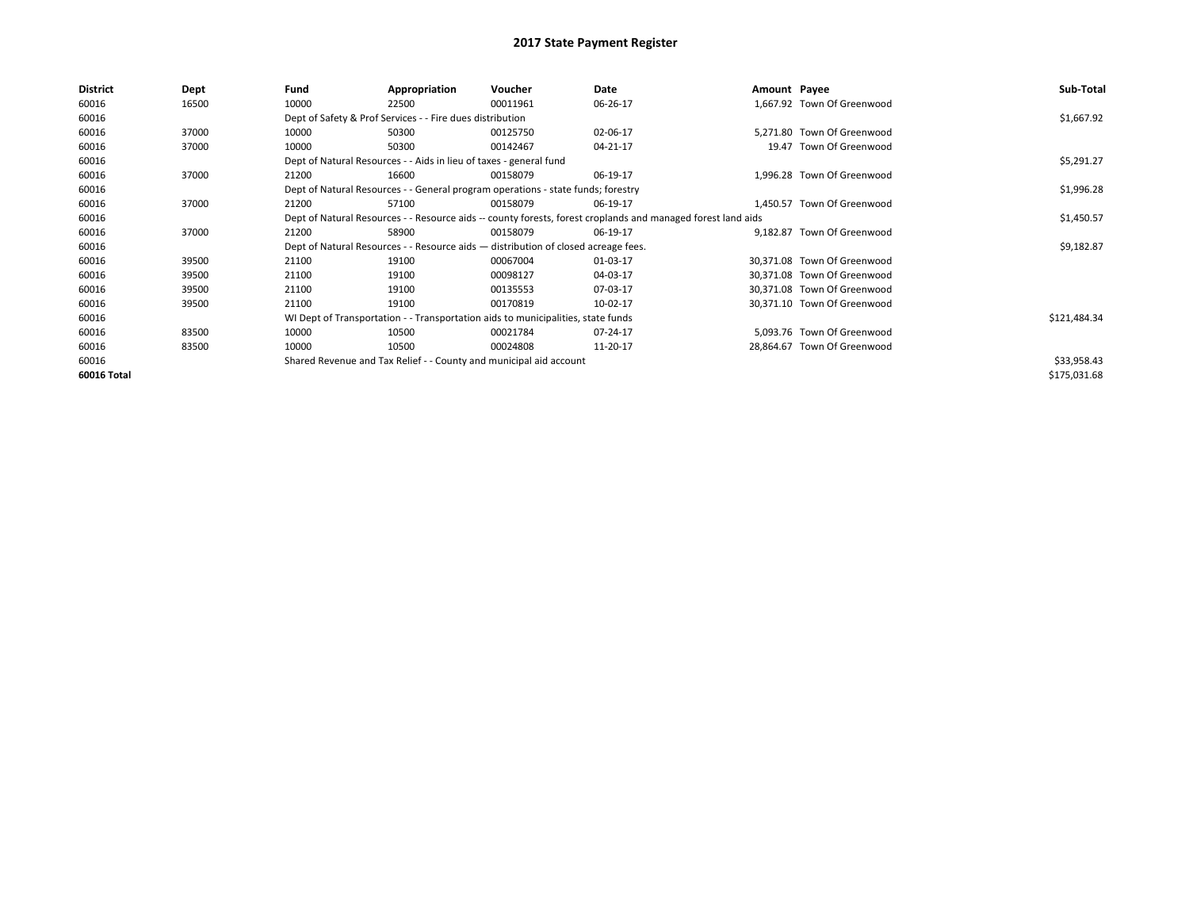| District    | Dept  | Fund  | Appropriation                                                                                                | Voucher  | Date     | Amount Payee |                             | Sub-Total    |  |  |
|-------------|-------|-------|--------------------------------------------------------------------------------------------------------------|----------|----------|--------------|-----------------------------|--------------|--|--|
| 60016       | 16500 | 10000 | 22500                                                                                                        | 00011961 | 06-26-17 |              | 1,667.92 Town Of Greenwood  |              |  |  |
| 60016       |       |       | Dept of Safety & Prof Services - - Fire dues distribution                                                    |          |          |              |                             | \$1,667.92   |  |  |
| 60016       | 37000 | 10000 | 50300                                                                                                        | 00125750 | 02-06-17 |              | 5.271.80 Town Of Greenwood  |              |  |  |
| 60016       | 37000 | 10000 | 50300                                                                                                        | 00142467 | 04-21-17 |              | 19.47 Town Of Greenwood     |              |  |  |
| 60016       |       |       | Dept of Natural Resources - - Aids in lieu of taxes - general fund                                           |          |          |              |                             | \$5,291.27   |  |  |
| 60016       | 37000 | 21200 | 16600                                                                                                        | 00158079 | 06-19-17 |              | 1,996.28 Town Of Greenwood  |              |  |  |
| 60016       |       |       | Dept of Natural Resources - - General program operations - state funds; forestry                             |          |          |              |                             | \$1,996.28   |  |  |
| 60016       | 37000 | 21200 | 57100                                                                                                        | 00158079 | 06-19-17 |              | 1.450.57 Town Of Greenwood  |              |  |  |
| 60016       |       |       | Dept of Natural Resources - - Resource aids -- county forests, forest croplands and managed forest land aids |          |          |              |                             |              |  |  |
| 60016       | 37000 | 21200 | 58900                                                                                                        | 00158079 | 06-19-17 |              | 9,182.87 Town Of Greenwood  |              |  |  |
| 60016       |       |       | Dept of Natural Resources - - Resource aids - distribution of closed acreage fees.                           |          |          |              |                             | \$9,182.87   |  |  |
| 60016       | 39500 | 21100 | 19100                                                                                                        | 00067004 | 01-03-17 |              | 30,371.08 Town Of Greenwood |              |  |  |
| 60016       | 39500 | 21100 | 19100                                                                                                        | 00098127 | 04-03-17 |              | 30,371.08 Town Of Greenwood |              |  |  |
| 60016       | 39500 | 21100 | 19100                                                                                                        | 00135553 | 07-03-17 |              | 30,371.08 Town Of Greenwood |              |  |  |
| 60016       | 39500 | 21100 | 19100                                                                                                        | 00170819 | 10-02-17 |              | 30,371.10 Town Of Greenwood |              |  |  |
| 60016       |       |       | WI Dept of Transportation - - Transportation aids to municipalities, state funds                             |          |          |              |                             | \$121,484.34 |  |  |
| 60016       | 83500 | 10000 | 10500                                                                                                        | 00021784 | 07-24-17 |              | 5.093.76 Town Of Greenwood  |              |  |  |
| 60016       | 83500 | 10000 | 10500                                                                                                        | 00024808 | 11-20-17 |              | 28,864.67 Town Of Greenwood |              |  |  |
| 60016       |       |       | Shared Revenue and Tax Relief - - County and municipal aid account                                           |          |          |              |                             | \$33,958.43  |  |  |
| 60016 Total |       |       |                                                                                                              |          |          |              |                             | \$175,031.68 |  |  |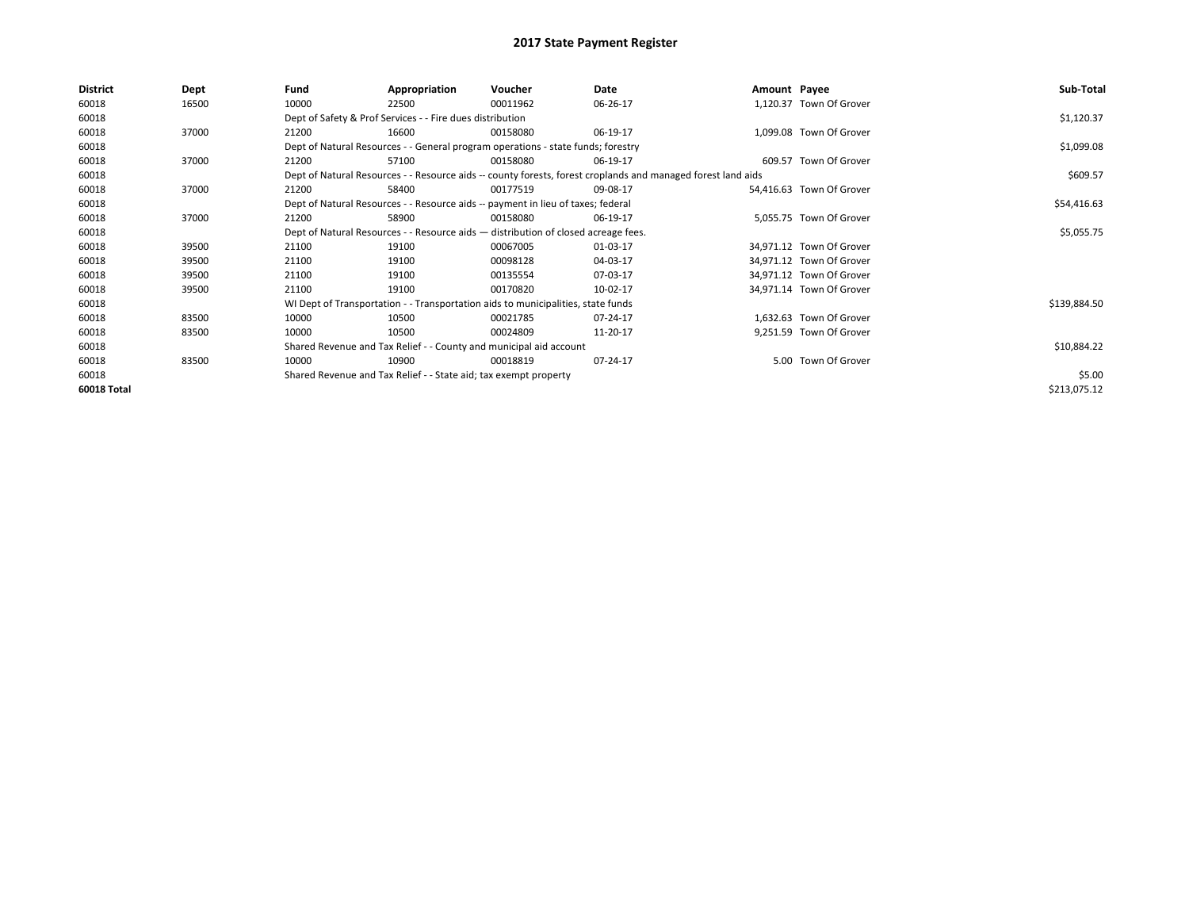| <b>District</b> | Dept  | Fund                                                                               | Appropriation                                                                    | Voucher    | Date                                                                                                         | Amount Payee |                          | Sub-Total    |
|-----------------|-------|------------------------------------------------------------------------------------|----------------------------------------------------------------------------------|------------|--------------------------------------------------------------------------------------------------------------|--------------|--------------------------|--------------|
| 60018           | 16500 | 10000                                                                              | 22500                                                                            | 00011962   | 06-26-17                                                                                                     |              | 1,120.37 Town Of Grover  |              |
| 60018           |       |                                                                                    | Dept of Safety & Prof Services - - Fire dues distribution                        |            |                                                                                                              |              |                          | \$1,120.37   |
| 60018           | 37000 | 21200                                                                              | 16600                                                                            | 00158080   | 06-19-17                                                                                                     |              | 1,099.08 Town Of Grover  |              |
| 60018           |       |                                                                                    | Dept of Natural Resources - - General program operations - state funds; forestry |            |                                                                                                              |              |                          | \$1,099.08   |
| 60018           | 37000 | 21200                                                                              | 57100                                                                            | 00158080   | 06-19-17                                                                                                     |              | 609.57 Town Of Grover    |              |
| 60018           |       |                                                                                    |                                                                                  |            | Dept of Natural Resources - - Resource aids -- county forests, forest croplands and managed forest land aids |              |                          | \$609.57     |
| 60018           | 37000 | 21200                                                                              | 58400                                                                            | 00177519   | 09-08-17                                                                                                     |              | 54,416.63 Town Of Grover |              |
| 60018           |       |                                                                                    | Dept of Natural Resources - - Resource aids -- payment in lieu of taxes; federal |            | \$54,416.63                                                                                                  |              |                          |              |
| 60018           | 37000 | 21200                                                                              | 58900                                                                            | 00158080   | 06-19-17                                                                                                     |              | 5,055.75 Town Of Grover  |              |
| 60018           |       | Dept of Natural Resources - - Resource aids - distribution of closed acreage fees. |                                                                                  | \$5,055.75 |                                                                                                              |              |                          |              |
| 60018           | 39500 | 21100                                                                              | 19100                                                                            | 00067005   | 01-03-17                                                                                                     |              | 34,971.12 Town Of Grover |              |
| 60018           | 39500 | 21100                                                                              | 19100                                                                            | 00098128   | 04-03-17                                                                                                     |              | 34,971.12 Town Of Grover |              |
| 60018           | 39500 | 21100                                                                              | 19100                                                                            | 00135554   | 07-03-17                                                                                                     |              | 34,971.12 Town Of Grover |              |
| 60018           | 39500 | 21100                                                                              | 19100                                                                            | 00170820   | 10-02-17                                                                                                     |              | 34,971.14 Town Of Grover |              |
| 60018           |       |                                                                                    | WI Dept of Transportation - - Transportation aids to municipalities, state funds |            |                                                                                                              |              |                          | \$139,884.50 |
| 60018           | 83500 | 10000                                                                              | 10500                                                                            | 00021785   | 07-24-17                                                                                                     |              | 1,632.63 Town Of Grover  |              |
| 60018           | 83500 | 10000                                                                              | 10500                                                                            | 00024809   | 11-20-17                                                                                                     |              | 9,251.59 Town Of Grover  |              |
| 60018           |       |                                                                                    | Shared Revenue and Tax Relief - - County and municipal aid account               |            |                                                                                                              |              |                          | \$10,884.22  |
| 60018           | 83500 | 10000                                                                              | 10900                                                                            | 00018819   | 07-24-17                                                                                                     |              | 5.00 Town Of Grover      |              |
| 60018           |       |                                                                                    | Shared Revenue and Tax Relief - - State aid; tax exempt property                 |            |                                                                                                              |              |                          | \$5.00       |
| 60018 Total     |       |                                                                                    |                                                                                  |            |                                                                                                              |              |                          | \$213,075.12 |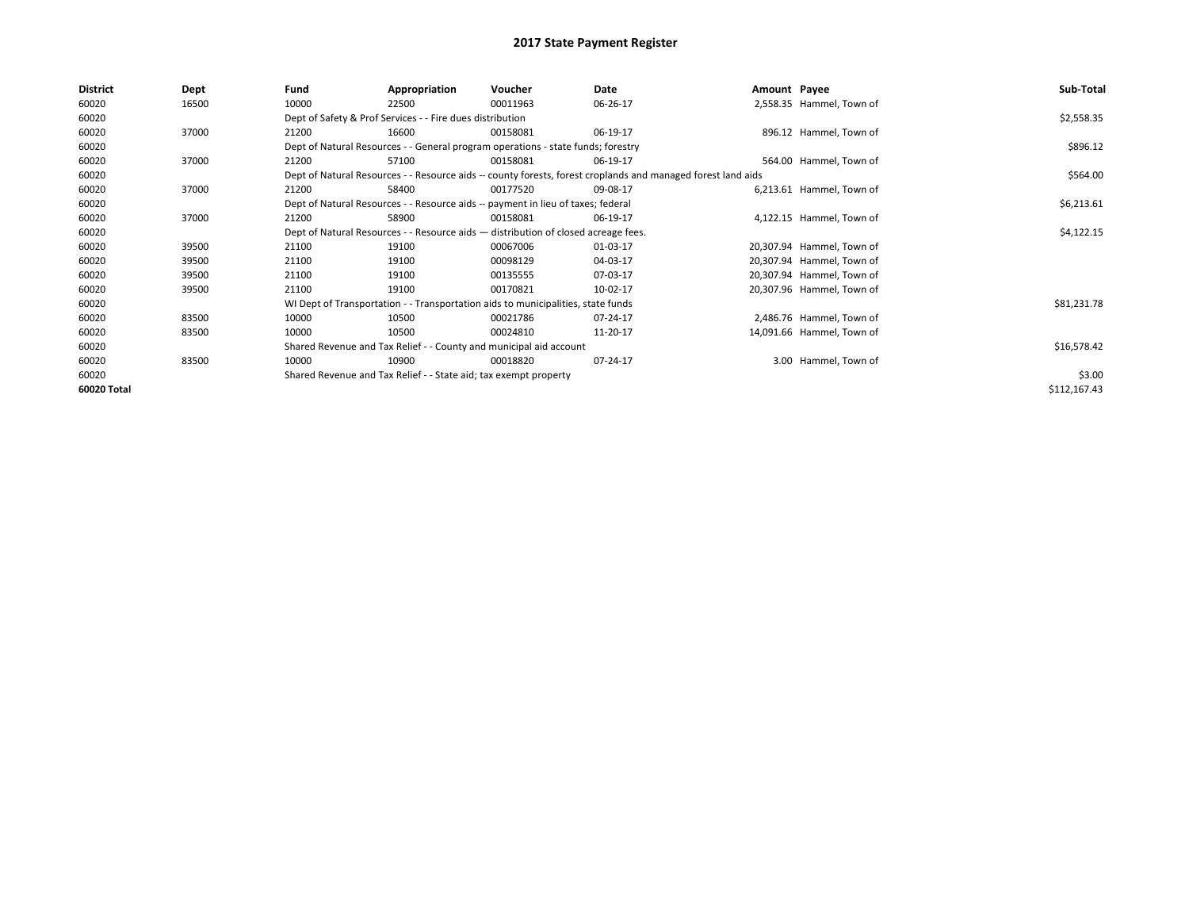| <b>District</b> | Dept  | Fund  | Appropriation                                                                                                | Voucher  | Date       | Amount Payee |                           | Sub-Total    |
|-----------------|-------|-------|--------------------------------------------------------------------------------------------------------------|----------|------------|--------------|---------------------------|--------------|
| 60020           | 16500 | 10000 | 22500                                                                                                        | 00011963 | 06-26-17   |              | 2,558.35 Hammel, Town of  |              |
| 60020           |       |       | Dept of Safety & Prof Services - - Fire dues distribution                                                    |          |            |              |                           | \$2,558.35   |
| 60020           | 37000 | 21200 | 16600                                                                                                        | 00158081 | 06-19-17   |              | 896.12 Hammel, Town of    |              |
| 60020           |       |       | Dept of Natural Resources - - General program operations - state funds; forestry                             |          |            |              |                           | \$896.12     |
| 60020           | 37000 | 21200 | 57100                                                                                                        | 00158081 | 06-19-17   |              | 564.00 Hammel, Town of    |              |
| 60020           |       |       | Dept of Natural Resources - - Resource aids -- county forests, forest croplands and managed forest land aids |          |            |              |                           | \$564.00     |
| 60020           | 37000 | 21200 | 58400                                                                                                        | 00177520 | 09-08-17   |              | 6,213.61 Hammel, Town of  |              |
| 60020           |       |       | Dept of Natural Resources - - Resource aids -- payment in lieu of taxes; federal                             |          |            |              |                           | \$6,213.61   |
| 60020           | 37000 | 21200 | 58900                                                                                                        | 00158081 | 06-19-17   |              | 4,122.15 Hammel, Town of  |              |
| 60020           |       |       | Dept of Natural Resources - - Resource aids - distribution of closed acreage fees.                           |          | \$4,122.15 |              |                           |              |
| 60020           | 39500 | 21100 | 19100                                                                                                        | 00067006 | 01-03-17   |              | 20,307.94 Hammel, Town of |              |
| 60020           | 39500 | 21100 | 19100                                                                                                        | 00098129 | 04-03-17   |              | 20,307.94 Hammel, Town of |              |
| 60020           | 39500 | 21100 | 19100                                                                                                        | 00135555 | 07-03-17   |              | 20,307.94 Hammel, Town of |              |
| 60020           | 39500 | 21100 | 19100                                                                                                        | 00170821 | 10-02-17   |              | 20,307.96 Hammel, Town of |              |
| 60020           |       |       | WI Dept of Transportation - - Transportation aids to municipalities, state funds                             |          |            |              |                           | \$81,231.78  |
| 60020           | 83500 | 10000 | 10500                                                                                                        | 00021786 | 07-24-17   |              | 2,486.76 Hammel, Town of  |              |
| 60020           | 83500 | 10000 | 10500                                                                                                        | 00024810 | 11-20-17   |              | 14,091.66 Hammel, Town of |              |
| 60020           |       |       | Shared Revenue and Tax Relief - - County and municipal aid account                                           |          |            |              |                           | \$16,578.42  |
| 60020           | 83500 | 10000 | 10900                                                                                                        | 00018820 | 07-24-17   |              | 3.00 Hammel, Town of      |              |
| 60020           |       |       | Shared Revenue and Tax Relief - - State aid; tax exempt property                                             |          |            |              |                           | \$3.00       |
| 60020 Total     |       |       |                                                                                                              |          |            |              |                           | \$112,167.43 |
|                 |       |       |                                                                                                              |          |            |              |                           |              |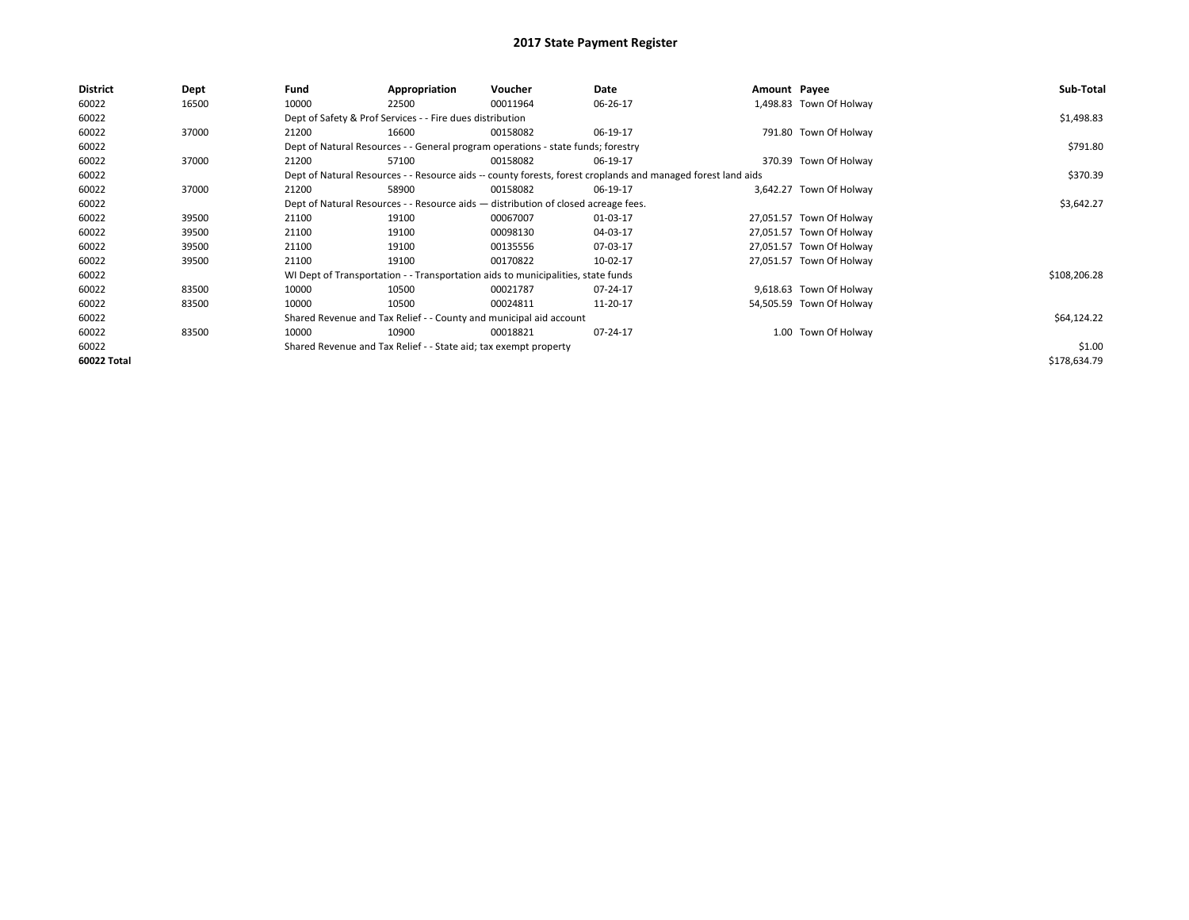| District    | Dept  | Fund  | Appropriation                                                                      | Voucher  | Date                                                                                                         | Amount Payee |                          | Sub-Total    |
|-------------|-------|-------|------------------------------------------------------------------------------------|----------|--------------------------------------------------------------------------------------------------------------|--------------|--------------------------|--------------|
| 60022       | 16500 | 10000 | 22500                                                                              | 00011964 | 06-26-17                                                                                                     |              | 1,498.83 Town Of Holway  |              |
| 60022       |       |       | Dept of Safety & Prof Services - - Fire dues distribution                          |          |                                                                                                              |              |                          | \$1,498.83   |
| 60022       | 37000 | 21200 | 16600                                                                              | 00158082 | 06-19-17                                                                                                     |              | 791.80 Town Of Holway    |              |
| 60022       |       |       | Dept of Natural Resources - - General program operations - state funds; forestry   |          |                                                                                                              |              |                          | \$791.80     |
| 60022       | 37000 | 21200 | 57100                                                                              | 00158082 | 06-19-17                                                                                                     |              | 370.39 Town Of Holway    |              |
| 60022       |       |       |                                                                                    |          | Dept of Natural Resources - - Resource aids -- county forests, forest croplands and managed forest land aids |              |                          | \$370.39     |
| 60022       | 37000 | 21200 | 58900                                                                              | 00158082 | 06-19-17                                                                                                     |              | 3,642.27 Town Of Holway  |              |
| 60022       |       |       | Dept of Natural Resources - - Resource aids - distribution of closed acreage fees. |          | \$3,642.27                                                                                                   |              |                          |              |
| 60022       | 39500 | 21100 | 19100                                                                              | 00067007 | 01-03-17                                                                                                     |              | 27,051.57 Town Of Holway |              |
| 60022       | 39500 | 21100 | 19100                                                                              | 00098130 | 04-03-17                                                                                                     |              | 27,051.57 Town Of Holway |              |
| 60022       | 39500 | 21100 | 19100                                                                              | 00135556 | 07-03-17                                                                                                     |              | 27,051.57 Town Of Holway |              |
| 60022       | 39500 | 21100 | 19100                                                                              | 00170822 | 10-02-17                                                                                                     |              | 27,051.57 Town Of Holway |              |
| 60022       |       |       | WI Dept of Transportation - - Transportation aids to municipalities, state funds   |          |                                                                                                              |              |                          | \$108,206.28 |
| 60022       | 83500 | 10000 | 10500                                                                              | 00021787 | 07-24-17                                                                                                     |              | 9,618.63 Town Of Holway  |              |
| 60022       | 83500 | 10000 | 10500                                                                              | 00024811 | 11-20-17                                                                                                     |              | 54,505.59 Town Of Holway |              |
| 60022       |       |       | Shared Revenue and Tax Relief - - County and municipal aid account                 |          |                                                                                                              |              |                          | \$64,124.22  |
| 60022       | 83500 | 10000 | 10900                                                                              | 00018821 | 07-24-17                                                                                                     |              | 1.00 Town Of Holway      |              |
| 60022       |       |       | Shared Revenue and Tax Relief - - State aid; tax exempt property                   |          |                                                                                                              |              |                          | \$1.00       |
| 60022 Total |       |       |                                                                                    |          |                                                                                                              |              |                          | \$178,634.79 |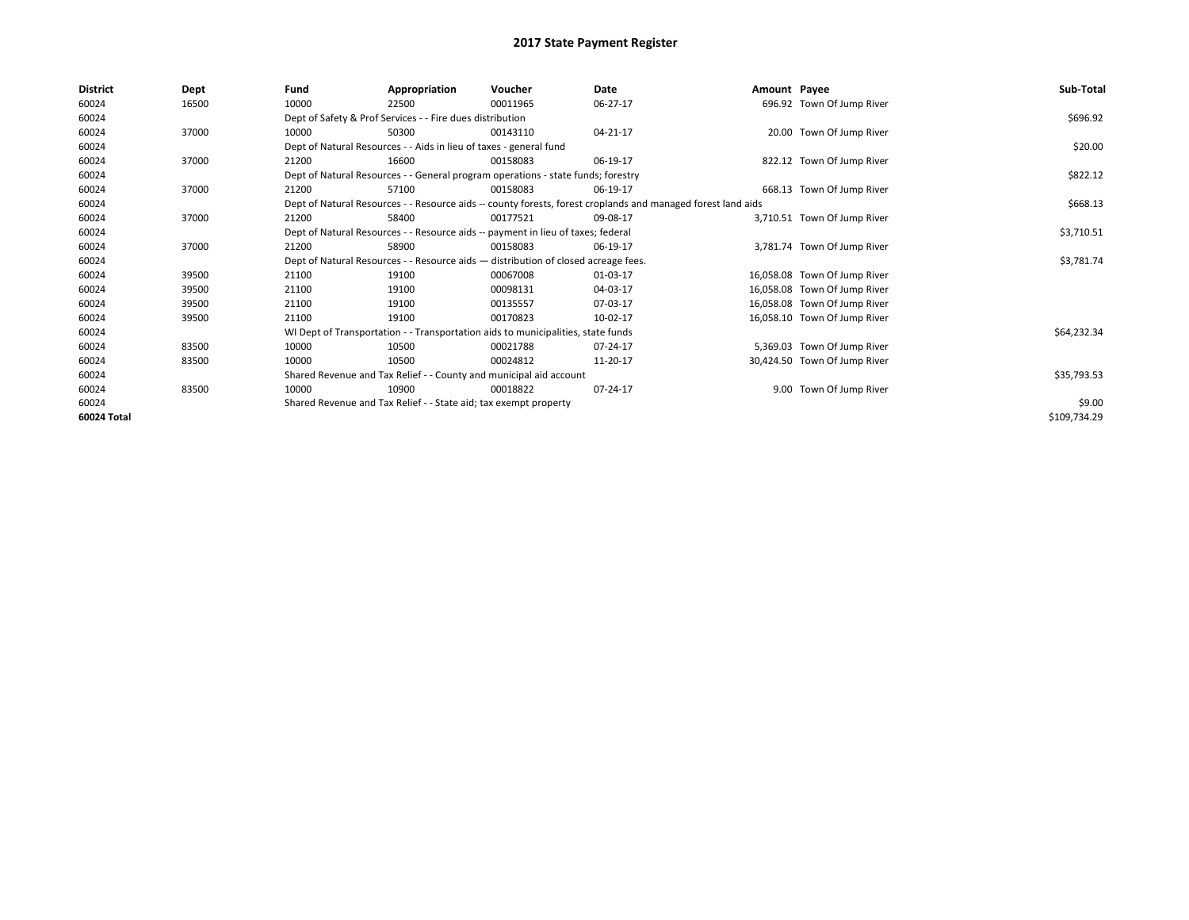| <b>District</b> | Dept  | Fund                                                                             | Appropriation                                                                      | Voucher  | Date                                                                                                         | Amount Payee |                              | Sub-Total    |  |
|-----------------|-------|----------------------------------------------------------------------------------|------------------------------------------------------------------------------------|----------|--------------------------------------------------------------------------------------------------------------|--------------|------------------------------|--------------|--|
| 60024           | 16500 | 10000                                                                            | 22500                                                                              | 00011965 | 06-27-17                                                                                                     |              | 696.92 Town Of Jump River    |              |  |
| 60024           |       |                                                                                  | Dept of Safety & Prof Services - - Fire dues distribution                          |          |                                                                                                              |              |                              | \$696.92     |  |
| 60024           | 37000 | 10000                                                                            | 50300                                                                              | 00143110 | 04-21-17                                                                                                     |              | 20.00 Town Of Jump River     |              |  |
| 60024           |       |                                                                                  | Dept of Natural Resources - - Aids in lieu of taxes - general fund                 |          |                                                                                                              |              |                              |              |  |
| 60024           | 37000 | 21200                                                                            | 16600                                                                              | 00158083 | 06-19-17                                                                                                     |              | 822.12 Town Of Jump River    |              |  |
| 60024           |       | Dept of Natural Resources - - General program operations - state funds; forestry |                                                                                    | \$822.12 |                                                                                                              |              |                              |              |  |
| 60024           | 37000 | 21200                                                                            | 57100                                                                              | 00158083 | 06-19-17                                                                                                     |              | 668.13 Town Of Jump River    |              |  |
| 60024           |       |                                                                                  |                                                                                    |          | Dept of Natural Resources - - Resource aids -- county forests, forest croplands and managed forest land aids |              |                              | \$668.13     |  |
| 60024           | 37000 | 21200                                                                            | 58400                                                                              | 00177521 | 09-08-17                                                                                                     |              | 3.710.51 Town Of Jump River  |              |  |
| 60024           |       |                                                                                  | Dept of Natural Resources - - Resource aids -- payment in lieu of taxes; federal   |          |                                                                                                              |              |                              | \$3,710.51   |  |
| 60024           | 37000 | 21200                                                                            | 58900                                                                              | 00158083 | 06-19-17                                                                                                     |              | 3,781.74 Town Of Jump River  |              |  |
| 60024           |       |                                                                                  | Dept of Natural Resources - - Resource aids - distribution of closed acreage fees. |          |                                                                                                              |              |                              | \$3,781.74   |  |
| 60024           | 39500 | 21100                                                                            | 19100                                                                              | 00067008 | 01-03-17                                                                                                     |              | 16,058.08 Town Of Jump River |              |  |
| 60024           | 39500 | 21100                                                                            | 19100                                                                              | 00098131 | 04-03-17                                                                                                     |              | 16,058.08 Town Of Jump River |              |  |
| 60024           | 39500 | 21100                                                                            | 19100                                                                              | 00135557 | 07-03-17                                                                                                     |              | 16,058.08 Town Of Jump River |              |  |
| 60024           | 39500 | 21100                                                                            | 19100                                                                              | 00170823 | 10-02-17                                                                                                     |              | 16,058.10 Town Of Jump River |              |  |
| 60024           |       |                                                                                  | WI Dept of Transportation - - Transportation aids to municipalities, state funds   |          |                                                                                                              |              |                              | \$64,232.34  |  |
| 60024           | 83500 | 10000                                                                            | 10500                                                                              | 00021788 | 07-24-17                                                                                                     |              | 5,369.03 Town Of Jump River  |              |  |
| 60024           | 83500 | 10000                                                                            | 10500                                                                              | 00024812 | 11-20-17                                                                                                     |              | 30,424.50 Town Of Jump River |              |  |
| 60024           |       |                                                                                  | Shared Revenue and Tax Relief - - County and municipal aid account                 |          |                                                                                                              |              |                              | \$35,793.53  |  |
| 60024           | 83500 | 10000                                                                            | 10900                                                                              | 00018822 | 07-24-17                                                                                                     |              | 9.00 Town Of Jump River      |              |  |
| 60024           |       |                                                                                  | Shared Revenue and Tax Relief - - State aid; tax exempt property                   |          |                                                                                                              |              |                              | \$9.00       |  |
| 60024 Total     |       |                                                                                  |                                                                                    |          |                                                                                                              |              |                              | \$109,734.29 |  |
|                 |       |                                                                                  |                                                                                    |          |                                                                                                              |              |                              |              |  |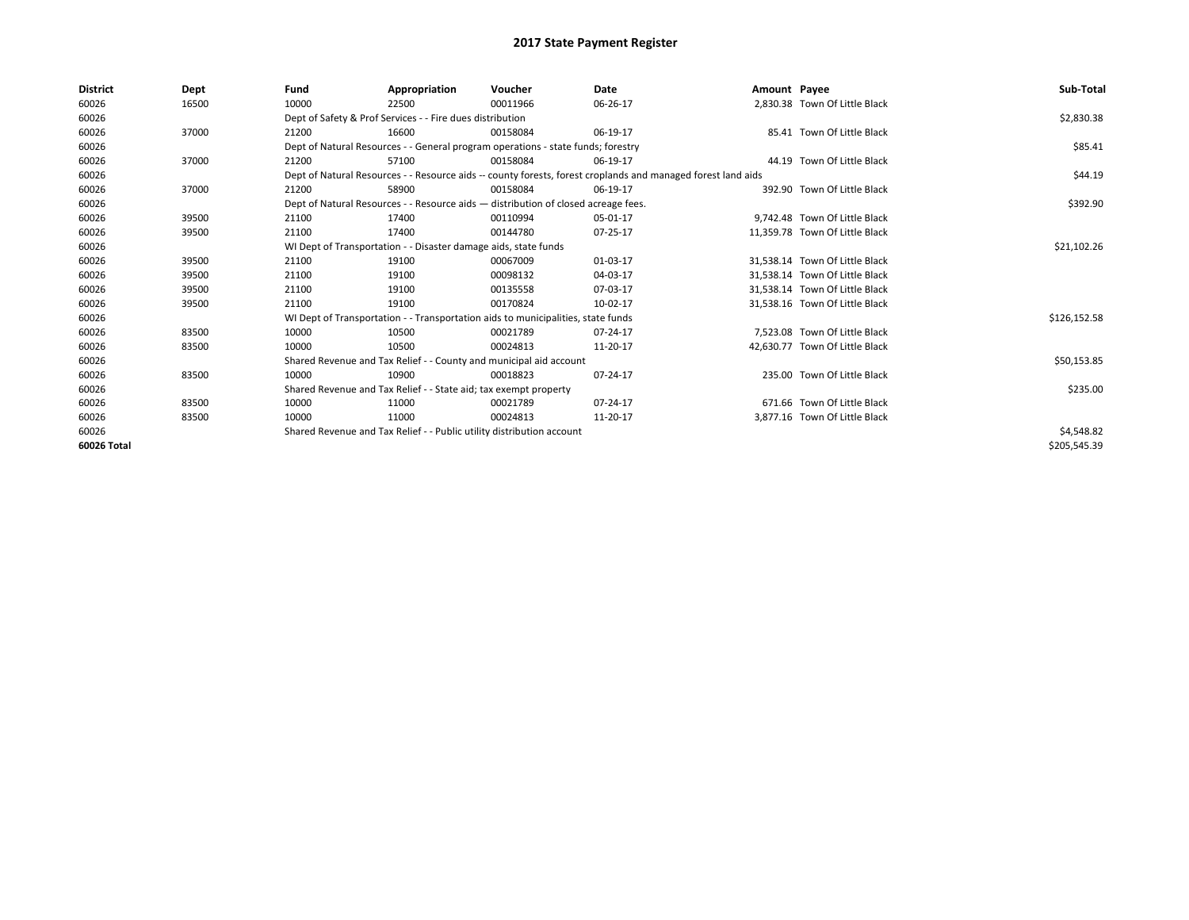| <b>District</b> | Dept  | Fund                                                                  | Appropriation                                                                      | Voucher    | Date                                                                                                         | Amount Payee |                                | Sub-Total    |  |  |  |
|-----------------|-------|-----------------------------------------------------------------------|------------------------------------------------------------------------------------|------------|--------------------------------------------------------------------------------------------------------------|--------------|--------------------------------|--------------|--|--|--|
| 60026           | 16500 | 10000                                                                 | 22500                                                                              | 00011966   | 06-26-17                                                                                                     |              | 2,830.38 Town Of Little Black  |              |  |  |  |
| 60026           |       |                                                                       | Dept of Safety & Prof Services - - Fire dues distribution                          |            |                                                                                                              |              |                                | \$2,830.38   |  |  |  |
| 60026           | 37000 | 21200                                                                 | 16600                                                                              | 00158084   | 06-19-17                                                                                                     |              | 85.41 Town Of Little Black     |              |  |  |  |
| 60026           |       |                                                                       | Dept of Natural Resources - - General program operations - state funds; forestry   |            |                                                                                                              |              |                                | \$85.41      |  |  |  |
| 60026           | 37000 | 21200                                                                 | 57100                                                                              | 00158084   | 06-19-17                                                                                                     |              | 44.19 Town Of Little Black     |              |  |  |  |
| 60026           |       |                                                                       |                                                                                    |            | Dept of Natural Resources - - Resource aids -- county forests, forest croplands and managed forest land aids |              |                                | \$44.19      |  |  |  |
| 60026           | 37000 | 21200                                                                 | 58900                                                                              | 00158084   | 06-19-17                                                                                                     |              | 392.90 Town Of Little Black    |              |  |  |  |
| 60026           |       |                                                                       | Dept of Natural Resources - - Resource aids - distribution of closed acreage fees. |            |                                                                                                              |              |                                | \$392.90     |  |  |  |
| 60026           | 39500 | 21100                                                                 | 17400                                                                              | 00110994   | 05-01-17                                                                                                     |              | 9.742.48 Town Of Little Black  |              |  |  |  |
| 60026           | 39500 | 21100                                                                 | 17400                                                                              | 00144780   | 07-25-17                                                                                                     |              | 11,359.78 Town Of Little Black |              |  |  |  |
| 60026           |       |                                                                       | WI Dept of Transportation - - Disaster damage aids, state funds                    |            |                                                                                                              |              |                                |              |  |  |  |
| 60026           | 39500 | 21100                                                                 | 19100                                                                              | 00067009   | 01-03-17                                                                                                     |              | 31,538.14 Town Of Little Black |              |  |  |  |
| 60026           | 39500 | 21100                                                                 | 19100                                                                              | 00098132   | 04-03-17                                                                                                     |              | 31.538.14 Town Of Little Black |              |  |  |  |
| 60026           | 39500 | 21100                                                                 | 19100                                                                              | 00135558   | 07-03-17                                                                                                     |              | 31,538.14 Town Of Little Black |              |  |  |  |
| 60026           | 39500 | 21100                                                                 | 19100                                                                              | 00170824   | 10-02-17                                                                                                     |              | 31,538.16 Town Of Little Black |              |  |  |  |
| 60026           |       |                                                                       | WI Dept of Transportation - - Transportation aids to municipalities, state funds   |            |                                                                                                              |              |                                | \$126,152.58 |  |  |  |
| 60026           | 83500 | 10000                                                                 | 10500                                                                              | 00021789   | 07-24-17                                                                                                     |              | 7.523.08 Town Of Little Black  |              |  |  |  |
| 60026           | 83500 | 10000                                                                 | 10500                                                                              | 00024813   | 11-20-17                                                                                                     |              | 42,630.77 Town Of Little Black |              |  |  |  |
| 60026           |       |                                                                       | Shared Revenue and Tax Relief - - County and municipal aid account                 |            |                                                                                                              |              |                                | \$50,153.85  |  |  |  |
| 60026           | 83500 | 10000                                                                 | 10900                                                                              | 00018823   | 07-24-17                                                                                                     |              | 235.00 Town Of Little Black    |              |  |  |  |
| 60026           |       |                                                                       | Shared Revenue and Tax Relief - - State aid; tax exempt property                   |            |                                                                                                              |              |                                | \$235.00     |  |  |  |
| 60026           | 83500 | 10000                                                                 | 11000                                                                              | 00021789   | 07-24-17                                                                                                     |              | 671.66 Town Of Little Black    |              |  |  |  |
| 60026           | 83500 | 10000                                                                 | 11000                                                                              | 00024813   | 11-20-17                                                                                                     |              | 3,877.16 Town Of Little Black  |              |  |  |  |
| 60026           |       | Shared Revenue and Tax Relief - - Public utility distribution account |                                                                                    | \$4,548.82 |                                                                                                              |              |                                |              |  |  |  |
| 60026 Total     |       |                                                                       |                                                                                    |            |                                                                                                              |              |                                | \$205,545.39 |  |  |  |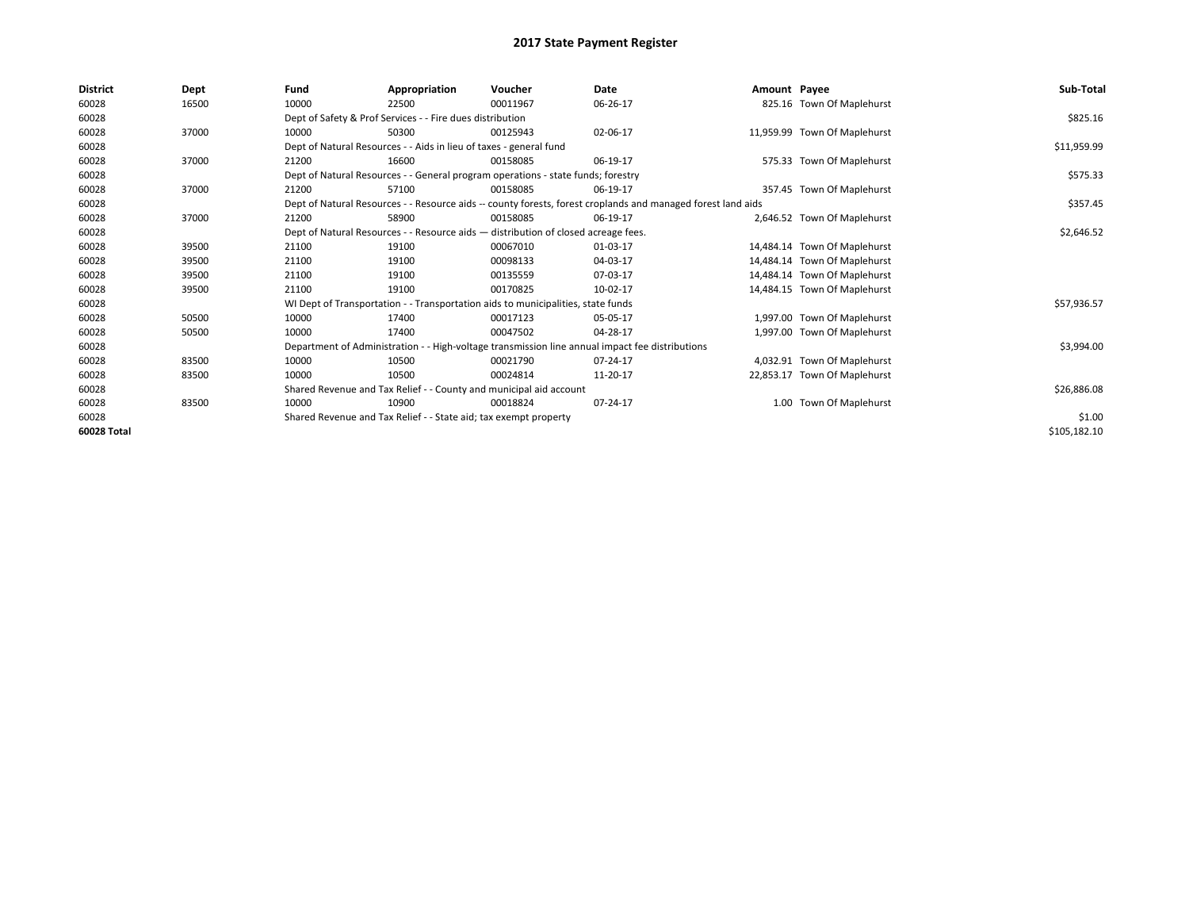| <b>District</b> | Dept  | Fund  | Appropriation                                                                                                | Voucher  | Date       | Amount Payee |                              | Sub-Total    |  |
|-----------------|-------|-------|--------------------------------------------------------------------------------------------------------------|----------|------------|--------------|------------------------------|--------------|--|
| 60028           | 16500 | 10000 | 22500                                                                                                        | 00011967 | 06-26-17   |              | 825.16 Town Of Maplehurst    |              |  |
| 60028           |       |       | Dept of Safety & Prof Services - - Fire dues distribution                                                    |          |            |              |                              | \$825.16     |  |
| 60028           | 37000 | 10000 | 50300                                                                                                        | 00125943 | 02-06-17   |              | 11,959.99 Town Of Maplehurst |              |  |
| 60028           |       |       | Dept of Natural Resources - - Aids in lieu of taxes - general fund                                           |          |            |              |                              | \$11,959.99  |  |
| 60028           | 37000 | 21200 | 16600                                                                                                        | 00158085 | 06-19-17   |              | 575.33 Town Of Maplehurst    |              |  |
| 60028           |       |       | Dept of Natural Resources - - General program operations - state funds; forestry                             |          |            |              |                              | \$575.33     |  |
| 60028           | 37000 | 21200 | 57100                                                                                                        | 00158085 | 06-19-17   |              | 357.45 Town Of Maplehurst    |              |  |
| 60028           |       |       | Dept of Natural Resources - - Resource aids -- county forests, forest croplands and managed forest land aids |          |            |              |                              | \$357.45     |  |
| 60028           | 37000 | 21200 | 58900                                                                                                        | 00158085 | 06-19-17   |              | 2,646.52 Town Of Maplehurst  |              |  |
| 60028           |       |       | Dept of Natural Resources - - Resource aids - distribution of closed acreage fees.                           |          | \$2,646.52 |              |                              |              |  |
| 60028           | 39500 | 21100 | 19100                                                                                                        | 00067010 | 01-03-17   |              | 14,484.14 Town Of Maplehurst |              |  |
| 60028           | 39500 | 21100 | 19100                                                                                                        | 00098133 | 04-03-17   |              | 14,484.14 Town Of Maplehurst |              |  |
| 60028           | 39500 | 21100 | 19100                                                                                                        | 00135559 | 07-03-17   |              | 14,484.14 Town Of Maplehurst |              |  |
| 60028           | 39500 | 21100 | 19100                                                                                                        | 00170825 | 10-02-17   |              | 14,484.15 Town Of Maplehurst |              |  |
| 60028           |       |       | WI Dept of Transportation - - Transportation aids to municipalities, state funds                             |          |            |              |                              | \$57,936.57  |  |
| 60028           | 50500 | 10000 | 17400                                                                                                        | 00017123 | 05-05-17   |              | 1,997.00 Town Of Maplehurst  |              |  |
| 60028           | 50500 | 10000 | 17400                                                                                                        | 00047502 | 04-28-17   |              | 1,997.00 Town Of Maplehurst  |              |  |
| 60028           |       |       | Department of Administration - - High-voltage transmission line annual impact fee distributions              |          |            |              |                              | \$3,994.00   |  |
| 60028           | 83500 | 10000 | 10500                                                                                                        | 00021790 | 07-24-17   |              | 4,032.91 Town Of Maplehurst  |              |  |
| 60028           | 83500 | 10000 | 10500                                                                                                        | 00024814 | 11-20-17   |              | 22,853.17 Town Of Maplehurst |              |  |
| 60028           |       |       | Shared Revenue and Tax Relief - - County and municipal aid account                                           |          |            |              |                              |              |  |
| 60028           | 83500 | 10000 | 10900                                                                                                        | 00018824 | 07-24-17   |              | 1.00 Town Of Maplehurst      |              |  |
| 60028           |       |       | Shared Revenue and Tax Relief - - State aid; tax exempt property                                             |          |            |              |                              |              |  |
| 60028 Total     |       |       |                                                                                                              |          |            |              |                              | \$105,182.10 |  |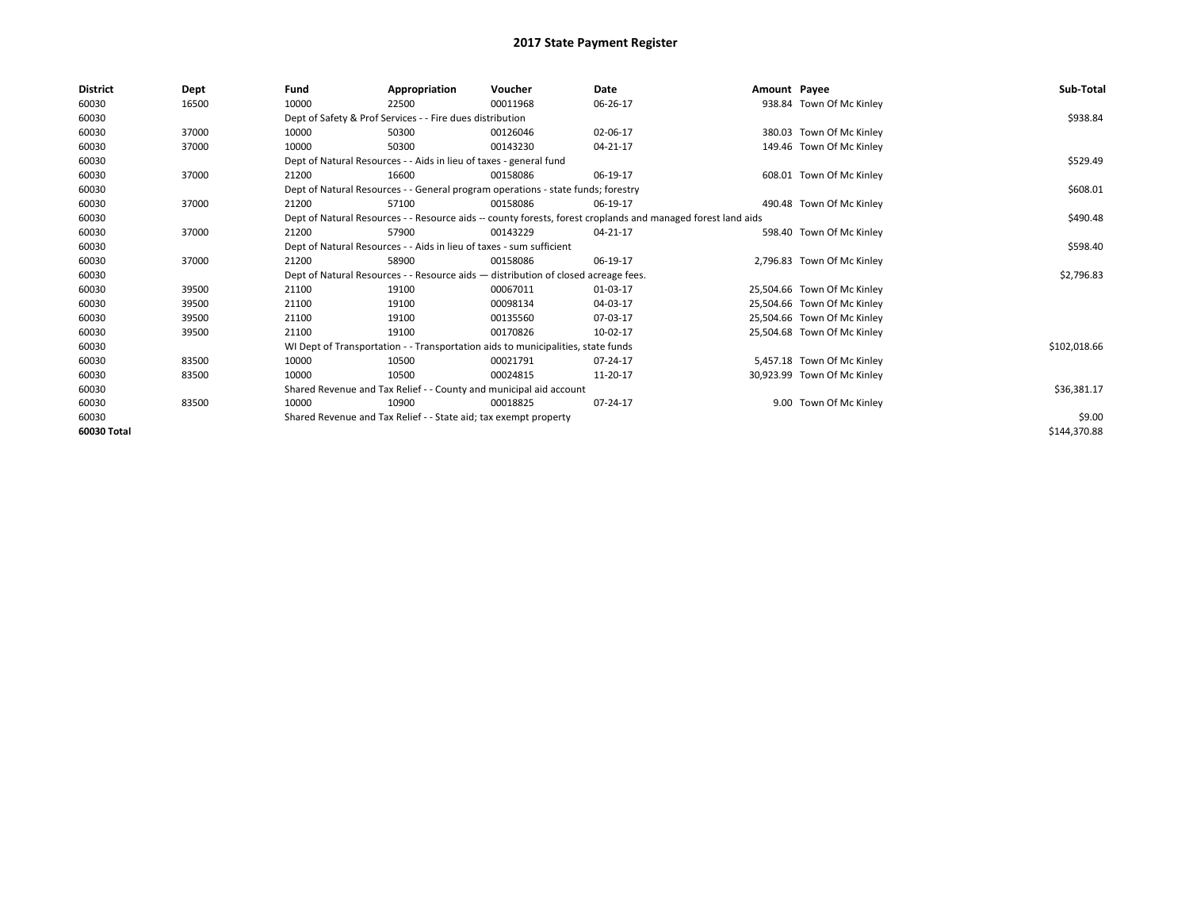| <b>District</b> | Dept  | Fund                                                                 | Appropriation                                                    | Voucher                                                                            | Date                                                                                                         | Amount Payee |                             | Sub-Total    |
|-----------------|-------|----------------------------------------------------------------------|------------------------------------------------------------------|------------------------------------------------------------------------------------|--------------------------------------------------------------------------------------------------------------|--------------|-----------------------------|--------------|
| 60030           | 16500 | 10000                                                                | 22500                                                            | 00011968                                                                           | 06-26-17                                                                                                     |              | 938.84 Town Of Mc Kinley    |              |
| 60030           |       |                                                                      | Dept of Safety & Prof Services - - Fire dues distribution        |                                                                                    |                                                                                                              |              |                             | \$938.84     |
| 60030           | 37000 | 10000                                                                | 50300                                                            | 00126046                                                                           | 02-06-17                                                                                                     |              | 380.03 Town Of Mc Kinley    |              |
| 60030           | 37000 | 10000                                                                | 50300                                                            | 00143230                                                                           | 04-21-17                                                                                                     |              | 149.46 Town Of Mc Kinley    |              |
| 60030           |       | Dept of Natural Resources - - Aids in lieu of taxes - general fund   |                                                                  | \$529.49                                                                           |                                                                                                              |              |                             |              |
| 60030           | 37000 | 21200                                                                | 16600                                                            | 00158086                                                                           | 06-19-17                                                                                                     |              | 608.01 Town Of Mc Kinley    |              |
| 60030           |       |                                                                      |                                                                  | Dept of Natural Resources - - General program operations - state funds; forestry   |                                                                                                              |              |                             | \$608.01     |
| 60030           | 37000 | 21200                                                                | 57100                                                            | 00158086                                                                           | 06-19-17                                                                                                     |              | 490.48 Town Of Mc Kinley    |              |
| 60030           |       |                                                                      |                                                                  |                                                                                    | Dept of Natural Resources - - Resource aids -- county forests, forest croplands and managed forest land aids |              |                             | \$490.48     |
| 60030           | 37000 | 21200                                                                | 57900                                                            | 00143229                                                                           | 04-21-17                                                                                                     |              | 598.40 Town Of Mc Kinley    |              |
| 60030           |       | Dept of Natural Resources - - Aids in lieu of taxes - sum sufficient |                                                                  | \$598.40                                                                           |                                                                                                              |              |                             |              |
| 60030           | 37000 | 21200                                                                | 58900                                                            | 00158086                                                                           | 06-19-17                                                                                                     |              | 2,796.83 Town Of Mc Kinley  |              |
| 60030           |       |                                                                      |                                                                  | Dept of Natural Resources - - Resource aids - distribution of closed acreage fees. |                                                                                                              |              |                             | \$2,796.83   |
| 60030           | 39500 | 21100                                                                | 19100                                                            | 00067011                                                                           | 01-03-17                                                                                                     |              | 25,504.66 Town Of Mc Kinley |              |
| 60030           | 39500 | 21100                                                                | 19100                                                            | 00098134                                                                           | 04-03-17                                                                                                     |              | 25,504.66 Town Of Mc Kinley |              |
| 60030           | 39500 | 21100                                                                | 19100                                                            | 00135560                                                                           | 07-03-17                                                                                                     |              | 25,504.66 Town Of Mc Kinley |              |
| 60030           | 39500 | 21100                                                                | 19100                                                            | 00170826                                                                           | 10-02-17                                                                                                     |              | 25,504.68 Town Of Mc Kinley |              |
| 60030           |       |                                                                      |                                                                  | WI Dept of Transportation - - Transportation aids to municipalities, state funds   |                                                                                                              |              |                             | \$102,018.66 |
| 60030           | 83500 | 10000                                                                | 10500                                                            | 00021791                                                                           | 07-24-17                                                                                                     |              | 5,457.18 Town Of Mc Kinley  |              |
| 60030           | 83500 | 10000                                                                | 10500                                                            | 00024815                                                                           | 11-20-17                                                                                                     |              | 30,923.99 Town Of Mc Kinley |              |
| 60030           |       |                                                                      |                                                                  | Shared Revenue and Tax Relief - - County and municipal aid account                 |                                                                                                              |              |                             | \$36,381.17  |
| 60030           | 83500 | 10000                                                                | 10900                                                            | 00018825                                                                           | 07-24-17                                                                                                     |              | 9.00 Town Of Mc Kinley      |              |
| 60030           |       |                                                                      | Shared Revenue and Tax Relief - - State aid; tax exempt property |                                                                                    |                                                                                                              |              |                             | \$9.00       |
| 60030 Total     |       |                                                                      |                                                                  |                                                                                    |                                                                                                              |              |                             | \$144,370.88 |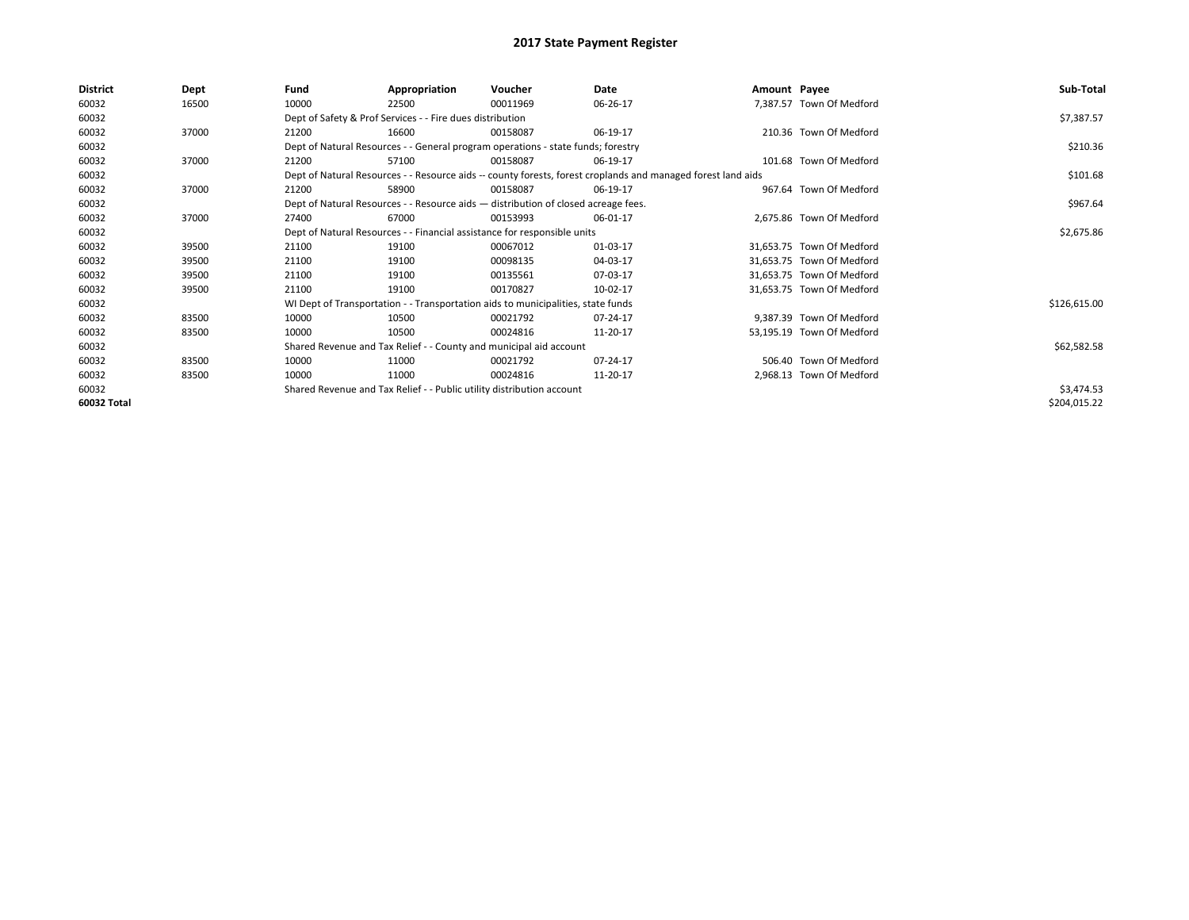| <b>District</b> | Dept  | Fund  | Appropriation                                                                      | Voucher  | Date                                                                                                         | Amount Payee |                           | Sub-Total    |
|-----------------|-------|-------|------------------------------------------------------------------------------------|----------|--------------------------------------------------------------------------------------------------------------|--------------|---------------------------|--------------|
| 60032           | 16500 | 10000 | 22500                                                                              | 00011969 | 06-26-17                                                                                                     |              | 7,387.57 Town Of Medford  |              |
| 60032           |       |       | Dept of Safety & Prof Services - - Fire dues distribution                          |          |                                                                                                              |              |                           | \$7,387.57   |
| 60032           | 37000 | 21200 | 16600                                                                              | 00158087 | 06-19-17                                                                                                     |              | 210.36 Town Of Medford    |              |
| 60032           |       |       | Dept of Natural Resources - - General program operations - state funds; forestry   |          |                                                                                                              |              |                           | \$210.36     |
| 60032           | 37000 | 21200 | 57100                                                                              | 00158087 | 06-19-17                                                                                                     |              | 101.68 Town Of Medford    |              |
| 60032           |       |       |                                                                                    |          | Dept of Natural Resources - - Resource aids -- county forests, forest croplands and managed forest land aids |              |                           | \$101.68     |
| 60032           | 37000 | 21200 | 58900                                                                              | 00158087 | 06-19-17                                                                                                     |              | 967.64 Town Of Medford    |              |
| 60032           |       |       | Dept of Natural Resources - - Resource aids - distribution of closed acreage fees. |          | \$967.64                                                                                                     |              |                           |              |
| 60032           | 37000 | 27400 | 67000                                                                              | 00153993 | 06-01-17                                                                                                     |              | 2,675.86 Town Of Medford  |              |
| 60032           |       |       | Dept of Natural Resources - - Financial assistance for responsible units           |          | \$2,675.86                                                                                                   |              |                           |              |
| 60032           | 39500 | 21100 | 19100                                                                              | 00067012 | 01-03-17                                                                                                     |              | 31,653.75 Town Of Medford |              |
| 60032           | 39500 | 21100 | 19100                                                                              | 00098135 | 04-03-17                                                                                                     |              | 31,653.75 Town Of Medford |              |
| 60032           | 39500 | 21100 | 19100                                                                              | 00135561 | 07-03-17                                                                                                     |              | 31,653.75 Town Of Medford |              |
| 60032           | 39500 | 21100 | 19100                                                                              | 00170827 | 10-02-17                                                                                                     |              | 31,653.75 Town Of Medford |              |
| 60032           |       |       | WI Dept of Transportation - - Transportation aids to municipalities, state funds   |          |                                                                                                              |              |                           | \$126,615.00 |
| 60032           | 83500 | 10000 | 10500                                                                              | 00021792 | 07-24-17                                                                                                     |              | 9,387.39 Town Of Medford  |              |
| 60032           | 83500 | 10000 | 10500                                                                              | 00024816 | 11-20-17                                                                                                     |              | 53,195.19 Town Of Medford |              |
| 60032           |       |       | Shared Revenue and Tax Relief - - County and municipal aid account                 |          |                                                                                                              |              |                           | \$62,582.58  |
| 60032           | 83500 | 10000 | 11000                                                                              | 00021792 | 07-24-17                                                                                                     |              | 506.40 Town Of Medford    |              |
| 60032           | 83500 | 10000 | 11000                                                                              | 00024816 | 11-20-17                                                                                                     |              | 2,968.13 Town Of Medford  |              |
| 60032           |       |       | Shared Revenue and Tax Relief - - Public utility distribution account              |          |                                                                                                              |              |                           | \$3,474.53   |
| 60032 Total     |       |       |                                                                                    |          |                                                                                                              |              |                           | \$204,015.22 |
|                 |       |       |                                                                                    |          |                                                                                                              |              |                           |              |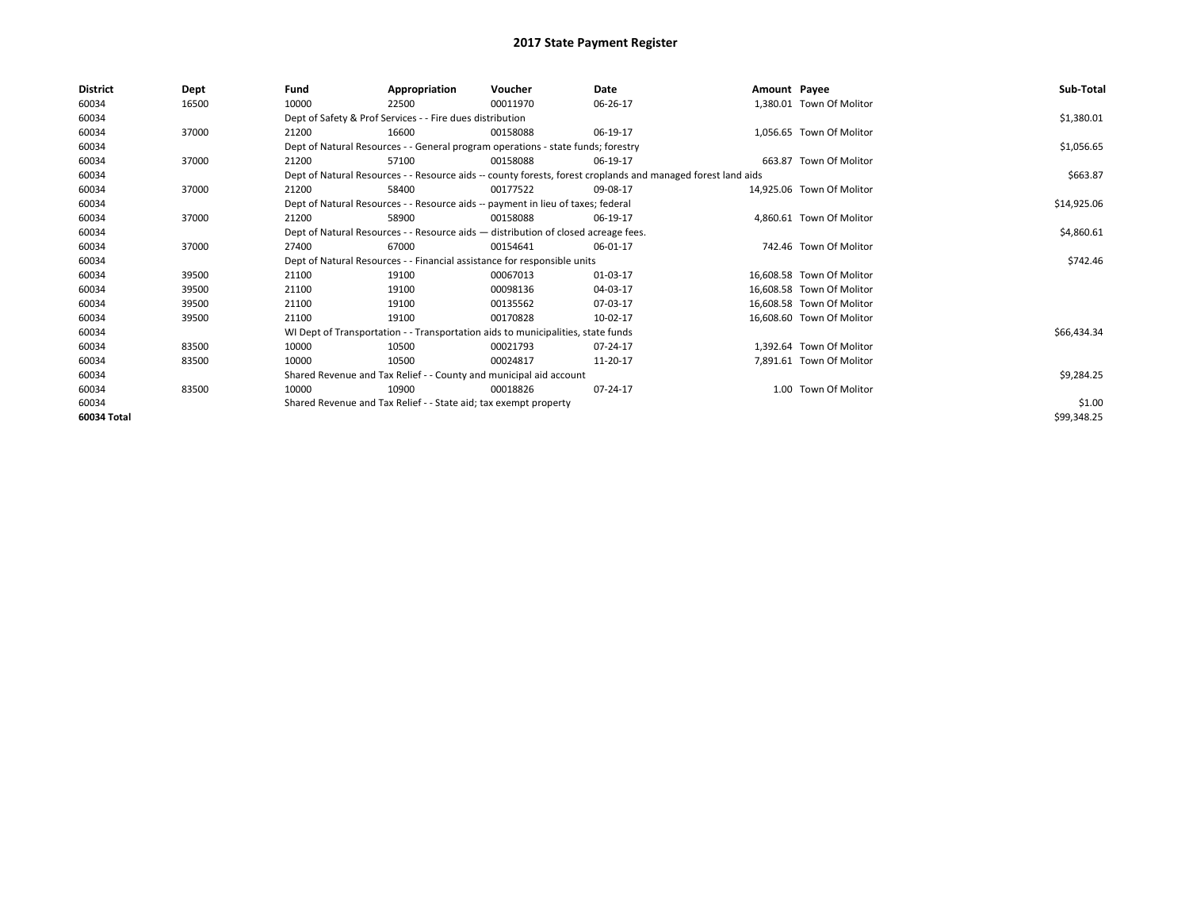| <b>District</b> | Dept  | Fund  | Appropriation                                                                      | Voucher  | Date                                                                                                         | Amount Payee |                           | Sub-Total   |  |  |  |
|-----------------|-------|-------|------------------------------------------------------------------------------------|----------|--------------------------------------------------------------------------------------------------------------|--------------|---------------------------|-------------|--|--|--|
| 60034           | 16500 | 10000 | 22500                                                                              | 00011970 | 06-26-17                                                                                                     |              | 1,380.01 Town Of Molitor  |             |  |  |  |
| 60034           |       |       | Dept of Safety & Prof Services - - Fire dues distribution                          |          |                                                                                                              |              |                           | \$1,380.01  |  |  |  |
| 60034           | 37000 | 21200 | 16600                                                                              | 00158088 | 06-19-17                                                                                                     |              | 1,056.65 Town Of Molitor  |             |  |  |  |
| 60034           |       |       | Dept of Natural Resources - - General program operations - state funds; forestry   |          |                                                                                                              |              |                           | \$1,056.65  |  |  |  |
| 60034           | 37000 | 21200 | 57100                                                                              | 00158088 | 06-19-17                                                                                                     |              | 663.87 Town Of Molitor    |             |  |  |  |
| 60034           |       |       |                                                                                    |          | Dept of Natural Resources - - Resource aids -- county forests, forest croplands and managed forest land aids |              |                           | \$663.87    |  |  |  |
| 60034           | 37000 | 21200 | 58400                                                                              | 00177522 | 09-08-17                                                                                                     |              | 14,925.06 Town Of Molitor |             |  |  |  |
| 60034           |       |       | Dept of Natural Resources - - Resource aids -- payment in lieu of taxes; federal   |          |                                                                                                              |              |                           |             |  |  |  |
| 60034           | 37000 | 21200 | 58900                                                                              | 00158088 | 06-19-17                                                                                                     |              | 4,860.61 Town Of Molitor  |             |  |  |  |
| 60034           |       |       | Dept of Natural Resources - - Resource aids - distribution of closed acreage fees. |          |                                                                                                              |              |                           |             |  |  |  |
| 60034           | 37000 | 27400 | 67000                                                                              | 00154641 | 06-01-17                                                                                                     |              | 742.46 Town Of Molitor    |             |  |  |  |
| 60034           |       |       | Dept of Natural Resources - - Financial assistance for responsible units           |          |                                                                                                              |              |                           | \$742.46    |  |  |  |
| 60034           | 39500 | 21100 | 19100                                                                              | 00067013 | 01-03-17                                                                                                     |              | 16,608.58 Town Of Molitor |             |  |  |  |
| 60034           | 39500 | 21100 | 19100                                                                              | 00098136 | 04-03-17                                                                                                     |              | 16,608.58 Town Of Molitor |             |  |  |  |
| 60034           | 39500 | 21100 | 19100                                                                              | 00135562 | 07-03-17                                                                                                     |              | 16.608.58 Town Of Molitor |             |  |  |  |
| 60034           | 39500 | 21100 | 19100                                                                              | 00170828 | 10-02-17                                                                                                     |              | 16.608.60 Town Of Molitor |             |  |  |  |
| 60034           |       |       | WI Dept of Transportation - - Transportation aids to municipalities, state funds   |          |                                                                                                              |              |                           | \$66,434.34 |  |  |  |
| 60034           | 83500 | 10000 | 10500                                                                              | 00021793 | 07-24-17                                                                                                     |              | 1,392.64 Town Of Molitor  |             |  |  |  |
| 60034           | 83500 | 10000 | 10500                                                                              | 00024817 | 11-20-17                                                                                                     |              | 7,891.61 Town Of Molitor  |             |  |  |  |
| 60034           |       |       | Shared Revenue and Tax Relief - - County and municipal aid account                 |          |                                                                                                              |              |                           | \$9,284.25  |  |  |  |
| 60034           | 83500 | 10000 | 10900                                                                              | 00018826 | 07-24-17                                                                                                     |              | 1.00 Town Of Molitor      |             |  |  |  |
| 60034           |       |       | Shared Revenue and Tax Relief - - State aid; tax exempt property                   |          |                                                                                                              |              |                           | \$1.00      |  |  |  |
| 60034 Total     |       |       |                                                                                    |          |                                                                                                              |              |                           | \$99,348.25 |  |  |  |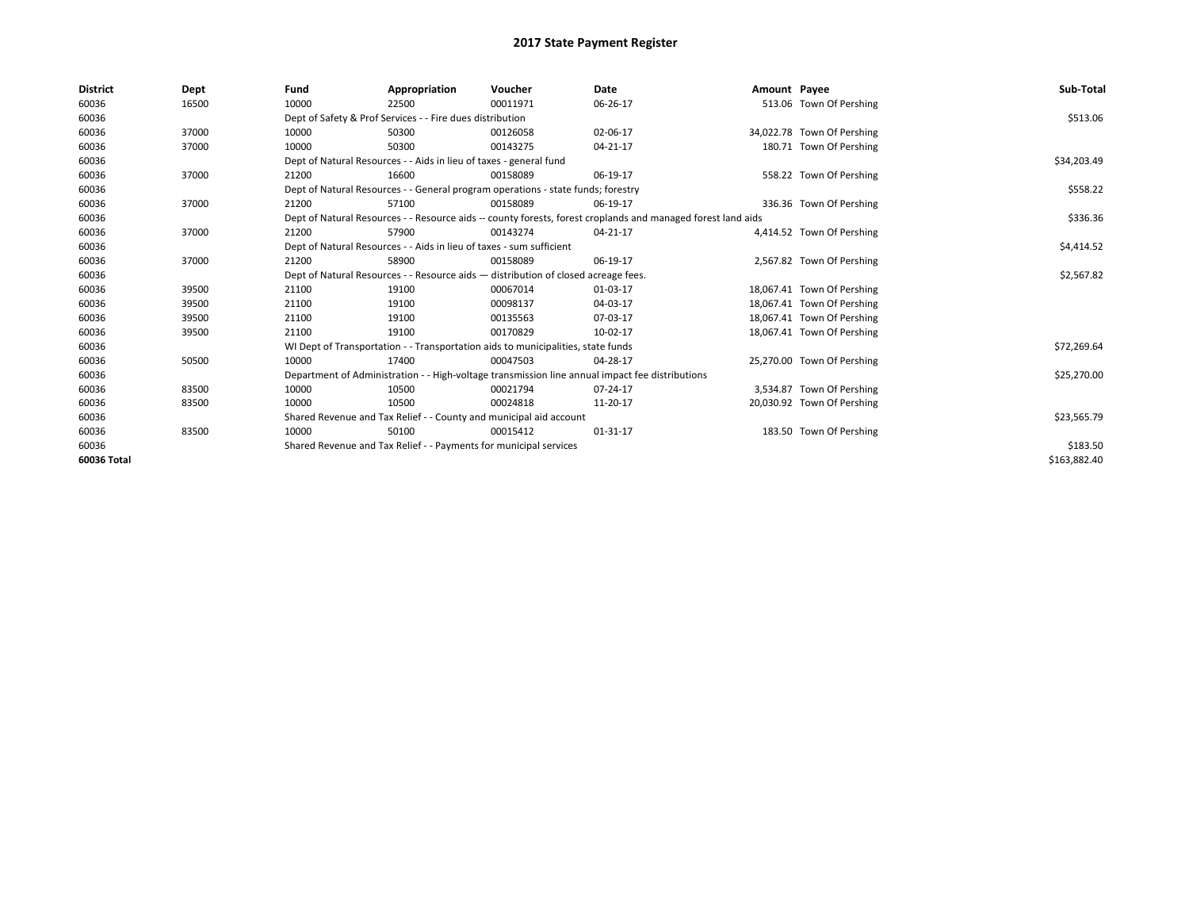| <b>District</b> | Dept  | Fund  | Appropriation                                                                                                | Voucher  | Date                                                                                            | Amount Payee |                            | Sub-Total    |  |  |
|-----------------|-------|-------|--------------------------------------------------------------------------------------------------------------|----------|-------------------------------------------------------------------------------------------------|--------------|----------------------------|--------------|--|--|
| 60036           | 16500 | 10000 | 22500                                                                                                        | 00011971 | 06-26-17                                                                                        |              | 513.06 Town Of Pershing    |              |  |  |
| 60036           |       |       | Dept of Safety & Prof Services - - Fire dues distribution                                                    |          |                                                                                                 |              |                            | \$513.06     |  |  |
| 60036           | 37000 | 10000 | 50300                                                                                                        | 00126058 | 02-06-17                                                                                        |              | 34,022.78 Town Of Pershing |              |  |  |
| 60036           | 37000 | 10000 | 50300                                                                                                        | 00143275 | 04-21-17                                                                                        |              | 180.71 Town Of Pershing    |              |  |  |
| 60036           |       |       | Dept of Natural Resources - - Aids in lieu of taxes - general fund                                           |          |                                                                                                 |              |                            |              |  |  |
| 60036           | 37000 | 21200 | 16600                                                                                                        | 00158089 | 06-19-17                                                                                        |              | 558.22 Town Of Pershing    |              |  |  |
| 60036           |       |       | Dept of Natural Resources - - General program operations - state funds; forestry                             |          |                                                                                                 |              |                            | \$558.22     |  |  |
| 60036           | 37000 | 21200 | 57100                                                                                                        | 00158089 | 06-19-17                                                                                        |              | 336.36 Town Of Pershing    |              |  |  |
| 60036           |       |       | Dept of Natural Resources - - Resource aids -- county forests, forest croplands and managed forest land aids |          | \$336.36                                                                                        |              |                            |              |  |  |
| 60036           | 37000 | 21200 | 57900                                                                                                        | 00143274 | 04-21-17                                                                                        |              | 4,414.52 Town Of Pershing  |              |  |  |
| 60036           |       |       | Dept of Natural Resources - - Aids in lieu of taxes - sum sufficient                                         |          |                                                                                                 |              |                            | \$4,414.52   |  |  |
| 60036           | 37000 | 21200 | 58900                                                                                                        | 00158089 | 06-19-17                                                                                        |              | 2,567.82 Town Of Pershing  |              |  |  |
| 60036           |       |       | Dept of Natural Resources - - Resource aids - distribution of closed acreage fees.                           |          |                                                                                                 |              |                            | \$2,567.82   |  |  |
| 60036           | 39500 | 21100 | 19100                                                                                                        | 00067014 | 01-03-17                                                                                        |              | 18,067.41 Town Of Pershing |              |  |  |
| 60036           | 39500 | 21100 | 19100                                                                                                        | 00098137 | 04-03-17                                                                                        |              | 18,067.41 Town Of Pershing |              |  |  |
| 60036           | 39500 | 21100 | 19100                                                                                                        | 00135563 | 07-03-17                                                                                        |              | 18,067.41 Town Of Pershing |              |  |  |
| 60036           | 39500 | 21100 | 19100                                                                                                        | 00170829 | 10-02-17                                                                                        |              | 18,067.41 Town Of Pershing |              |  |  |
| 60036           |       |       | WI Dept of Transportation - - Transportation aids to municipalities, state funds                             |          |                                                                                                 |              |                            | \$72,269.64  |  |  |
| 60036           | 50500 | 10000 | 17400                                                                                                        | 00047503 | 04-28-17                                                                                        |              | 25,270.00 Town Of Pershing |              |  |  |
| 60036           |       |       |                                                                                                              |          | Department of Administration - - High-voltage transmission line annual impact fee distributions |              |                            | \$25,270.00  |  |  |
| 60036           | 83500 | 10000 | 10500                                                                                                        | 00021794 | 07-24-17                                                                                        |              | 3,534.87 Town Of Pershing  |              |  |  |
| 60036           | 83500 | 10000 | 10500                                                                                                        | 00024818 | 11-20-17                                                                                        |              | 20,030.92 Town Of Pershing |              |  |  |
| 60036           |       |       | Shared Revenue and Tax Relief - - County and municipal aid account                                           |          |                                                                                                 |              |                            | \$23,565.79  |  |  |
| 60036           | 83500 | 10000 | 50100                                                                                                        | 00015412 | 01-31-17                                                                                        |              | 183.50 Town Of Pershing    |              |  |  |
| 60036           |       |       | Shared Revenue and Tax Relief - - Payments for municipal services                                            |          |                                                                                                 |              |                            |              |  |  |
| 60036 Total     |       |       |                                                                                                              |          |                                                                                                 |              |                            | \$163,882.40 |  |  |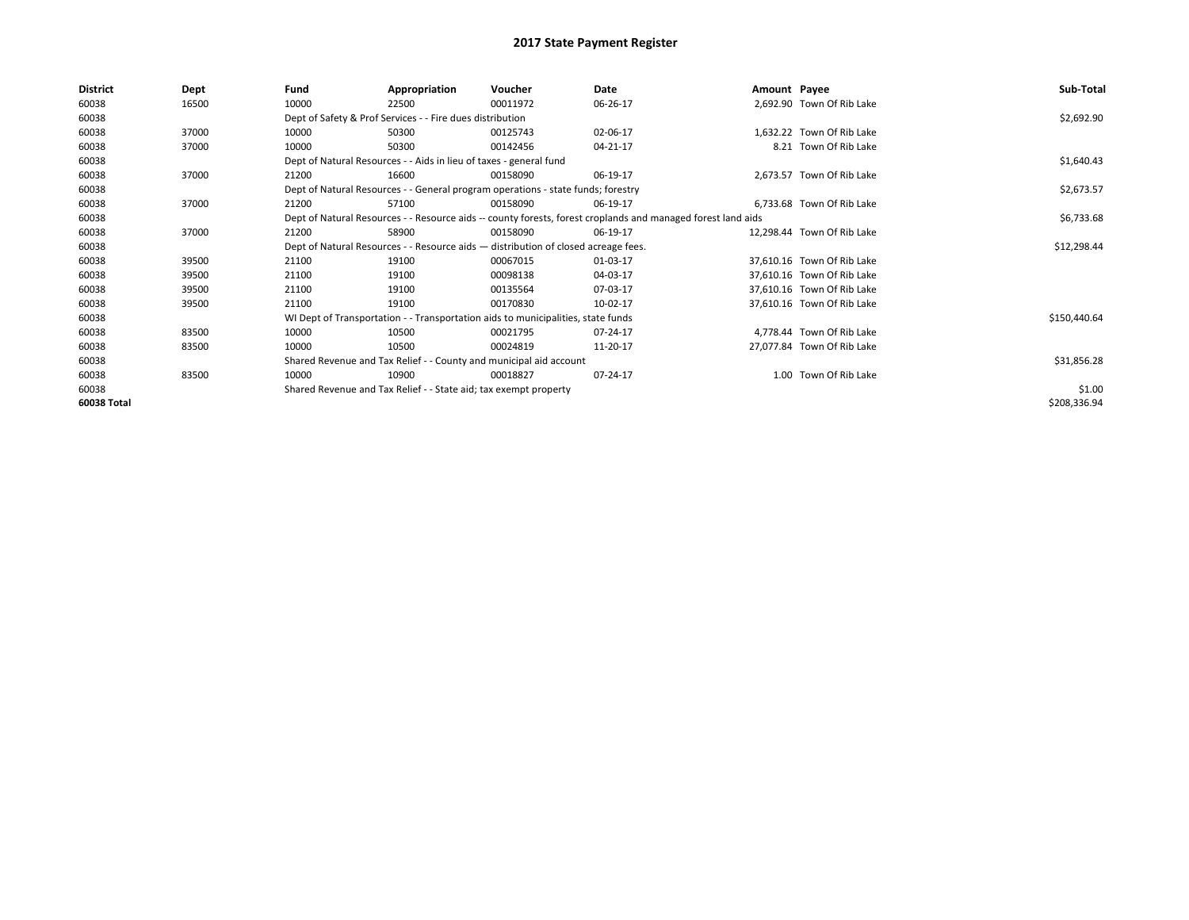| <b>District</b> | Dept  | Fund  | Appropriation                                                                                                | Voucher  | Date     | Amount Payee |                            | Sub-Total    |  |  |
|-----------------|-------|-------|--------------------------------------------------------------------------------------------------------------|----------|----------|--------------|----------------------------|--------------|--|--|
| 60038           | 16500 | 10000 | 22500                                                                                                        | 00011972 | 06-26-17 |              | 2,692.90 Town Of Rib Lake  |              |  |  |
| 60038           |       |       | Dept of Safety & Prof Services - - Fire dues distribution                                                    |          |          |              |                            | \$2,692.90   |  |  |
| 60038           | 37000 | 10000 | 50300                                                                                                        | 00125743 | 02-06-17 |              | 1,632.22 Town Of Rib Lake  |              |  |  |
| 60038           | 37000 | 10000 | 50300                                                                                                        | 00142456 | 04-21-17 |              | 8.21 Town Of Rib Lake      |              |  |  |
| 60038           |       |       | Dept of Natural Resources - - Aids in lieu of taxes - general fund                                           |          |          |              |                            | \$1,640.43   |  |  |
| 60038           | 37000 | 21200 | 16600                                                                                                        | 00158090 | 06-19-17 |              | 2,673.57 Town Of Rib Lake  |              |  |  |
| 60038           |       |       | Dept of Natural Resources - - General program operations - state funds; forestry                             |          |          |              |                            | \$2,673.57   |  |  |
| 60038           | 37000 | 21200 | 57100                                                                                                        | 00158090 | 06-19-17 |              | 6,733.68 Town Of Rib Lake  |              |  |  |
| 60038           |       |       | Dept of Natural Resources - - Resource aids -- county forests, forest croplands and managed forest land aids |          |          |              |                            |              |  |  |
| 60038           | 37000 | 21200 | 58900                                                                                                        | 00158090 | 06-19-17 |              | 12,298.44 Town Of Rib Lake |              |  |  |
| 60038           |       |       | Dept of Natural Resources - - Resource aids - distribution of closed acreage fees.                           |          |          |              |                            |              |  |  |
| 60038           | 39500 | 21100 | 19100                                                                                                        | 00067015 | 01-03-17 |              | 37.610.16 Town Of Rib Lake |              |  |  |
| 60038           | 39500 | 21100 | 19100                                                                                                        | 00098138 | 04-03-17 |              | 37,610.16 Town Of Rib Lake |              |  |  |
| 60038           | 39500 | 21100 | 19100                                                                                                        | 00135564 | 07-03-17 |              | 37,610.16 Town Of Rib Lake |              |  |  |
| 60038           | 39500 | 21100 | 19100                                                                                                        | 00170830 | 10-02-17 |              | 37,610.16 Town Of Rib Lake |              |  |  |
| 60038           |       |       | WI Dept of Transportation - - Transportation aids to municipalities, state funds                             |          |          |              |                            | \$150,440.64 |  |  |
| 60038           | 83500 | 10000 | 10500                                                                                                        | 00021795 | 07-24-17 |              | 4,778.44 Town Of Rib Lake  |              |  |  |
| 60038           | 83500 | 10000 | 10500                                                                                                        | 00024819 | 11-20-17 |              | 27,077.84 Town Of Rib Lake |              |  |  |
| 60038           |       |       | Shared Revenue and Tax Relief - - County and municipal aid account                                           |          |          |              |                            | \$31,856.28  |  |  |
| 60038           | 83500 | 10000 | 10900                                                                                                        | 00018827 | 07-24-17 |              | 1.00 Town Of Rib Lake      |              |  |  |
| 60038           |       |       | Shared Revenue and Tax Relief - - State aid; tax exempt property                                             |          |          |              |                            | \$1.00       |  |  |
| 60038 Total     |       |       |                                                                                                              |          |          |              |                            | \$208,336.94 |  |  |
|                 |       |       |                                                                                                              |          |          |              |                            |              |  |  |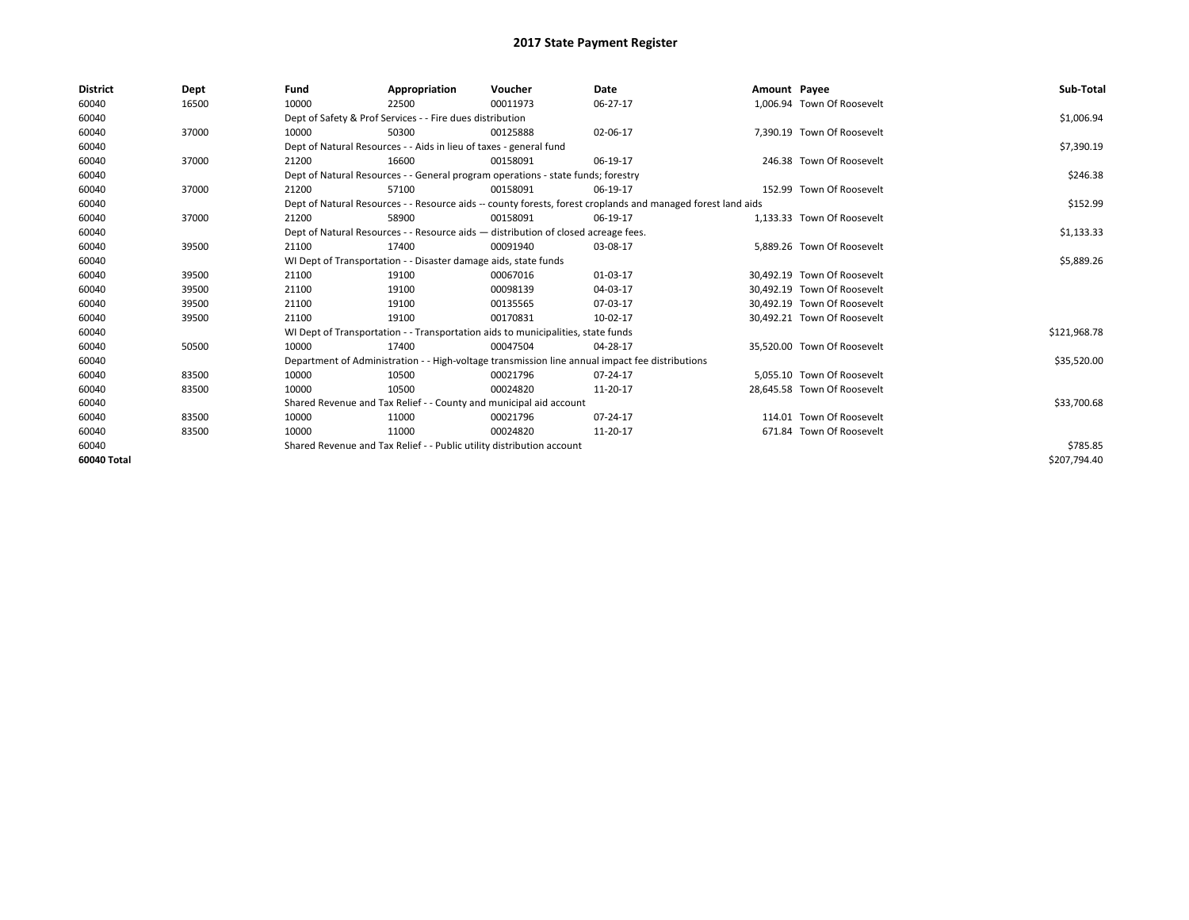| <b>District</b> | Dept  | Fund  | Appropriation                                                                                                | Voucher  | Date     | Amount Payee |                             | Sub-Total    |
|-----------------|-------|-------|--------------------------------------------------------------------------------------------------------------|----------|----------|--------------|-----------------------------|--------------|
| 60040           | 16500 | 10000 | 22500                                                                                                        | 00011973 | 06-27-17 |              | 1,006.94 Town Of Roosevelt  |              |
| 60040           |       |       | Dept of Safety & Prof Services - - Fire dues distribution                                                    |          |          |              |                             | \$1,006.94   |
| 60040           | 37000 | 10000 | 50300                                                                                                        | 00125888 | 02-06-17 |              | 7.390.19 Town Of Roosevelt  |              |
| 60040           |       |       | Dept of Natural Resources - - Aids in lieu of taxes - general fund                                           |          |          |              |                             | \$7,390.19   |
| 60040           | 37000 | 21200 | 16600                                                                                                        | 00158091 | 06-19-17 |              | 246.38 Town Of Roosevelt    |              |
| 60040           |       |       | Dept of Natural Resources - - General program operations - state funds; forestry                             |          |          |              |                             | \$246.38     |
| 60040           | 37000 | 21200 | 57100                                                                                                        | 00158091 | 06-19-17 |              | 152.99 Town Of Roosevelt    |              |
| 60040           |       |       | Dept of Natural Resources - - Resource aids -- county forests, forest croplands and managed forest land aids |          |          |              |                             | \$152.99     |
| 60040           | 37000 | 21200 | 58900                                                                                                        | 00158091 | 06-19-17 |              | 1,133.33 Town Of Roosevelt  |              |
| 60040           |       |       | Dept of Natural Resources - - Resource aids - distribution of closed acreage fees.                           |          |          |              |                             | \$1,133.33   |
| 60040           | 39500 | 21100 | 17400                                                                                                        | 00091940 | 03-08-17 |              | 5,889.26 Town Of Roosevelt  |              |
| 60040           |       |       | WI Dept of Transportation - - Disaster damage aids, state funds                                              |          |          |              |                             | \$5,889.26   |
| 60040           | 39500 | 21100 | 19100                                                                                                        | 00067016 | 01-03-17 |              | 30.492.19 Town Of Roosevelt |              |
| 60040           | 39500 | 21100 | 19100                                                                                                        | 00098139 | 04-03-17 |              | 30.492.19 Town Of Roosevelt |              |
| 60040           | 39500 | 21100 | 19100                                                                                                        | 00135565 | 07-03-17 |              | 30.492.19 Town Of Roosevelt |              |
| 60040           | 39500 | 21100 | 19100                                                                                                        | 00170831 | 10-02-17 |              | 30,492.21 Town Of Roosevelt |              |
| 60040           |       |       | WI Dept of Transportation - - Transportation aids to municipalities, state funds                             |          |          |              |                             | \$121,968.78 |
| 60040           | 50500 | 10000 | 17400                                                                                                        | 00047504 | 04-28-17 |              | 35.520.00 Town Of Roosevelt |              |
| 60040           |       |       | Department of Administration - - High-voltage transmission line annual impact fee distributions              |          |          |              |                             | \$35,520.00  |
| 60040           | 83500 | 10000 | 10500                                                                                                        | 00021796 | 07-24-17 |              | 5.055.10 Town Of Roosevelt  |              |
| 60040           | 83500 | 10000 | 10500                                                                                                        | 00024820 | 11-20-17 |              | 28,645.58 Town Of Roosevelt |              |
| 60040           |       |       | Shared Revenue and Tax Relief - - County and municipal aid account                                           |          |          |              |                             | \$33,700.68  |
| 60040           | 83500 | 10000 | 11000                                                                                                        | 00021796 | 07-24-17 |              | 114.01 Town Of Roosevelt    |              |
| 60040           | 83500 | 10000 | 11000                                                                                                        | 00024820 | 11-20-17 |              | 671.84 Town Of Roosevelt    |              |
| 60040           |       |       | Shared Revenue and Tax Relief - - Public utility distribution account                                        |          |          |              |                             | \$785.85     |
| 60040 Total     |       |       |                                                                                                              |          |          |              |                             | \$207,794.40 |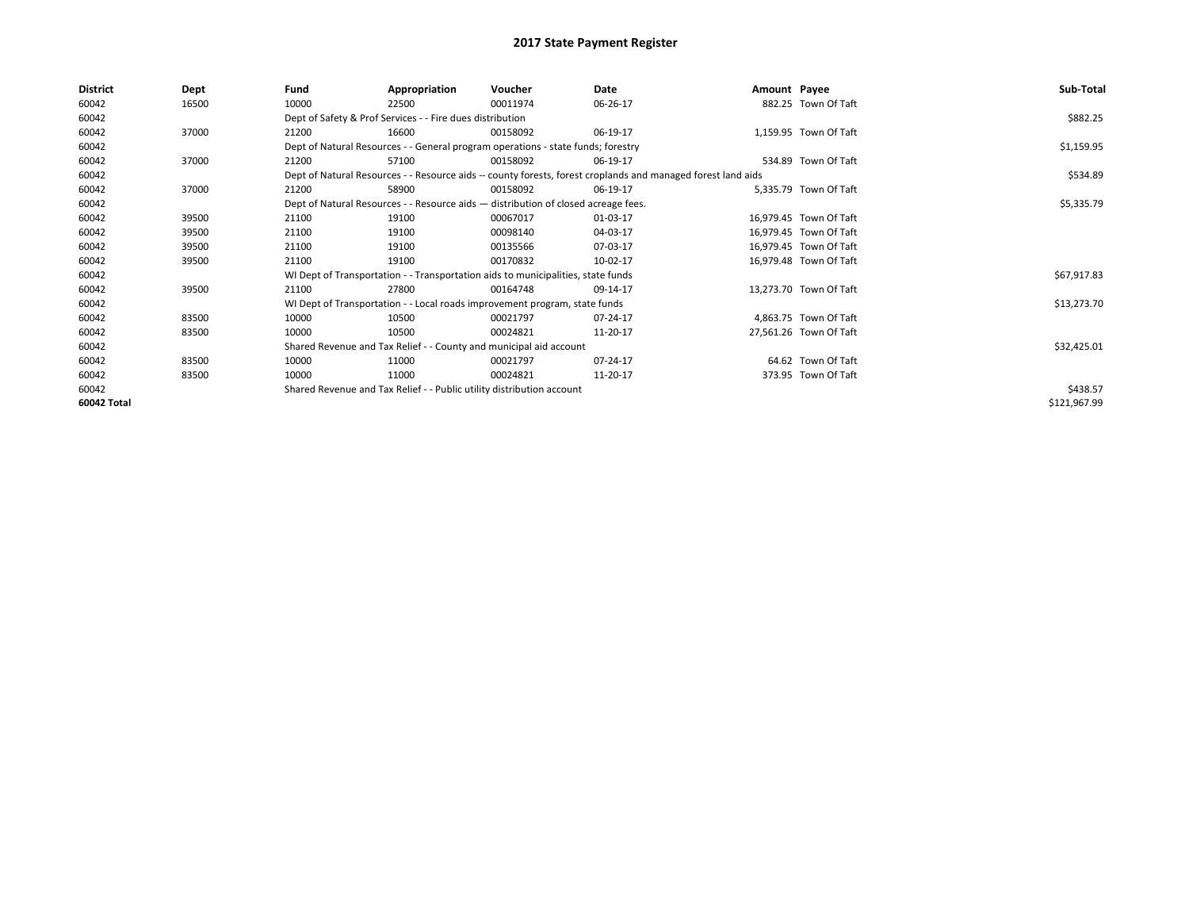| 60042<br>882.25 Town Of Taft<br>16500<br>10000<br>00011974<br>06-26-17<br>22500<br>Dept of Safety & Prof Services - - Fire dues distribution<br>60042<br>60042<br>1,159.95 Town Of Taft<br>37000<br>21200<br>16600<br>00158092<br>06-19-17<br>60042<br>Dept of Natural Resources - - General program operations - state funds; forestry<br>534.89 Town Of Taft<br>60042<br>37000<br>57100<br>06-19-17<br>21200<br>00158092<br>60042<br>Dept of Natural Resources - - Resource aids -- county forests, forest croplands and managed forest land aids<br>60042<br>37000<br>58900<br>5,335.79 Town Of Taft<br>21200<br>00158092<br>06-19-17<br>60042<br>Dept of Natural Resources - - Resource aids - distribution of closed acreage fees.<br>60042<br>39500<br>21100<br>19100<br>00067017<br>01-03-17<br>16,979.45 Town Of Taft<br>60042<br>21100<br>00098140<br>04-03-17<br>16,979.45 Town Of Taft<br>39500<br>19100<br>60042<br>21100<br>07-03-17<br>16,979.45 Town Of Taft<br>39500<br>19100<br>00135566<br>60042<br>39500<br>21100<br>19100<br>00170832<br>10-02-17<br>16,979.48 Town Of Taft<br>60042<br>WI Dept of Transportation - - Transportation aids to municipalities, state funds<br>60042<br>39500<br>21100<br>27800<br>09-14-17<br>13,273.70 Town Of Taft<br>00164748<br>60042<br>WI Dept of Transportation - - Local roads improvement program, state funds<br>60042<br>4,863.75 Town Of Taft<br>83500<br>10000<br>10500<br>00021797<br>07-24-17<br>60042<br>27,561.26 Town Of Taft<br>10000<br>10500<br>00024821<br>11-20-17<br>83500<br>60042<br>Shared Revenue and Tax Relief - - County and municipal aid account<br>60042<br>07-24-17<br>64.62 Town Of Taft<br>83500<br>10000<br>11000<br>00021797<br>60042<br>10000<br>373.95 Town Of Taft<br>83500<br>11000<br>00024821<br>11-20-17<br>60042<br>Shared Revenue and Tax Relief - - Public utility distribution account | <b>District</b> | Dept | Fund | Appropriation | Voucher | Date | Amount Payee | Sub-Total    |
|--------------------------------------------------------------------------------------------------------------------------------------------------------------------------------------------------------------------------------------------------------------------------------------------------------------------------------------------------------------------------------------------------------------------------------------------------------------------------------------------------------------------------------------------------------------------------------------------------------------------------------------------------------------------------------------------------------------------------------------------------------------------------------------------------------------------------------------------------------------------------------------------------------------------------------------------------------------------------------------------------------------------------------------------------------------------------------------------------------------------------------------------------------------------------------------------------------------------------------------------------------------------------------------------------------------------------------------------------------------------------------------------------------------------------------------------------------------------------------------------------------------------------------------------------------------------------------------------------------------------------------------------------------------------------------------------------------------------------------------------------------------------------------------------------------------------------------------------------------------------------------------------|-----------------|------|------|---------------|---------|------|--------------|--------------|
|                                                                                                                                                                                                                                                                                                                                                                                                                                                                                                                                                                                                                                                                                                                                                                                                                                                                                                                                                                                                                                                                                                                                                                                                                                                                                                                                                                                                                                                                                                                                                                                                                                                                                                                                                                                                                                                                                            |                 |      |      |               |         |      |              |              |
|                                                                                                                                                                                                                                                                                                                                                                                                                                                                                                                                                                                                                                                                                                                                                                                                                                                                                                                                                                                                                                                                                                                                                                                                                                                                                                                                                                                                                                                                                                                                                                                                                                                                                                                                                                                                                                                                                            |                 |      |      |               |         |      |              | \$882.25     |
|                                                                                                                                                                                                                                                                                                                                                                                                                                                                                                                                                                                                                                                                                                                                                                                                                                                                                                                                                                                                                                                                                                                                                                                                                                                                                                                                                                                                                                                                                                                                                                                                                                                                                                                                                                                                                                                                                            |                 |      |      |               |         |      |              |              |
|                                                                                                                                                                                                                                                                                                                                                                                                                                                                                                                                                                                                                                                                                                                                                                                                                                                                                                                                                                                                                                                                                                                                                                                                                                                                                                                                                                                                                                                                                                                                                                                                                                                                                                                                                                                                                                                                                            |                 |      |      | \$1,159.95    |         |      |              |              |
|                                                                                                                                                                                                                                                                                                                                                                                                                                                                                                                                                                                                                                                                                                                                                                                                                                                                                                                                                                                                                                                                                                                                                                                                                                                                                                                                                                                                                                                                                                                                                                                                                                                                                                                                                                                                                                                                                            |                 |      |      |               |         |      |              |              |
|                                                                                                                                                                                                                                                                                                                                                                                                                                                                                                                                                                                                                                                                                                                                                                                                                                                                                                                                                                                                                                                                                                                                                                                                                                                                                                                                                                                                                                                                                                                                                                                                                                                                                                                                                                                                                                                                                            |                 |      |      |               |         |      |              | \$534.89     |
|                                                                                                                                                                                                                                                                                                                                                                                                                                                                                                                                                                                                                                                                                                                                                                                                                                                                                                                                                                                                                                                                                                                                                                                                                                                                                                                                                                                                                                                                                                                                                                                                                                                                                                                                                                                                                                                                                            |                 |      |      |               |         |      |              |              |
|                                                                                                                                                                                                                                                                                                                                                                                                                                                                                                                                                                                                                                                                                                                                                                                                                                                                                                                                                                                                                                                                                                                                                                                                                                                                                                                                                                                                                                                                                                                                                                                                                                                                                                                                                                                                                                                                                            |                 |      |      |               |         |      |              | \$5,335.79   |
|                                                                                                                                                                                                                                                                                                                                                                                                                                                                                                                                                                                                                                                                                                                                                                                                                                                                                                                                                                                                                                                                                                                                                                                                                                                                                                                                                                                                                                                                                                                                                                                                                                                                                                                                                                                                                                                                                            |                 |      |      |               |         |      |              |              |
|                                                                                                                                                                                                                                                                                                                                                                                                                                                                                                                                                                                                                                                                                                                                                                                                                                                                                                                                                                                                                                                                                                                                                                                                                                                                                                                                                                                                                                                                                                                                                                                                                                                                                                                                                                                                                                                                                            |                 |      |      |               |         |      |              |              |
|                                                                                                                                                                                                                                                                                                                                                                                                                                                                                                                                                                                                                                                                                                                                                                                                                                                                                                                                                                                                                                                                                                                                                                                                                                                                                                                                                                                                                                                                                                                                                                                                                                                                                                                                                                                                                                                                                            |                 |      |      |               |         |      |              |              |
|                                                                                                                                                                                                                                                                                                                                                                                                                                                                                                                                                                                                                                                                                                                                                                                                                                                                                                                                                                                                                                                                                                                                                                                                                                                                                                                                                                                                                                                                                                                                                                                                                                                                                                                                                                                                                                                                                            |                 |      |      |               |         |      |              |              |
|                                                                                                                                                                                                                                                                                                                                                                                                                                                                                                                                                                                                                                                                                                                                                                                                                                                                                                                                                                                                                                                                                                                                                                                                                                                                                                                                                                                                                                                                                                                                                                                                                                                                                                                                                                                                                                                                                            |                 |      |      |               |         |      |              | \$67,917.83  |
|                                                                                                                                                                                                                                                                                                                                                                                                                                                                                                                                                                                                                                                                                                                                                                                                                                                                                                                                                                                                                                                                                                                                                                                                                                                                                                                                                                                                                                                                                                                                                                                                                                                                                                                                                                                                                                                                                            |                 |      |      |               |         |      |              |              |
|                                                                                                                                                                                                                                                                                                                                                                                                                                                                                                                                                                                                                                                                                                                                                                                                                                                                                                                                                                                                                                                                                                                                                                                                                                                                                                                                                                                                                                                                                                                                                                                                                                                                                                                                                                                                                                                                                            |                 |      |      |               |         |      |              | \$13,273.70  |
|                                                                                                                                                                                                                                                                                                                                                                                                                                                                                                                                                                                                                                                                                                                                                                                                                                                                                                                                                                                                                                                                                                                                                                                                                                                                                                                                                                                                                                                                                                                                                                                                                                                                                                                                                                                                                                                                                            |                 |      |      |               |         |      |              |              |
|                                                                                                                                                                                                                                                                                                                                                                                                                                                                                                                                                                                                                                                                                                                                                                                                                                                                                                                                                                                                                                                                                                                                                                                                                                                                                                                                                                                                                                                                                                                                                                                                                                                                                                                                                                                                                                                                                            |                 |      |      |               |         |      |              |              |
|                                                                                                                                                                                                                                                                                                                                                                                                                                                                                                                                                                                                                                                                                                                                                                                                                                                                                                                                                                                                                                                                                                                                                                                                                                                                                                                                                                                                                                                                                                                                                                                                                                                                                                                                                                                                                                                                                            |                 |      |      |               |         |      |              | \$32,425.01  |
|                                                                                                                                                                                                                                                                                                                                                                                                                                                                                                                                                                                                                                                                                                                                                                                                                                                                                                                                                                                                                                                                                                                                                                                                                                                                                                                                                                                                                                                                                                                                                                                                                                                                                                                                                                                                                                                                                            |                 |      |      |               |         |      |              |              |
|                                                                                                                                                                                                                                                                                                                                                                                                                                                                                                                                                                                                                                                                                                                                                                                                                                                                                                                                                                                                                                                                                                                                                                                                                                                                                                                                                                                                                                                                                                                                                                                                                                                                                                                                                                                                                                                                                            |                 |      |      |               |         |      |              |              |
|                                                                                                                                                                                                                                                                                                                                                                                                                                                                                                                                                                                                                                                                                                                                                                                                                                                                                                                                                                                                                                                                                                                                                                                                                                                                                                                                                                                                                                                                                                                                                                                                                                                                                                                                                                                                                                                                                            |                 |      |      |               |         |      |              | \$438.57     |
|                                                                                                                                                                                                                                                                                                                                                                                                                                                                                                                                                                                                                                                                                                                                                                                                                                                                                                                                                                                                                                                                                                                                                                                                                                                                                                                                                                                                                                                                                                                                                                                                                                                                                                                                                                                                                                                                                            | 60042 Total     |      |      |               |         |      |              | \$121,967.99 |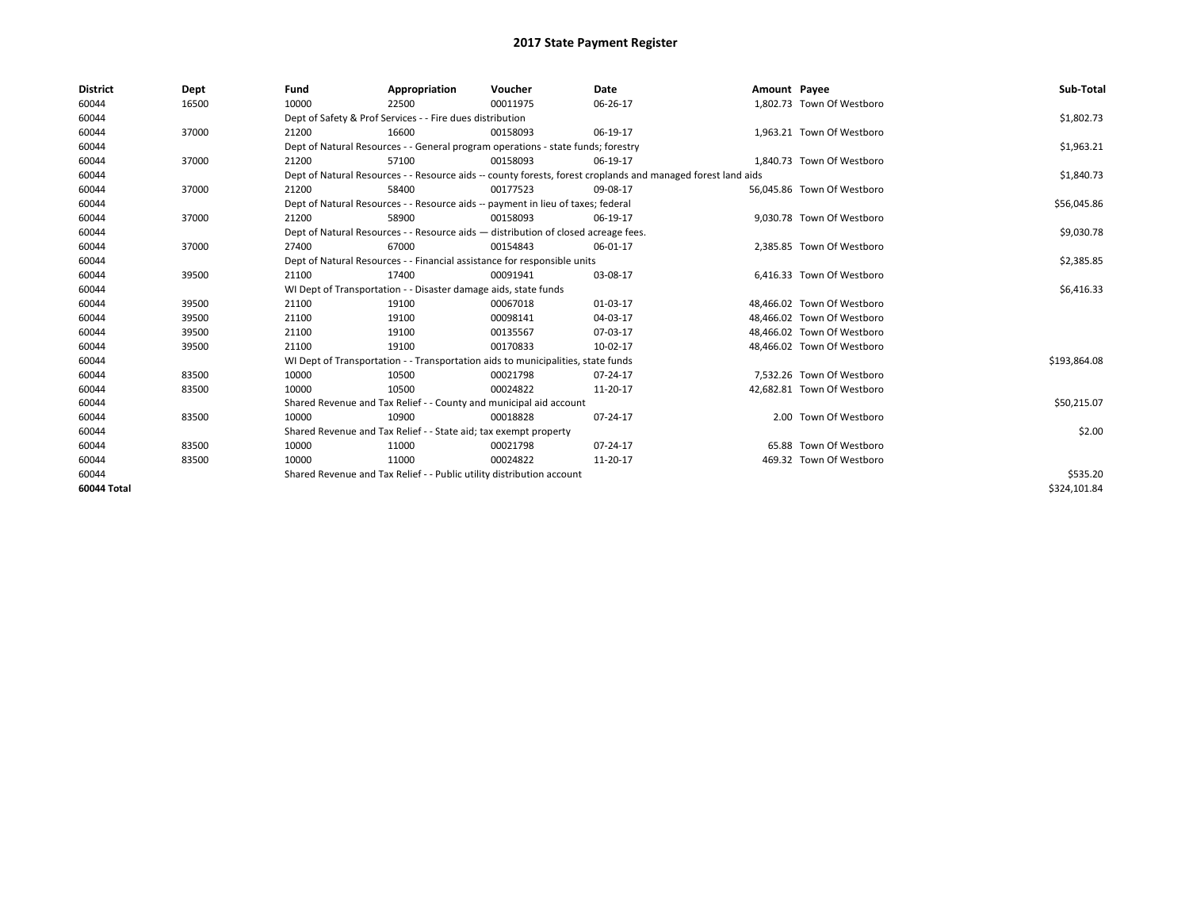| <b>District</b> | Dept  | Fund  | Appropriation                                                                                                | Voucher  | Date     | Amount Payee |                            | Sub-Total    |
|-----------------|-------|-------|--------------------------------------------------------------------------------------------------------------|----------|----------|--------------|----------------------------|--------------|
| 60044           | 16500 | 10000 | 22500                                                                                                        | 00011975 | 06-26-17 |              | 1,802.73 Town Of Westboro  |              |
| 60044           |       |       | Dept of Safety & Prof Services - - Fire dues distribution                                                    |          |          |              |                            | \$1,802.73   |
| 60044           | 37000 | 21200 | 16600                                                                                                        | 00158093 | 06-19-17 |              | 1,963.21 Town Of Westboro  |              |
| 60044           |       |       | Dept of Natural Resources - - General program operations - state funds; forestry                             |          |          |              |                            | \$1,963.21   |
| 60044           | 37000 | 21200 | 57100                                                                                                        | 00158093 | 06-19-17 |              | 1,840.73 Town Of Westboro  |              |
| 60044           |       |       | Dept of Natural Resources - - Resource aids -- county forests, forest croplands and managed forest land aids |          |          |              |                            | \$1,840.73   |
| 60044           | 37000 | 21200 | 58400                                                                                                        | 00177523 | 09-08-17 |              | 56,045.86 Town Of Westboro |              |
| 60044           |       |       | Dept of Natural Resources - - Resource aids -- payment in lieu of taxes; federal                             |          |          |              |                            | \$56,045.86  |
| 60044           | 37000 | 21200 | 58900                                                                                                        | 00158093 | 06-19-17 |              | 9,030.78 Town Of Westboro  |              |
| 60044           |       |       | Dept of Natural Resources - - Resource aids - distribution of closed acreage fees.                           |          |          |              |                            | \$9,030.78   |
| 60044           | 37000 | 27400 | 67000                                                                                                        | 00154843 | 06-01-17 |              | 2.385.85 Town Of Westboro  |              |
| 60044           |       |       | Dept of Natural Resources - - Financial assistance for responsible units                                     |          |          |              |                            | \$2,385.85   |
| 60044           | 39500 | 21100 | 17400                                                                                                        | 00091941 | 03-08-17 |              | 6,416.33 Town Of Westboro  |              |
| 60044           |       |       | WI Dept of Transportation - - Disaster damage aids, state funds                                              |          |          |              |                            | \$6,416.33   |
| 60044           | 39500 | 21100 | 19100                                                                                                        | 00067018 | 01-03-17 |              | 48,466.02 Town Of Westboro |              |
| 60044           | 39500 | 21100 | 19100                                                                                                        | 00098141 | 04-03-17 |              | 48,466.02 Town Of Westboro |              |
| 60044           | 39500 | 21100 | 19100                                                                                                        | 00135567 | 07-03-17 |              | 48,466.02 Town Of Westboro |              |
| 60044           | 39500 | 21100 | 19100                                                                                                        | 00170833 | 10-02-17 |              | 48,466.02 Town Of Westboro |              |
| 60044           |       |       | WI Dept of Transportation - - Transportation aids to municipalities, state funds                             |          |          |              |                            | \$193,864.08 |
| 60044           | 83500 | 10000 | 10500                                                                                                        | 00021798 | 07-24-17 |              | 7,532.26 Town Of Westboro  |              |
| 60044           | 83500 | 10000 | 10500                                                                                                        | 00024822 | 11-20-17 |              | 42,682.81 Town Of Westboro |              |
| 60044           |       |       | Shared Revenue and Tax Relief - - County and municipal aid account                                           |          |          |              |                            | \$50,215.07  |
| 60044           | 83500 | 10000 | 10900                                                                                                        | 00018828 | 07-24-17 |              | 2.00 Town Of Westboro      |              |
| 60044           |       |       | Shared Revenue and Tax Relief - - State aid; tax exempt property                                             |          |          |              |                            | \$2.00       |
| 60044           | 83500 | 10000 | 11000                                                                                                        | 00021798 | 07-24-17 |              | 65.88 Town Of Westboro     |              |
| 60044           | 83500 | 10000 | 11000                                                                                                        | 00024822 | 11-20-17 |              | 469.32 Town Of Westboro    |              |
| 60044           |       |       | Shared Revenue and Tax Relief - - Public utility distribution account                                        |          |          |              |                            | \$535.20     |
| 60044 Total     |       |       |                                                                                                              |          |          |              |                            | \$324.101.84 |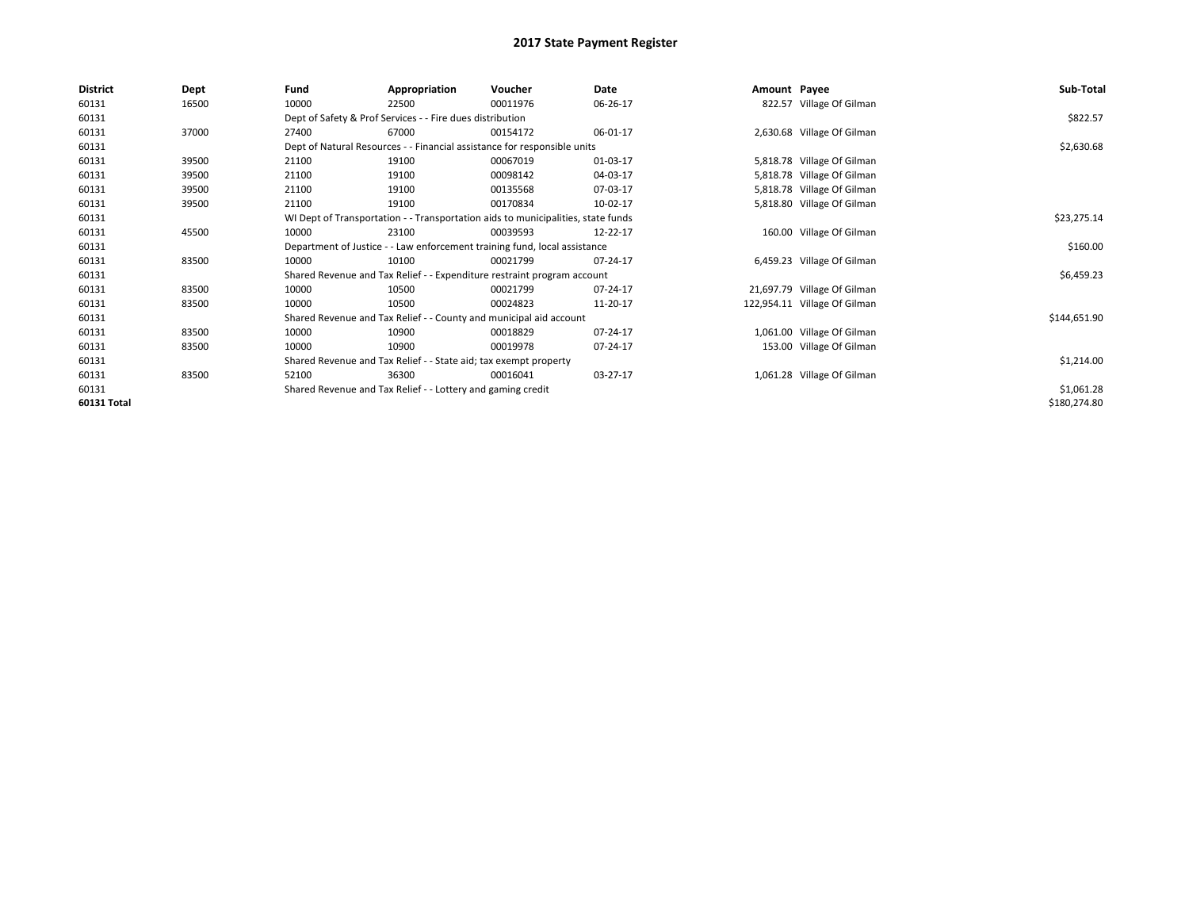| <b>District</b> | Dept  | Fund  | Appropriation                                                                    | Voucher  | Date     | Amount Payee |                              | Sub-Total    |
|-----------------|-------|-------|----------------------------------------------------------------------------------|----------|----------|--------------|------------------------------|--------------|
| 60131           | 16500 | 10000 | 22500                                                                            | 00011976 | 06-26-17 |              | 822.57 Village Of Gilman     |              |
| 60131           |       |       | Dept of Safety & Prof Services - - Fire dues distribution                        |          |          |              |                              | \$822.57     |
| 60131           | 37000 | 27400 | 67000                                                                            | 00154172 | 06-01-17 |              | 2,630.68 Village Of Gilman   |              |
| 60131           |       |       | Dept of Natural Resources - - Financial assistance for responsible units         |          |          |              |                              | \$2,630.68   |
| 60131           | 39500 | 21100 | 19100                                                                            | 00067019 | 01-03-17 |              | 5,818.78 Village Of Gilman   |              |
| 60131           | 39500 | 21100 | 19100                                                                            | 00098142 | 04-03-17 |              | 5,818.78 Village Of Gilman   |              |
| 60131           | 39500 | 21100 | 19100                                                                            | 00135568 | 07-03-17 |              | 5,818.78 Village Of Gilman   |              |
| 60131           | 39500 | 21100 | 19100                                                                            | 00170834 | 10-02-17 |              | 5,818.80 Village Of Gilman   |              |
| 60131           |       |       | WI Dept of Transportation - - Transportation aids to municipalities, state funds |          |          |              |                              | \$23,275.14  |
| 60131           | 45500 | 10000 | 23100                                                                            | 00039593 | 12-22-17 |              | 160.00 Village Of Gilman     |              |
| 60131           |       |       | Department of Justice - - Law enforcement training fund, local assistance        |          |          |              |                              | \$160.00     |
| 60131           | 83500 | 10000 | 10100                                                                            | 00021799 | 07-24-17 |              | 6,459.23 Village Of Gilman   |              |
| 60131           |       |       | Shared Revenue and Tax Relief - - Expenditure restraint program account          |          |          |              |                              | \$6,459.23   |
| 60131           | 83500 | 10000 | 10500                                                                            | 00021799 | 07-24-17 |              | 21,697.79 Village Of Gilman  |              |
| 60131           | 83500 | 10000 | 10500                                                                            | 00024823 | 11-20-17 |              | 122,954.11 Village Of Gilman |              |
| 60131           |       |       | Shared Revenue and Tax Relief - - County and municipal aid account               |          |          |              |                              | \$144,651.90 |
| 60131           | 83500 | 10000 | 10900                                                                            | 00018829 | 07-24-17 |              | 1,061.00 Village Of Gilman   |              |
| 60131           | 83500 | 10000 | 10900                                                                            | 00019978 | 07-24-17 |              | 153.00 Village Of Gilman     |              |
| 60131           |       |       | Shared Revenue and Tax Relief - - State aid; tax exempt property                 |          |          |              |                              | \$1,214.00   |
| 60131           | 83500 | 52100 | 36300                                                                            | 00016041 | 03-27-17 |              | 1,061.28 Village Of Gilman   |              |
| 60131           |       |       | Shared Revenue and Tax Relief - - Lottery and gaming credit                      |          |          |              |                              | \$1,061.28   |
| 60131 Total     |       |       |                                                                                  |          |          |              |                              | \$180,274.80 |
|                 |       |       |                                                                                  |          |          |              |                              |              |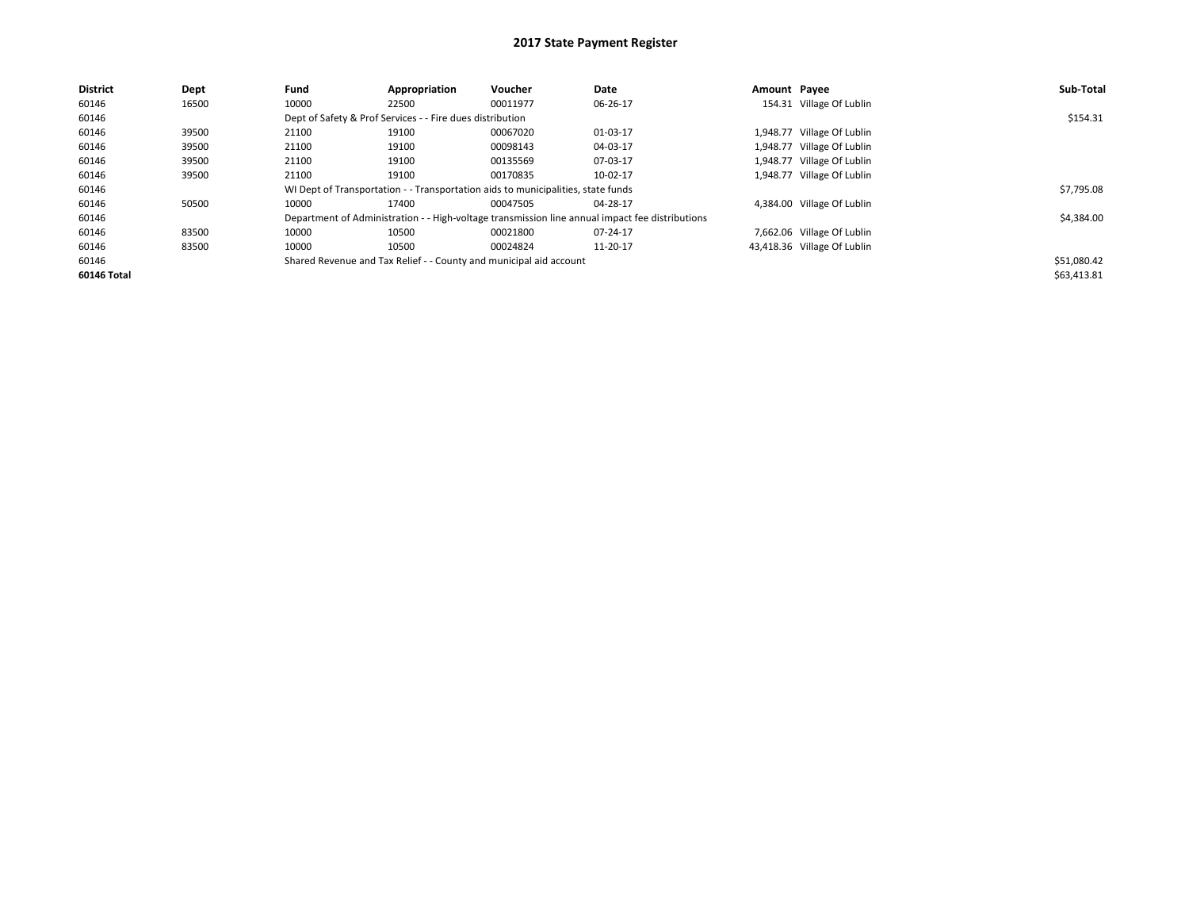| <b>District</b> | Dept  | Fund  | Appropriation                                             | Voucher                                                                          | Date                                                                                            | Amount Payee |                             | Sub-Total   |
|-----------------|-------|-------|-----------------------------------------------------------|----------------------------------------------------------------------------------|-------------------------------------------------------------------------------------------------|--------------|-----------------------------|-------------|
| 60146           | 16500 | 10000 | 22500                                                     | 00011977                                                                         | 06-26-17                                                                                        |              | 154.31 Village Of Lublin    |             |
| 60146           |       |       | Dept of Safety & Prof Services - - Fire dues distribution |                                                                                  |                                                                                                 |              |                             | \$154.31    |
| 60146           | 39500 | 21100 | 19100                                                     | 00067020                                                                         | 01-03-17                                                                                        |              | 1,948.77 Village Of Lublin  |             |
| 60146           | 39500 | 21100 | 19100                                                     | 00098143                                                                         | 04-03-17                                                                                        |              | 1,948.77 Village Of Lublin  |             |
| 60146           | 39500 | 21100 | 19100                                                     | 00135569                                                                         | 07-03-17                                                                                        |              | 1,948.77 Village Of Lublin  |             |
| 60146           | 39500 | 21100 | 19100                                                     | 00170835                                                                         | 10-02-17                                                                                        |              | 1,948.77 Village Of Lublin  |             |
| 60146           |       |       |                                                           | WI Dept of Transportation - - Transportation aids to municipalities, state funds |                                                                                                 |              |                             | \$7,795.08  |
| 60146           | 50500 | 10000 | 17400                                                     | 00047505                                                                         | 04-28-17                                                                                        |              | 4,384.00 Village Of Lublin  |             |
| 60146           |       |       |                                                           |                                                                                  | Department of Administration - - High-voltage transmission line annual impact fee distributions |              |                             | \$4,384.00  |
| 60146           | 83500 | 10000 | 10500                                                     | 00021800                                                                         | 07-24-17                                                                                        |              | 7,662.06 Village Of Lublin  |             |
| 60146           | 83500 | 10000 | 10500                                                     | 00024824                                                                         | 11-20-17                                                                                        |              | 43,418.36 Village Of Lublin |             |
| 60146           |       |       |                                                           | Shared Revenue and Tax Relief - - County and municipal aid account               |                                                                                                 |              |                             | \$51,080.42 |
| 60146 Total     |       |       |                                                           |                                                                                  |                                                                                                 |              |                             | \$63,413.81 |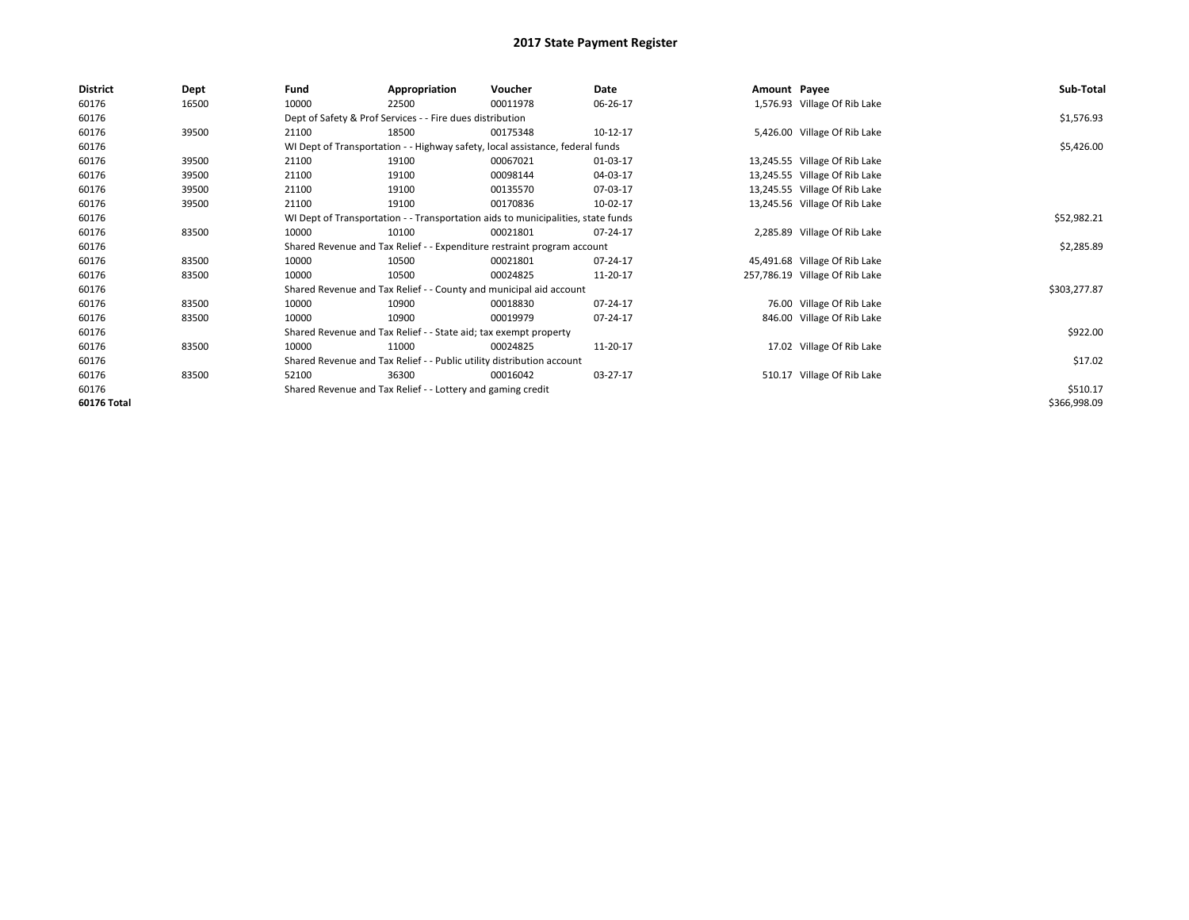| <b>District</b> | Dept  | Fund  | Appropriation                                                                    | Voucher  | Date     | Amount Payee |                                | Sub-Total    |  |  |  |
|-----------------|-------|-------|----------------------------------------------------------------------------------|----------|----------|--------------|--------------------------------|--------------|--|--|--|
| 60176           | 16500 | 10000 | 22500                                                                            | 00011978 | 06-26-17 |              | 1,576.93 Village Of Rib Lake   |              |  |  |  |
| 60176           |       |       | Dept of Safety & Prof Services - - Fire dues distribution                        |          |          |              |                                |              |  |  |  |
| 60176           | 39500 | 21100 | 18500                                                                            | 00175348 | 10-12-17 |              | 5,426.00 Village Of Rib Lake   |              |  |  |  |
| 60176           |       |       | WI Dept of Transportation - - Highway safety, local assistance, federal funds    |          |          |              |                                | \$5,426.00   |  |  |  |
| 60176           | 39500 | 21100 | 19100                                                                            | 00067021 | 01-03-17 |              | 13,245.55 Village Of Rib Lake  |              |  |  |  |
| 60176           | 39500 | 21100 | 19100                                                                            | 00098144 | 04-03-17 |              | 13,245.55 Village Of Rib Lake  |              |  |  |  |
| 60176           | 39500 | 21100 | 19100                                                                            | 00135570 | 07-03-17 |              | 13,245.55 Village Of Rib Lake  |              |  |  |  |
| 60176           | 39500 | 21100 | 19100                                                                            | 00170836 | 10-02-17 |              | 13,245.56 Village Of Rib Lake  |              |  |  |  |
| 60176           |       |       | WI Dept of Transportation - - Transportation aids to municipalities, state funds |          |          |              |                                | \$52,982.21  |  |  |  |
| 60176           | 83500 | 10000 | 10100                                                                            | 00021801 | 07-24-17 |              | 2,285.89 Village Of Rib Lake   |              |  |  |  |
| 60176           |       |       | Shared Revenue and Tax Relief - - Expenditure restraint program account          |          |          |              |                                | \$2,285.89   |  |  |  |
| 60176           | 83500 | 10000 | 10500                                                                            | 00021801 | 07-24-17 |              | 45,491.68 Village Of Rib Lake  |              |  |  |  |
| 60176           | 83500 | 10000 | 10500                                                                            | 00024825 | 11-20-17 |              | 257,786.19 Village Of Rib Lake |              |  |  |  |
| 60176           |       |       | Shared Revenue and Tax Relief - - County and municipal aid account               |          |          |              |                                | \$303,277.87 |  |  |  |
| 60176           | 83500 | 10000 | 10900                                                                            | 00018830 | 07-24-17 |              | 76.00 Village Of Rib Lake      |              |  |  |  |
| 60176           | 83500 | 10000 | 10900                                                                            | 00019979 | 07-24-17 |              | 846.00 Village Of Rib Lake     |              |  |  |  |
| 60176           |       |       | Shared Revenue and Tax Relief - - State aid; tax exempt property                 |          |          |              |                                | \$922.00     |  |  |  |
| 60176           | 83500 | 10000 | 11000                                                                            | 00024825 | 11-20-17 |              | 17.02 Village Of Rib Lake      |              |  |  |  |
| 60176           |       |       | Shared Revenue and Tax Relief - - Public utility distribution account            |          |          |              |                                | \$17.02      |  |  |  |
| 60176           | 83500 | 52100 | 36300                                                                            | 00016042 | 03-27-17 |              | 510.17 Village Of Rib Lake     |              |  |  |  |
| 60176           |       |       | Shared Revenue and Tax Relief - - Lottery and gaming credit                      |          |          |              |                                | \$510.17     |  |  |  |
| 60176 Total     |       |       |                                                                                  |          |          |              |                                | \$366,998.09 |  |  |  |
|                 |       |       |                                                                                  |          |          |              |                                |              |  |  |  |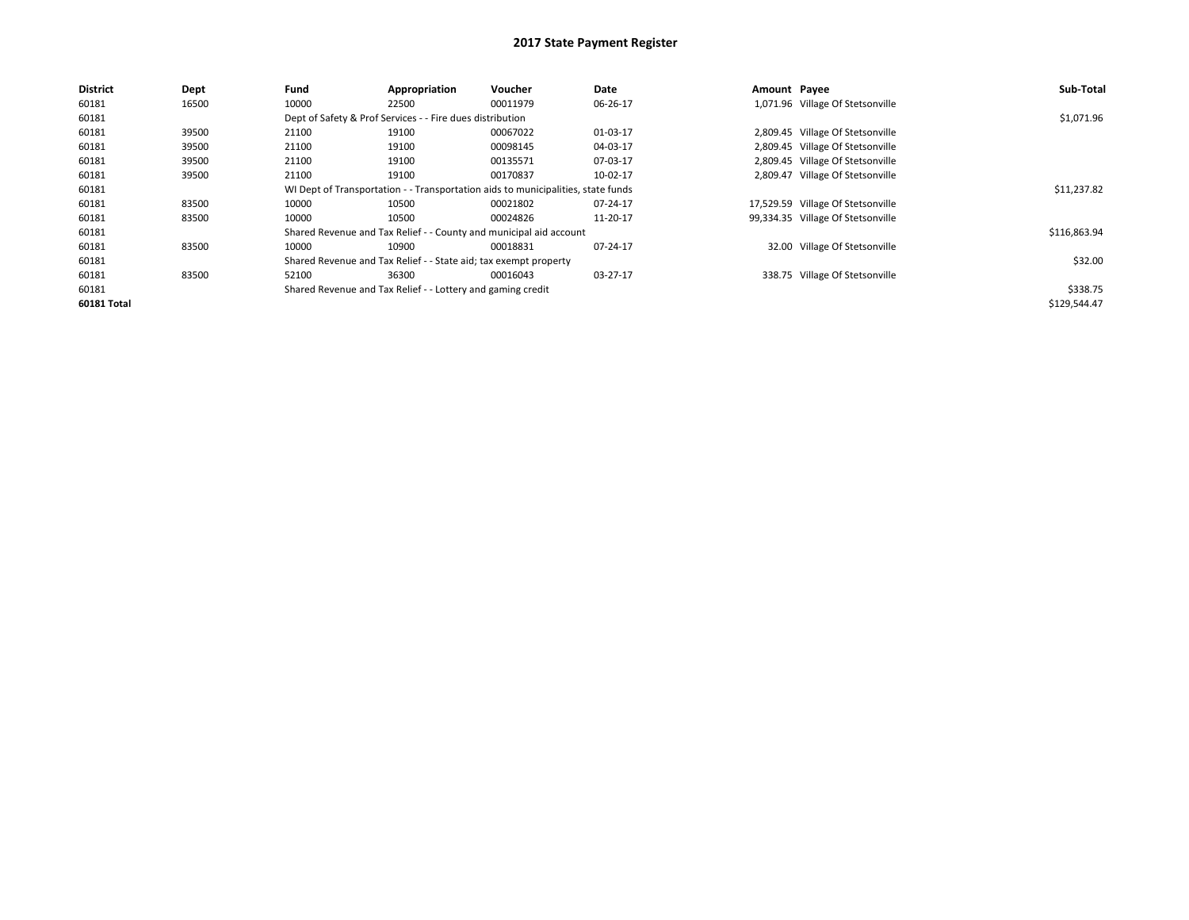| <b>District</b> | Dept  | Fund                                                                             | Appropriation                                                    | <b>Voucher</b>                                                     | Date     | Amount Payee |                                   | Sub-Total    |
|-----------------|-------|----------------------------------------------------------------------------------|------------------------------------------------------------------|--------------------------------------------------------------------|----------|--------------|-----------------------------------|--------------|
| 60181           | 16500 | 10000                                                                            | 22500                                                            | 00011979                                                           | 06-26-17 |              | 1,071.96 Village Of Stetsonville  |              |
| 60181           |       |                                                                                  | Dept of Safety & Prof Services - - Fire dues distribution        |                                                                    |          |              |                                   | \$1,071.96   |
| 60181           | 39500 | 21100                                                                            | 19100                                                            | 00067022                                                           | 01-03-17 |              | 2,809.45 Village Of Stetsonville  |              |
| 60181           | 39500 | 21100                                                                            | 19100                                                            | 00098145                                                           | 04-03-17 |              | 2,809.45 Village Of Stetsonville  |              |
| 60181           | 39500 | 21100                                                                            | 19100                                                            | 00135571                                                           | 07-03-17 |              | 2,809.45 Village Of Stetsonville  |              |
| 60181           | 39500 | 21100                                                                            | 19100                                                            | 00170837                                                           | 10-02-17 |              | 2,809.47 Village Of Stetsonville  |              |
| 60181           |       | WI Dept of Transportation - - Transportation aids to municipalities, state funds |                                                                  | \$11,237.82                                                        |          |              |                                   |              |
| 60181           | 83500 | 10000                                                                            | 10500                                                            | 00021802                                                           | 07-24-17 |              | 17,529.59 Village Of Stetsonville |              |
| 60181           | 83500 | 10000                                                                            | 10500                                                            | 00024826                                                           | 11-20-17 |              | 99,334.35 Village Of Stetsonville |              |
| 60181           |       |                                                                                  |                                                                  | Shared Revenue and Tax Relief - - County and municipal aid account |          |              |                                   | \$116,863.94 |
| 60181           | 83500 | 10000                                                                            | 10900                                                            | 00018831                                                           | 07-24-17 |              | 32.00 Village Of Stetsonville     |              |
| 60181           |       |                                                                                  | Shared Revenue and Tax Relief - - State aid; tax exempt property |                                                                    |          |              |                                   | \$32.00      |
| 60181           | 83500 | 52100                                                                            | 36300                                                            | 00016043                                                           | 03-27-17 |              | 338.75 Village Of Stetsonville    |              |
| 60181           |       |                                                                                  | Shared Revenue and Tax Relief - - Lottery and gaming credit      |                                                                    |          |              |                                   | \$338.75     |
| 60181 Total     |       |                                                                                  |                                                                  |                                                                    |          |              |                                   | \$129,544.47 |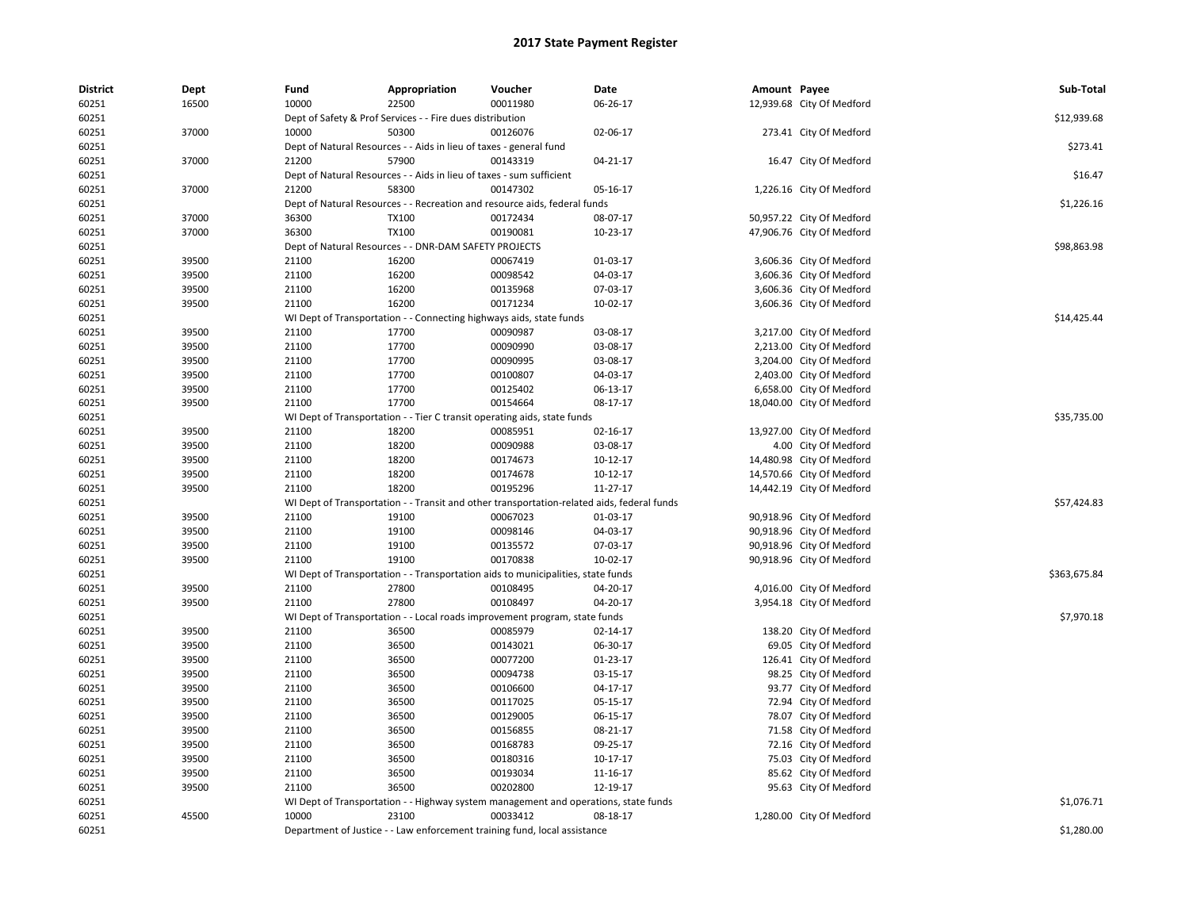| <b>District</b> | Dept  | Fund  | Appropriation                                                                              | Voucher  | Date     | Amount Payee |                           | Sub-Total    |
|-----------------|-------|-------|--------------------------------------------------------------------------------------------|----------|----------|--------------|---------------------------|--------------|
| 60251           | 16500 | 10000 | 22500                                                                                      | 00011980 | 06-26-17 |              | 12,939.68 City Of Medford |              |
| 60251           |       |       | Dept of Safety & Prof Services - - Fire dues distribution                                  |          |          |              |                           | \$12,939.68  |
| 60251           | 37000 | 10000 | 50300                                                                                      | 00126076 | 02-06-17 |              | 273.41 City Of Medford    |              |
| 60251           |       |       | Dept of Natural Resources - - Aids in lieu of taxes - general fund                         |          |          |              |                           | \$273.41     |
| 60251           | 37000 | 21200 | 57900                                                                                      | 00143319 | 04-21-17 |              | 16.47 City Of Medford     |              |
| 60251           |       |       | Dept of Natural Resources - - Aids in lieu of taxes - sum sufficient                       |          |          |              |                           | \$16.47      |
| 60251           | 37000 | 21200 | 58300                                                                                      | 00147302 | 05-16-17 |              | 1,226.16 City Of Medford  |              |
| 60251           |       |       | Dept of Natural Resources - - Recreation and resource aids, federal funds                  |          |          |              |                           | \$1,226.16   |
| 60251           | 37000 | 36300 | <b>TX100</b>                                                                               | 00172434 | 08-07-17 |              | 50,957.22 City Of Medford |              |
| 60251           | 37000 | 36300 | <b>TX100</b>                                                                               | 00190081 | 10-23-17 |              | 47,906.76 City Of Medford |              |
| 60251           |       |       | Dept of Natural Resources - - DNR-DAM SAFETY PROJECTS                                      |          |          |              |                           | \$98,863.98  |
| 60251           | 39500 | 21100 | 16200                                                                                      | 00067419 | 01-03-17 |              | 3,606.36 City Of Medford  |              |
| 60251           | 39500 | 21100 | 16200                                                                                      | 00098542 | 04-03-17 |              | 3,606.36 City Of Medford  |              |
| 60251           | 39500 | 21100 | 16200                                                                                      | 00135968 | 07-03-17 |              | 3,606.36 City Of Medford  |              |
| 60251           | 39500 | 21100 | 16200                                                                                      | 00171234 | 10-02-17 |              | 3,606.36 City Of Medford  |              |
| 60251           |       |       | WI Dept of Transportation - - Connecting highways aids, state funds                        |          |          |              |                           | \$14,425.44  |
| 60251           | 39500 | 21100 | 17700                                                                                      | 00090987 | 03-08-17 |              | 3,217.00 City Of Medford  |              |
| 60251           | 39500 | 21100 | 17700                                                                                      | 00090990 | 03-08-17 |              | 2,213.00 City Of Medford  |              |
| 60251           | 39500 | 21100 | 17700                                                                                      | 00090995 | 03-08-17 |              | 3,204.00 City Of Medford  |              |
| 60251           | 39500 | 21100 | 17700                                                                                      | 00100807 | 04-03-17 |              | 2,403.00 City Of Medford  |              |
| 60251           | 39500 | 21100 | 17700                                                                                      | 00125402 | 06-13-17 |              | 6,658.00 City Of Medford  |              |
| 60251           | 39500 | 21100 | 17700                                                                                      | 00154664 | 08-17-17 |              | 18,040.00 City Of Medford |              |
| 60251           |       |       | WI Dept of Transportation - - Tier C transit operating aids, state funds                   |          |          |              |                           | \$35,735.00  |
| 60251           | 39500 | 21100 | 18200                                                                                      | 00085951 | 02-16-17 |              | 13,927.00 City Of Medford |              |
| 60251           | 39500 | 21100 | 18200                                                                                      | 00090988 | 03-08-17 |              | 4.00 City Of Medford      |              |
| 60251           | 39500 | 21100 | 18200                                                                                      | 00174673 | 10-12-17 |              | 14,480.98 City Of Medford |              |
| 60251           | 39500 | 21100 | 18200                                                                                      | 00174678 | 10-12-17 |              | 14,570.66 City Of Medford |              |
| 60251           | 39500 | 21100 | 18200                                                                                      | 00195296 | 11-27-17 |              | 14,442.19 City Of Medford |              |
| 60251           |       |       | WI Dept of Transportation - - Transit and other transportation-related aids, federal funds |          |          |              |                           | \$57,424.83  |
| 60251           | 39500 | 21100 | 19100                                                                                      | 00067023 | 01-03-17 |              | 90,918.96 City Of Medford |              |
| 60251           | 39500 | 21100 | 19100                                                                                      | 00098146 | 04-03-17 |              | 90,918.96 City Of Medford |              |
| 60251           | 39500 | 21100 | 19100                                                                                      | 00135572 | 07-03-17 |              | 90,918.96 City Of Medford |              |
| 60251           | 39500 | 21100 | 19100                                                                                      | 00170838 | 10-02-17 |              | 90,918.96 City Of Medford |              |
| 60251           |       |       | WI Dept of Transportation - - Transportation aids to municipalities, state funds           |          |          |              |                           | \$363,675.84 |
| 60251           | 39500 | 21100 | 27800                                                                                      | 00108495 | 04-20-17 |              | 4,016.00 City Of Medford  |              |
| 60251           | 39500 | 21100 | 27800                                                                                      | 00108497 | 04-20-17 |              | 3,954.18 City Of Medford  |              |
| 60251           |       |       | WI Dept of Transportation - - Local roads improvement program, state funds                 |          |          |              |                           | \$7,970.18   |
| 60251           | 39500 | 21100 | 36500                                                                                      | 00085979 | 02-14-17 |              | 138.20 City Of Medford    |              |
| 60251           | 39500 | 21100 | 36500                                                                                      | 00143021 | 06-30-17 |              | 69.05 City Of Medford     |              |
| 60251           | 39500 | 21100 | 36500                                                                                      | 00077200 | 01-23-17 |              | 126.41 City Of Medford    |              |
| 60251           | 39500 | 21100 | 36500                                                                                      | 00094738 | 03-15-17 |              | 98.25 City Of Medford     |              |
| 60251           | 39500 | 21100 | 36500                                                                                      | 00106600 | 04-17-17 |              | 93.77 City Of Medford     |              |
| 60251           | 39500 | 21100 | 36500                                                                                      | 00117025 | 05-15-17 |              | 72.94 City Of Medford     |              |
| 60251           | 39500 | 21100 | 36500                                                                                      | 00129005 | 06-15-17 |              | 78.07 City Of Medford     |              |
| 60251           | 39500 | 21100 | 36500                                                                                      | 00156855 | 08-21-17 |              | 71.58 City Of Medford     |              |
| 60251           | 39500 | 21100 | 36500                                                                                      | 00168783 | 09-25-17 |              | 72.16 City Of Medford     |              |
| 60251           | 39500 | 21100 | 36500                                                                                      | 00180316 | 10-17-17 |              | 75.03 City Of Medford     |              |
| 60251           | 39500 | 21100 | 36500                                                                                      | 00193034 | 11-16-17 |              | 85.62 City Of Medford     |              |
| 60251           | 39500 | 21100 | 36500                                                                                      | 00202800 | 12-19-17 |              | 95.63 City Of Medford     |              |
| 60251           |       |       | WI Dept of Transportation - - Highway system management and operations, state funds        |          |          |              |                           | \$1,076.71   |
| 60251           | 45500 | 10000 | 23100                                                                                      | 00033412 | 08-18-17 |              | 1,280.00 City Of Medford  |              |
| 60251           |       |       | Department of Justice - - Law enforcement training fund, local assistance                  |          |          |              |                           | \$1,280.00   |
|                 |       |       |                                                                                            |          |          |              |                           |              |